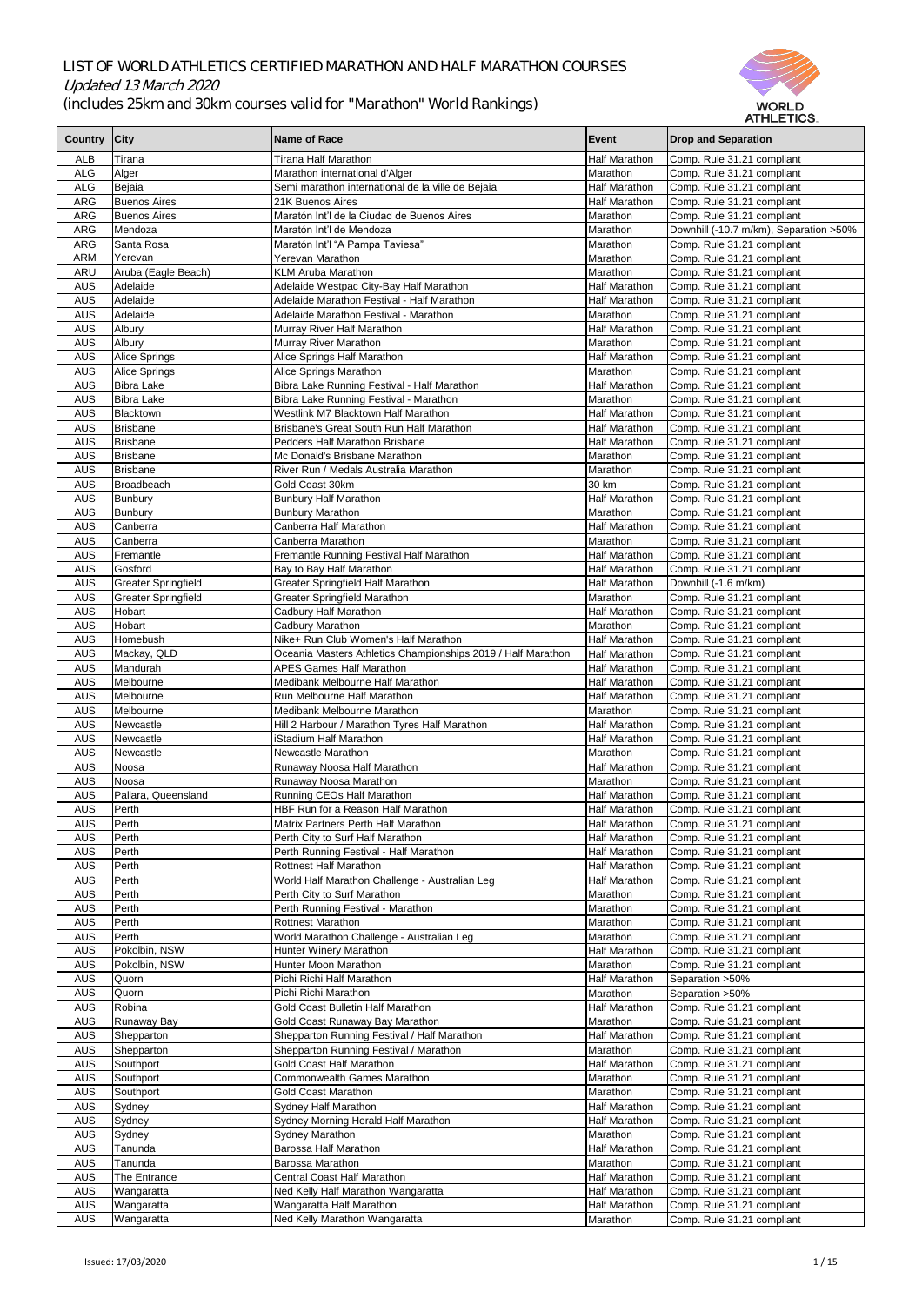| <b>Country</b>           | City                                         | <b>Name of Race</b>                                                    | <b>Event</b>                                 | <b>Drop and Separation</b>                               |
|--------------------------|----------------------------------------------|------------------------------------------------------------------------|----------------------------------------------|----------------------------------------------------------|
| <b>ALB</b>               | Tirana                                       | <b>Tirana Half Marathon</b>                                            | <b>Half Marathon</b>                         | Comp. Rule 31.21 compliant                               |
| <b>ALG</b>               | Alger                                        | Marathon international d'Alger                                         | Marathon                                     | Comp. Rule 31.21 compliant                               |
| <b>ALG</b>               | Bejaia                                       | Semi marathon international de la ville de Bejaia                      | <b>Half Marathon</b>                         | Comp. Rule 31.21 compliant                               |
| <b>ARG</b>               | <b>Buenos Aires</b>                          | 21K Buenos Aires                                                       | <b>Half Marathon</b>                         | Comp. Rule 31.21 compliant                               |
| <b>ARG</b>               | <b>Buenos Aires</b>                          | Maratón Int'l de la Ciudad de Buenos Aires                             | Marathon                                     | Comp. Rule 31.21 compliant                               |
| <b>ARG</b>               | Mendoza                                      | Maratón Int'l de Mendoza                                               | Marathon                                     | Downhill (-10.7 m/km), Separation > 50%                  |
| <b>ARG</b><br><b>ARM</b> | Santa Rosa<br>Yerevan                        | Maratón Int'l "A Pampa Taviesa"<br>Yerevan Marathon                    | Marathon<br>Marathon                         | Comp. Rule 31.21 compliant                               |
| <b>ARU</b>               | Aruba (Eagle Beach)                          | <b>KLM Aruba Marathon</b>                                              | Marathon                                     | Comp. Rule 31.21 compliant<br>Comp. Rule 31.21 compliant |
| <b>AUS</b>               | Adelaide                                     | Adelaide Westpac City-Bay Half Marathon                                | <b>Half Marathon</b>                         | Comp. Rule 31.21 compliant                               |
| <b>AUS</b>               | Adelaide                                     | Adelaide Marathon Festival - Half Marathon                             | <b>Half Marathon</b>                         | Comp. Rule 31.21 compliant                               |
| <b>AUS</b>               | Adelaide                                     | Adelaide Marathon Festival - Marathon                                  | Marathon                                     | Comp. Rule 31.21 compliant                               |
| <b>AUS</b>               | Albury                                       | Murray River Half Marathon                                             | <b>Half Marathon</b>                         | Comp. Rule 31.21 compliant                               |
| <b>AUS</b>               | Albury                                       | Murray River Marathon                                                  | Marathon                                     | Comp. Rule 31.21 compliant                               |
| <b>AUS</b><br><b>AUS</b> | <b>Alice Springs</b><br><b>Alice Springs</b> | Alice Springs Half Marathon<br>Alice Springs Marathon                  | <b>Half Marathon</b><br>Marathon             | Comp. Rule 31.21 compliant<br>Comp. Rule 31.21 compliant |
| <b>AUS</b>               | <b>Bibra Lake</b>                            | Bibra Lake Running Festival - Half Marathon                            | <b>Half Marathon</b>                         | Comp. Rule 31.21 compliant                               |
| <b>AUS</b>               | <b>Bibra Lake</b>                            | Bibra Lake Running Festival - Marathon                                 | Marathon                                     | Comp. Rule 31.21 compliant                               |
| <b>AUS</b>               | Blacktown                                    | Westlink M7 Blacktown Half Marathon                                    | <b>Half Marathon</b>                         | Comp. Rule 31.21 compliant                               |
| <b>AUS</b>               | Brisbane                                     | Brisbane's Great South Run Half Marathon                               | <b>Half Marathon</b>                         | Comp. Rule 31.21 compliant                               |
| <b>AUS</b>               | Brisbane                                     | Pedders Half Marathon Brisbane                                         | <b>Half Marathon</b>                         | Comp. Rule 31.21 compliant                               |
| <b>AUS</b><br><b>AUS</b> | Brisbane<br>Brisbane                         | Mc Donald's Brisbane Marathon<br>River Run / Medals Australia Marathon | Marathon<br>Marathon                         | Comp. Rule 31.21 compliant<br>Comp. Rule 31.21 compliant |
| <b>AUS</b>               | <b>Broadbeach</b>                            | Gold Coast 30km                                                        | 30 km                                        | Comp. Rule 31.21 compliant                               |
| <b>AUS</b>               | Bunbury                                      | <b>Bunbury Half Marathon</b>                                           | <b>Half Marathon</b>                         | Comp. Rule 31.21 compliant                               |
| <b>AUS</b>               | Bunbury                                      | <b>Bunbury Marathon</b>                                                | Marathon                                     | Comp. Rule 31.21 compliant                               |
| <b>AUS</b>               | Canberra                                     | Canberra Half Marathon                                                 | <b>Half Marathon</b>                         | Comp. Rule 31.21 compliant                               |
| <b>AUS</b>               | Canberra                                     | Canberra Marathon                                                      | Marathon                                     | Comp. Rule 31.21 compliant                               |
| <b>AUS</b>               | Fremantle                                    | Fremantle Running Festival Half Marathon                               | <b>Half Marathon</b>                         | Comp. Rule 31.21 compliant                               |
| <b>AUS</b><br><b>AUS</b> | Gosford<br><b>Greater Springfield</b>        | Bay to Bay Half Marathon<br><b>Greater Springfield Half Marathon</b>   | <b>Half Marathon</b><br>Half Marathon        | Comp. Rule 31.21 compliant<br>Downhill (-1.6 m/km)       |
| <b>AUS</b>               | Greater Springfield                          | <b>Greater Springfield Marathon</b>                                    | Marathon                                     | Comp. Rule 31.21 compliant                               |
| <b>AUS</b>               | Hobart                                       | Cadbury Half Marathon                                                  | <b>Half Marathon</b>                         | Comp. Rule 31.21 compliant                               |
| <b>AUS</b>               | Hobart                                       | Cadbury Marathon                                                       | Marathon                                     | Comp. Rule 31.21 compliant                               |
| <b>AUS</b>               | Homebush                                     | Nike+ Run Club Women's Half Marathon                                   | Half Marathon                                | Comp. Rule 31.21 compliant                               |
| <b>AUS</b>               | Mackay, QLD                                  | Oceania Masters Athletics Championships 2019 / Half Marathon           | <b>Half Marathon</b>                         | Comp. Rule 31.21 compliant                               |
| <b>AUS</b>               | Mandurah                                     | <b>APES Games Half Marathon</b>                                        | <b>Half Marathon</b>                         | Comp. Rule 31.21 compliant                               |
| <b>AUS</b><br><b>AUS</b> | Melbourne<br>Melbourne                       | <b>Medibank Melbourne Half Marathon</b><br>Run Melbourne Half Marathon | <b>Half Marathon</b><br>Half Marathon        | Comp. Rule 31.21 compliant<br>Comp. Rule 31.21 compliant |
| <b>AUS</b>               | Melbourne                                    | Medibank Melbourne Marathon                                            | Marathon                                     | Comp. Rule 31.21 compliant                               |
| <b>AUS</b>               | Newcastle                                    | Hill 2 Harbour / Marathon Tyres Half Marathon                          | Half Marathon                                | Comp. Rule 31.21 compliant                               |
| <b>AUS</b>               | Newcastle                                    | iStadium Half Marathon                                                 | <b>Half Marathon</b>                         | Comp. Rule 31.21 compliant                               |
| <b>AUS</b>               | Newcastle                                    | Newcastle Marathon                                                     | Marathon                                     | Comp. Rule 31.21 compliant                               |
| <b>AUS</b>               | Noosa                                        | Runaway Noosa Half Marathon                                            | Half Marathon                                | Comp. Rule 31.21 compliant                               |
| <b>AUS</b><br><b>AUS</b> | Noosa<br>Pallara, Queensland                 | Runaway Noosa Marathon<br>Running CEOs Half Marathon                   | Marathon<br><b>Half Marathon</b>             | Comp. Rule 31.21 compliant<br>Comp. Rule 31.21 compliant |
| <b>AUS</b>               | Perth                                        | HBF Run for a Reason Half Marathon                                     | <b>Half Marathon</b>                         | Comp. Rule 31.21 compliant                               |
| <b>AUS</b>               | Perth                                        | Matrix Partners Perth Half Marathon                                    | <b>Half Marathon</b>                         | Comp. Rule 31.21 compliant                               |
| <b>AUS</b>               | Perth                                        | Perth City to Surf Half Marathon                                       | <b>Half Marathon</b>                         | Comp. Rule 31.21 compliant                               |
| <b>AUS</b>               | Perth                                        | Perth Running Festival - Half Marathon                                 | <b>Half Marathon</b>                         | Comp. Rule 31.21 compliant                               |
| <b>AUS</b>               | Perth                                        | <b>Rottnest Half Marathon</b>                                          | <b>Half Marathon</b>                         | Comp. Rule 31.21 compliant                               |
| <b>AUS</b>               | Perth                                        | World Half Marathon Challenge - Australian Leg                         | <b>Half Marathon</b>                         | Comp. Rule 31.21 compliant                               |
| <b>AUS</b><br><b>AUS</b> | Perth<br>Perth                               | Perth City to Surf Marathon<br>Perth Running Festival - Marathon       | Marathon<br>Marathon                         | Comp. Rule 31.21 compliant<br>Comp. Rule 31.21 compliant |
| <b>AUS</b>               | Perth                                        | <b>Rottnest Marathon</b>                                               | Marathon                                     | Comp. Rule 31.21 compliant                               |
| <b>AUS</b>               | Perth                                        | World Marathon Challenge - Australian Leg                              | Marathon                                     | Comp. Rule 31.21 compliant                               |
| <b>AUS</b>               | Pokolbin, NSW                                | <b>Hunter Winery Marathon</b>                                          | <b>Half Marathon</b>                         | Comp. Rule 31.21 compliant                               |
| <b>AUS</b>               | Pokolbin, NSW                                | Hunter Moon Marathon                                                   | Marathon                                     | Comp. Rule 31.21 compliant                               |
| <b>AUS</b>               | Quorn                                        | Pichi Richi Half Marathon                                              | <b>Half Marathon</b>                         | Separation > 50%                                         |
| <b>AUS</b><br><b>AUS</b> | Quorn<br>Robina                              | Pichi Richi Marathon<br>Gold Coast Bulletin Half Marathon              | Marathon<br>Half Marathon                    | Separation > 50%<br>Comp. Rule 31.21 compliant           |
| <b>AUS</b>               | Runaway Bay                                  | Gold Coast Runaway Bay Marathon                                        | Marathon                                     | Comp. Rule 31.21 compliant                               |
| <b>AUS</b>               | Shepparton                                   | Shepparton Running Festival / Half Marathon                            | <b>Half Marathon</b>                         | Comp. Rule 31.21 compliant                               |
| <b>AUS</b>               | Shepparton                                   | Shepparton Running Festival / Marathon                                 | Marathon                                     | Comp. Rule 31.21 compliant                               |
| <b>AUS</b>               | Southport                                    | <b>Gold Coast Half Marathon</b>                                        | Half Marathon                                | Comp. Rule 31.21 compliant                               |
| <b>AUS</b>               | Southport                                    | <b>Commonwealth Games Marathon</b>                                     | Marathon                                     | Comp. Rule 31.21 compliant                               |
| <b>AUS</b>               | Southport                                    | <b>Gold Coast Marathon</b>                                             | Marathon                                     | Comp. Rule 31.21 compliant<br>Comp. Rule 31.21 compliant |
| <b>AUS</b><br><b>AUS</b> | Sydney<br>Sydney                             | Sydney Half Marathon<br>Sydney Morning Herald Half Marathon            | <b>Half Marathon</b><br><b>Half Marathon</b> | Comp. Rule 31.21 compliant                               |
| <b>AUS</b>               | Sydney                                       | <b>Sydney Marathon</b>                                                 | Marathon                                     | Comp. Rule 31.21 compliant                               |
| <b>AUS</b>               | Tanunda                                      | Barossa Half Marathon                                                  | Half Marathon                                | Comp. Rule 31.21 compliant                               |
| <b>AUS</b>               | Tanunda                                      | <b>Barossa Marathon</b>                                                | Marathon                                     | Comp. Rule 31.21 compliant                               |
| <b>AUS</b>               | The Entrance                                 | <b>Central Coast Half Marathon</b>                                     | <b>Half Marathon</b>                         | Comp. Rule 31.21 compliant                               |
| <b>AUS</b>               | Wangaratta                                   | Ned Kelly Half Marathon Wangaratta                                     | Half Marathon                                | Comp. Rule 31.21 compliant                               |
| <b>AUS</b>               | Wangaratta                                   | Wangaratta Half Marathon                                               | Half Marathon                                | Comp. Rule 31.21 compliant                               |
| <b>AUS</b>               | Wangaratta                                   | Ned Kelly Marathon Wangaratta                                          | Marathon                                     | Comp. Rule 31.21 compliant                               |

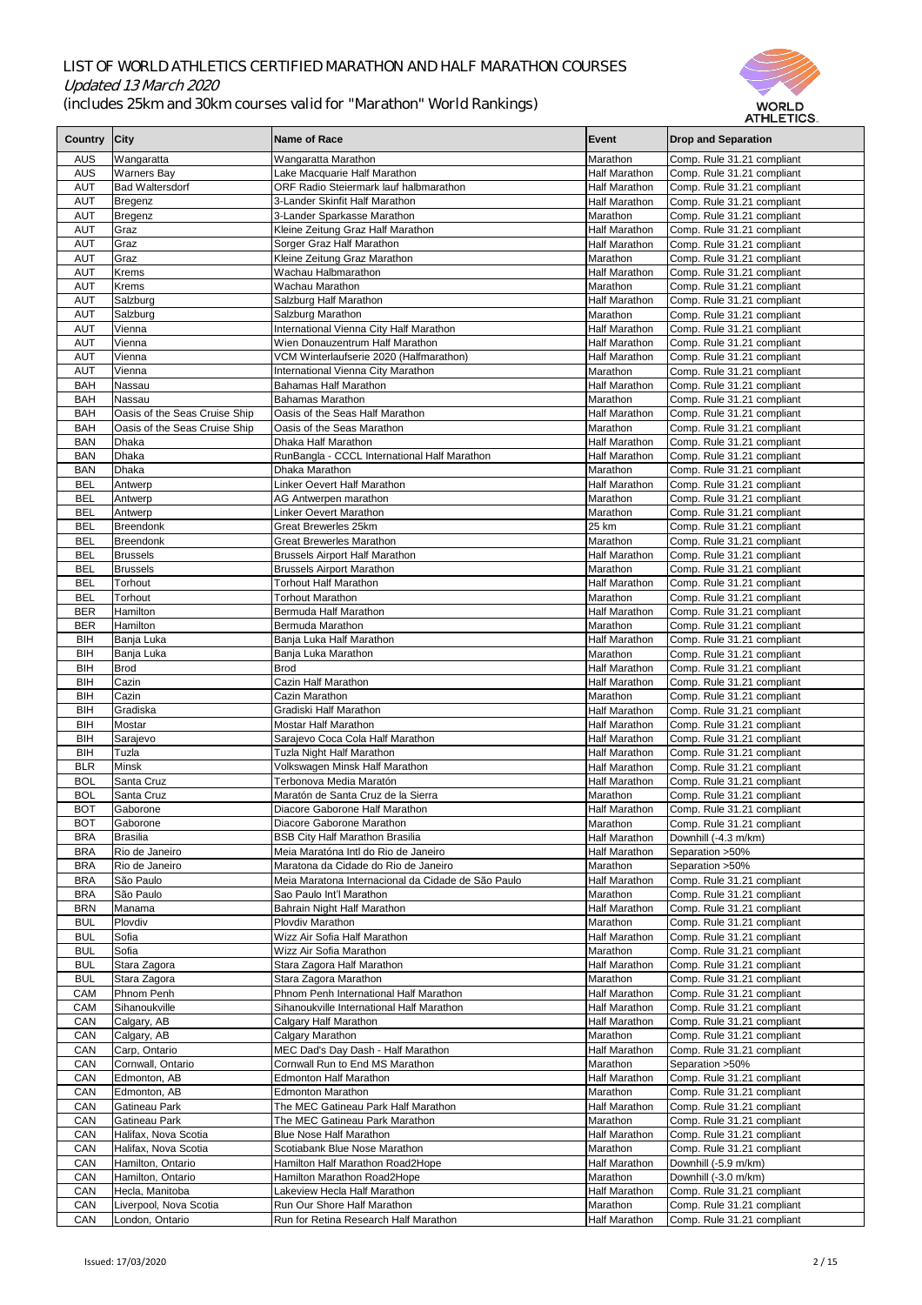

|              |                               |                                                    |                      | AI NLE I IVƏ               |
|--------------|-------------------------------|----------------------------------------------------|----------------------|----------------------------|
| Country City |                               | Name of Race                                       | Event                | <b>Drop and Separation</b> |
|              |                               |                                                    |                      |                            |
| <b>AUS</b>   | Wangaratta                    | Wangaratta Marathon                                | Marathon             | Comp. Rule 31.21 compliant |
| <b>AUS</b>   | <b>Warners Bay</b>            | Lake Macquarie Half Marathon                       | <b>Half Marathon</b> | Comp. Rule 31.21 compliant |
| <b>AUT</b>   | <b>Bad Waltersdorf</b>        | ORF Radio Steiermark lauf halbmarathon             | <b>Half Marathon</b> | Comp. Rule 31.21 compliant |
| <b>AUT</b>   | Bregenz                       | 3-Lander Skinfit Half Marathon                     | <b>Half Marathon</b> | Comp. Rule 31.21 compliant |
| <b>AUT</b>   | Bregenz                       | 3-Lander Sparkasse Marathon                        | Marathon             | Comp. Rule 31.21 compliant |
| <b>AUT</b>   | Graz                          | Kleine Zeitung Graz Half Marathon                  | <b>Half Marathon</b> | Comp. Rule 31.21 compliant |
| <b>AUT</b>   | Graz                          | Sorger Graz Half Marathon                          | <b>Half Marathon</b> | Comp. Rule 31.21 compliant |
| <b>AUT</b>   | Graz                          | Kleine Zeitung Graz Marathon                       | Marathon             | Comp. Rule 31.21 compliant |
| <b>AUT</b>   | <b>Krems</b>                  | Wachau Halbmarathon                                | Half Marathon        | Comp. Rule 31.21 compliant |
| <b>AUT</b>   | Krems                         | Wachau Marathon                                    | Marathon             | Comp. Rule 31.21 compliant |
| <b>AUT</b>   | Salzburg                      | Salzburg Half Marathon                             | <b>Half Marathon</b> | Comp. Rule 31.21 compliant |
| <b>AUT</b>   | Salzburg                      | Salzburg Marathon                                  | Marathon             | Comp. Rule 31.21 compliant |
| <b>AUT</b>   | Vienna                        | International Vienna City Half Marathon            | Half Marathon        | Comp. Rule 31.21 compliant |
| <b>AUT</b>   | Vienna                        | Wien Donauzentrum Half Marathon                    | <b>Half Marathon</b> | Comp. Rule 31.21 compliant |
| <b>AUT</b>   | Vienna                        | VCM Winterlaufserie 2020 (Halfmarathon)            | <b>Half Marathon</b> | Comp. Rule 31.21 compliant |
| <b>AUT</b>   | Vienna                        | International Vienna City Marathon                 | Marathon             | Comp. Rule 31.21 compliant |
| <b>BAH</b>   | Nassau                        | <b>Bahamas Half Marathon</b>                       | Half Marathon        | Comp. Rule 31.21 compliant |
| <b>BAH</b>   | Nassau                        | <b>Bahamas Marathon</b>                            | Marathon             | Comp. Rule 31.21 compliant |
| <b>BAH</b>   | Oasis of the Seas Cruise Ship | Oasis of the Seas Half Marathon                    | Half Marathon        | Comp. Rule 31.21 compliant |
| <b>BAH</b>   | Oasis of the Seas Cruise Ship | Oasis of the Seas Marathon                         | Marathon             | Comp. Rule 31.21 compliant |
| <b>BAN</b>   | <b>Dhaka</b>                  | Dhaka Half Marathon                                | <b>Half Marathon</b> | Comp. Rule 31.21 compliant |
| <b>BAN</b>   | <b>Dhaka</b>                  |                                                    | <b>Half Marathon</b> |                            |
|              |                               | RunBangla - CCCL International Half Marathon       |                      | Comp. Rule 31.21 compliant |
| <b>BAN</b>   | <b>Dhaka</b>                  | Dhaka Marathon                                     | Marathon             | Comp. Rule 31.21 compliant |
| <b>BEL</b>   | Antwerp                       | <b>Linker Oevert Half Marathon</b>                 | <b>Half Marathon</b> | Comp. Rule 31.21 compliant |
| <b>BEL</b>   | Antwerp                       | AG Antwerpen marathon                              | Marathon             | Comp. Rule 31.21 compliant |
| <b>BEL</b>   | Antwerp                       | <b>Linker Oevert Marathon</b>                      | Marathon             | Comp. Rule 31.21 compliant |
| <b>BEL</b>   | <b>Breendonk</b>              | <b>Great Brewerles 25km</b>                        | 25 km                | Comp. Rule 31.21 compliant |
| <b>BEL</b>   | Breendonk                     | <b>Great Brewerles Marathon</b>                    | Marathon             | Comp. Rule 31.21 compliant |
| <b>BEL</b>   | <b>Brussels</b>               | <b>Brussels Airport Half Marathon</b>              | <b>Half Marathon</b> | Comp. Rule 31.21 compliant |
| <b>BEL</b>   | <b>Brussels</b>               | <b>Brussels Airport Marathon</b>                   | Marathon             | Comp. Rule 31.21 compliant |
| <b>BEL</b>   | Torhout                       | <b>Torhout Half Marathon</b>                       | <b>Half Marathon</b> | Comp. Rule 31.21 compliant |
| <b>BEL</b>   | Torhout                       | <b>Torhout Marathon</b>                            | Marathon             | Comp. Rule 31.21 compliant |
| <b>BER</b>   | <b>Hamilton</b>               | Bermuda Half Marathon                              | <b>Half Marathon</b> | Comp. Rule 31.21 compliant |
| <b>BER</b>   | <b>Hamilton</b>               | Bermuda Marathon                                   | Marathon             | Comp. Rule 31.21 compliant |
| <b>BIH</b>   | Banja Luka                    | Banja Luka Half Marathon                           | <b>Half Marathon</b> | Comp. Rule 31.21 compliant |
| <b>BIH</b>   | Banja Luka                    | Banja Luka Marathon                                | Marathon             | Comp. Rule 31.21 compliant |
| <b>BIH</b>   | <b>Brod</b>                   | <b>Brod</b>                                        | <b>Half Marathon</b> | Comp. Rule 31.21 compliant |
| <b>BIH</b>   | Cazin                         | Cazin Half Marathon                                | <b>Half Marathon</b> | Comp. Rule 31.21 compliant |
| <b>BIH</b>   | Cazin                         | Cazin Marathon                                     | Marathon             | Comp. Rule 31.21 compliant |
| <b>BIH</b>   | Gradiska                      | Gradiski Half Marathon                             | <b>Half Marathon</b> | Comp. Rule 31.21 compliant |
| <b>BIH</b>   | Mostar                        | <b>Mostar Half Marathon</b>                        | <b>Half Marathon</b> | Comp. Rule 31.21 compliant |
| <b>BIH</b>   | Sarajevo                      | Sarajevo Coca Cola Half Marathon                   | <b>Half Marathon</b> | Comp. Rule 31.21 compliant |
| <b>BIH</b>   | Tuzla                         | Tuzla Night Half Marathon                          | <b>Half Marathon</b> | Comp. Rule 31.21 compliant |
| <b>BLR</b>   | <b>Minsk</b>                  | Volkswagen Minsk Half Marathon                     | <b>Half Marathon</b> | Comp. Rule 31.21 compliant |
| <b>BOL</b>   | Santa Cruz                    | Terbonova Media Maratón                            | <b>Half Marathon</b> | Comp. Rule 31.21 compliant |
| <b>BOL</b>   | Santa Cruz                    | Maratón de Santa Cruz de la Sierra                 | Marathon             | Comp. Rule 31.21 compliant |
| <b>BOT</b>   | Gaborone                      | Diacore Gaborone Half Marathon                     | <b>Half Marathon</b> | Comp. Rule 31.21 compliant |
| <b>BOT</b>   | Gaborone                      | Diacore Gaborone Marathon                          | Marathon             | Comp. Rule 31.21 compliant |
| <b>BRA</b>   | Brasilia                      | <b>BSB City Half Marathon Brasilia</b>             | <b>Half Marathon</b> | Downhill (-4.3 m/km)       |
| <b>BRA</b>   | Rio de Janeiro                | Meia Maratóna Intl do Rio de Janeiro               | <b>Half Marathon</b> | Separation > 50%           |
| <b>BRA</b>   | Rio de Janeiro                | Maratona da Cidade do Rio de Janeiro               | Marathon             | Separation > 50%           |
| <b>BRA</b>   | São Paulo                     | Meia Maratona Internacional da Cidade de São Paulo | Half Marathon        | Comp. Rule 31.21 compliant |
| <b>BRA</b>   | São Paulo                     | Sao Paulo Int'l Marathon                           | Marathon             | Comp. Rule 31.21 compliant |
| <b>BRN</b>   | Manama                        | Bahrain Night Half Marathon                        | Half Marathon        |                            |
| <b>BUL</b>   | Plovdiv                       | Plovdiv Marathon                                   | Marathon             | Comp. Rule 31.21 compliant |
|              |                               |                                                    |                      | Comp. Rule 31.21 compliant |
| <b>BUL</b>   | Sofia                         | Wizz Air Sofia Half Marathon                       | Half Marathon        | Comp. Rule 31.21 compliant |
| <b>BUL</b>   | Sofia                         | Wizz Air Sofia Marathon                            | Marathon             | Comp. Rule 31.21 compliant |
| <b>BUL</b>   | Stara Zagora                  | Stara Zagora Half Marathon                         | Half Marathon        | Comp. Rule 31.21 compliant |
| <b>BUL</b>   | Stara Zagora                  | Stara Zagora Marathon                              | Marathon             | Comp. Rule 31.21 compliant |
| <b>CAM</b>   | Phnom Penh                    | Phnom Penh International Half Marathon             | Half Marathon        | Comp. Rule 31.21 compliant |
| <b>CAM</b>   | Sihanoukville                 | Sihanoukville International Half Marathon          | <b>Half Marathon</b> | Comp. Rule 31.21 compliant |
| <b>CAN</b>   | Calgary, AB                   | Calgary Half Marathon                              | Half Marathon        | Comp. Rule 31.21 compliant |
| <b>CAN</b>   | Calgary, AB                   | Calgary Marathon                                   | Marathon             | Comp. Rule 31.21 compliant |
| <b>CAN</b>   | Carp, Ontario                 | MEC Dad's Day Dash - Half Marathon                 | Half Marathon        | Comp. Rule 31.21 compliant |
| <b>CAN</b>   | Cornwall, Ontario             | Cornwall Run to End MS Marathon                    | Marathon             | Separation > 50%           |
| <b>CAN</b>   | Edmonton, AB                  | <b>Edmonton Half Marathon</b>                      | Half Marathon        | Comp. Rule 31.21 compliant |
| <b>CAN</b>   | Edmonton, AB                  | <b>Edmonton Marathon</b>                           | Marathon             | Comp. Rule 31.21 compliant |
| <b>CAN</b>   | <b>Gatineau Park</b>          | The MEC Gatineau Park Half Marathon                | <b>Half Marathon</b> | Comp. Rule 31.21 compliant |
| <b>CAN</b>   | <b>Gatineau Park</b>          | The MEC Gatineau Park Marathon                     | Marathon             | Comp. Rule 31.21 compliant |
| <b>CAN</b>   | Halifax, Nova Scotia          | <b>Blue Nose Half Marathon</b>                     | Half Marathon        | Comp. Rule 31.21 compliant |
| <b>CAN</b>   | Halifax, Nova Scotia          | Scotiabank Blue Nose Marathon                      | Marathon             | Comp. Rule 31.21 compliant |
| <b>CAN</b>   | Hamilton, Ontario             | Hamilton Half Marathon Road2Hope                   | Half Marathon        | Downhill (-5.9 m/km)       |
| <b>CAN</b>   | Hamilton, Ontario             | Hamilton Marathon Road2Hope                        | Marathon             | Downhill (-3.0 m/km)       |
| <b>CAN</b>   | Hecla, Manitoba               | Lakeview Hecla Half Marathon                       | <b>Half Marathon</b> | Comp. Rule 31.21 compliant |
| <b>CAN</b>   | Liverpool, Nova Scotia        | Run Our Shore Half Marathon                        | Marathon             | Comp. Rule 31.21 compliant |
| CAN          | London, Ontario               | Run for Retina Research Half Marathon              | Half Marathon        | Comp. Rule 31.21 compliant |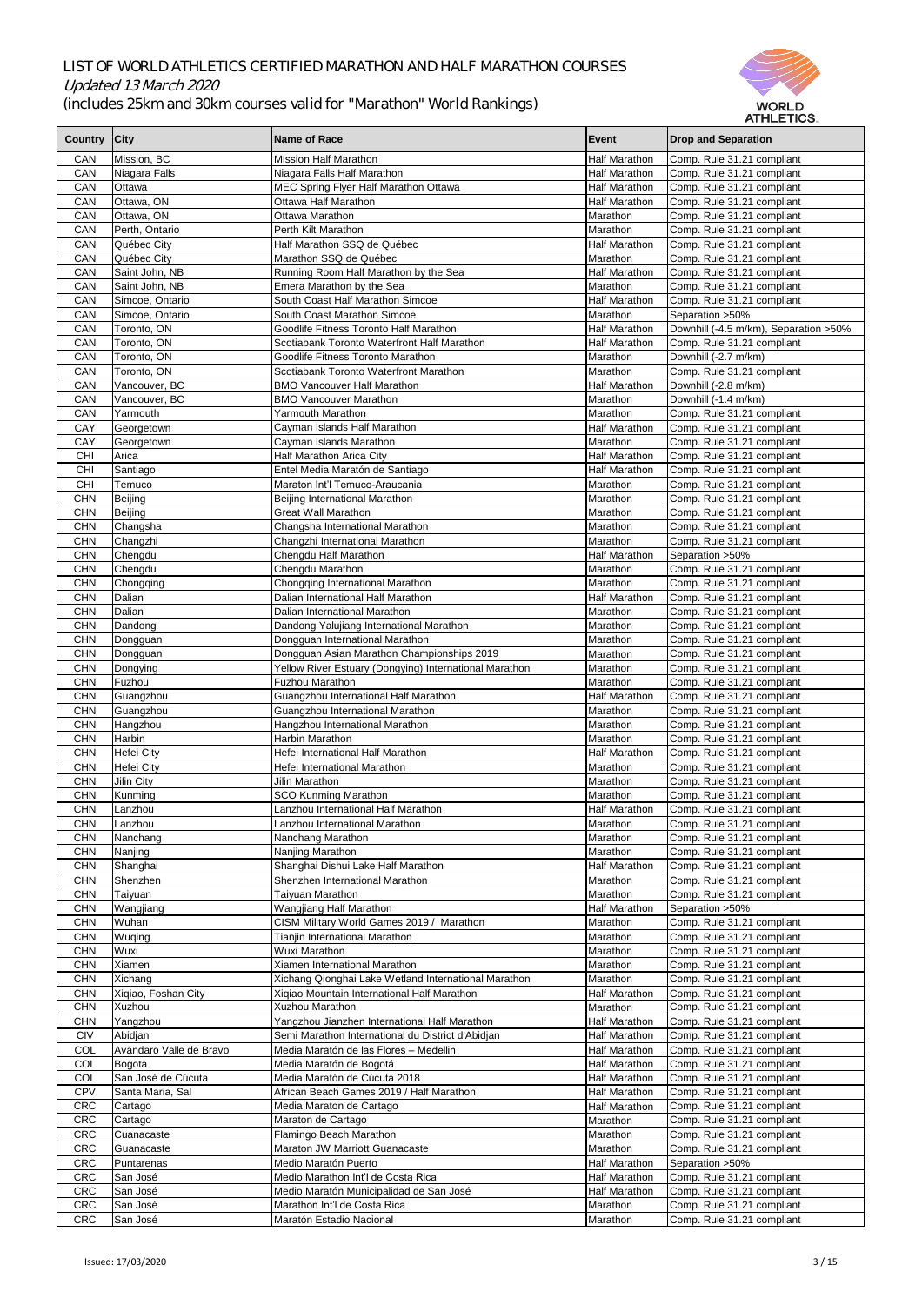

|                          |                         |                                                                               |                                  | AI HLE HUS.                                              |
|--------------------------|-------------------------|-------------------------------------------------------------------------------|----------------------------------|----------------------------------------------------------|
| Country City             |                         | Name of Race                                                                  | Event                            | <b>Drop and Separation</b>                               |
| <b>CAN</b>               | Mission, BC             | <b>Mission Half Marathon</b>                                                  | <b>Half Marathon</b>             | Comp. Rule 31.21 compliant                               |
| <b>CAN</b>               | Niagara Falls           | Niagara Falls Half Marathon                                                   | <b>Half Marathon</b>             | Comp. Rule 31.21 compliant                               |
| <b>CAN</b>               | <b>Ottawa</b>           | MEC Spring Flyer Half Marathon Ottawa                                         | <b>Half Marathon</b>             | Comp. Rule 31.21 compliant                               |
| <b>CAN</b>               | Ottawa, ON              | <b>Ottawa Half Marathon</b>                                                   | <b>Half Marathon</b>             | Comp. Rule 31.21 compliant                               |
| <b>CAN</b>               | Ottawa, ON              | <b>Ottawa Marathon</b>                                                        | Marathon                         | Comp. Rule 31.21 compliant                               |
| <b>CAN</b>               | Perth, Ontario          | Perth Kilt Marathon                                                           | Marathon                         | Comp. Rule 31.21 compliant                               |
| <b>CAN</b>               | Québec City             | Half Marathon SSQ de Québec                                                   | Half Marathon                    | Comp. Rule 31.21 compliant                               |
| <b>CAN</b>               | Québec City             | Marathon SSQ de Québec                                                        | Marathon                         | Comp. Rule 31.21 compliant                               |
| <b>CAN</b>               | Saint John, NB          | Running Room Half Marathon by the Sea                                         | <b>Half Marathon</b>             | Comp. Rule 31.21 compliant                               |
| <b>CAN</b>               | Saint John, NB          | Emera Marathon by the Sea                                                     | Marathon                         | Comp. Rule 31.21 compliant                               |
| <b>CAN</b>               | Simcoe, Ontario         | South Coast Half Marathon Simcoe                                              | Half Marathon                    | Comp. Rule 31.21 compliant                               |
| <b>CAN</b>               | Simcoe, Ontario         | South Coast Marathon Simcoe                                                   | Marathon                         | Separation > 50%                                         |
| <b>CAN</b>               | Toronto, ON             | Goodlife Fitness Toronto Half Marathon                                        | <b>Half Marathon</b>             | Downhill (-4.5 m/km), Separation > 50%                   |
| <b>CAN</b>               | Toronto, ON             | Scotiabank Toronto Waterfront Half Marathon                                   | <b>Half Marathon</b>             | Comp. Rule 31.21 compliant                               |
| <b>CAN</b>               | Toronto, ON             | Goodlife Fitness Toronto Marathon                                             | Marathon                         | Downhill (-2.7 m/km)                                     |
| <b>CAN</b>               | Toronto, ON             | Scotiabank Toronto Waterfront Marathon                                        | Marathon                         | Comp. Rule 31.21 compliant                               |
| <b>CAN</b>               | Vancouver, BC           | <b>BMO Vancouver Half Marathon</b>                                            | <b>Half Marathon</b>             | Downhill (-2.8 m/km)                                     |
| <b>CAN</b>               | Vancouver, BC           | <b>BMO Vancouver Marathon</b>                                                 | Marathon                         | Downhill (-1.4 m/km)                                     |
| <b>CAN</b>               | Yarmouth                | <b>Yarmouth Marathon</b>                                                      | Marathon                         | Comp. Rule 31.21 compliant                               |
| <b>CAY</b>               | Georgetown              | Cayman Islands Half Marathon                                                  | <b>Half Marathon</b>             | Comp. Rule 31.21 compliant                               |
| <b>CAY</b>               | Georgetown              | Cayman Islands Marathon                                                       | Marathon                         | Comp. Rule 31.21 compliant                               |
| <b>CHI</b>               | Arica                   | Half Marathon Arica City                                                      | <b>Half Marathon</b>             | Comp. Rule 31.21 compliant                               |
| <b>CHI</b>               | Santiago                | Entel Media Maratón de Santiago                                               | Half Marathon                    | Comp. Rule 31.21 compliant                               |
| <b>CHI</b>               | Temuco                  | Maraton Int'l Temuco-Araucania                                                | Marathon                         | Comp. Rule 31.21 compliant                               |
| <b>CHN</b>               | Beijing                 | Beijing International Marathon                                                | Marathon                         | Comp. Rule 31.21 compliant                               |
| <b>CHN</b>               | Beijing                 | <b>Great Wall Marathon</b>                                                    | Marathon                         | Comp. Rule 31.21 compliant                               |
| <b>CHN</b>               | Changsha                | Changsha International Marathon                                               | Marathon<br>Marathon             | Comp. Rule 31.21 compliant                               |
| <b>CHN</b><br><b>CHN</b> | Changzhi<br>Chengdu     | Changzhi International Marathon<br>Chengdu Half Marathon                      | <b>Half Marathon</b>             | Comp. Rule 31.21 compliant<br>Separation > 50%           |
| <b>CHN</b>               | Chengdu                 | Chengdu Marathon                                                              | Marathon                         | Comp. Rule 31.21 compliant                               |
| <b>CHN</b>               | Chongqing               | Chongqing International Marathon                                              | Marathon                         | Comp. Rule 31.21 compliant                               |
| <b>CHN</b>               | Dalian                  | Dalian International Half Marathon                                            | <b>Half Marathon</b>             | Comp. Rule 31.21 compliant                               |
| <b>CHN</b>               | Dalian                  | Dalian International Marathon                                                 | Marathon                         | Comp. Rule 31.21 compliant                               |
| <b>CHN</b>               | Dandong                 | Dandong Yalujiang International Marathon                                      | Marathon                         | Comp. Rule 31.21 compliant                               |
| <b>CHN</b>               | Dongguan                | Dongguan International Marathon                                               | Marathon                         | Comp. Rule 31.21 compliant                               |
| <b>CHN</b>               | Dongguan                | Dongguan Asian Marathon Championships 2019                                    | Marathon                         | Comp. Rule 31.21 compliant                               |
| <b>CHN</b>               | Dongying                | Yellow River Estuary (Dongying) International Marathon                        | Marathon                         | Comp. Rule 31.21 compliant                               |
| <b>CHN</b>               | Fuzhou                  | <b>Fuzhou Marathon</b>                                                        | Marathon                         | Comp. Rule 31.21 compliant                               |
| <b>CHN</b>               | Guangzhou               | Guangzhou International Half Marathon                                         | Half Marathon                    | Comp. Rule 31.21 compliant                               |
| <b>CHN</b>               | Guangzhou               | Guangzhou International Marathon                                              | Marathon                         | Comp. Rule 31.21 compliant                               |
| <b>CHN</b>               | Hangzhou                | Hangzhou International Marathon                                               | Marathon                         | Comp. Rule 31.21 compliant                               |
| <b>CHN</b>               | <b>Harbin</b>           | Harbin Marathon                                                               | Marathon                         | Comp. Rule 31.21 compliant                               |
| <b>CHN</b>               | Hefei City              | Hefei International Half Marathon                                             | <b>Half Marathon</b>             | Comp. Rule 31.21 compliant                               |
| <b>CHN</b>               | Hefei City              | Hefei International Marathon                                                  | Marathon                         | Comp. Rule 31.21 compliant                               |
| <b>CHN</b>               | Jilin City              | Jilin Marathon                                                                | Marathon                         | Comp. Rule 31.21 compliant                               |
| <b>CHN</b>               | Kunming                 | <b>SCO Kunming Marathon</b>                                                   | Marathon                         | Comp. Rule 31.21 compliant                               |
| <b>CHN</b>               | Lanzhou                 | Lanzhou International Half Marathon                                           | <b>Half Marathon</b>             | Comp. Rule 31.21 compliant                               |
| <b>CHN</b>               | Lanzhou                 | Lanzhou International Marathon                                                | Marathon                         | Comp. Rule 31.21 compliant                               |
| <b>CHN</b>               | Nanchang                | Nanchang Marathon                                                             | Marathon                         | Comp. Rule 31.21 compliant                               |
| <b>CHN</b>               | Nanjing                 | Nanjing Marathon                                                              | Marathon                         | Comp. Rule 31.21 compliant                               |
| <b>CHN</b><br><b>CHN</b> | Shanghai<br>Shenzhen    | Shanghai Dishui Lake Half Marathon<br>Shenzhen International Marathon         | <b>Half Marathon</b><br>Marathon | Comp. Rule 31.21 compliant<br>Comp. Rule 31.21 compliant |
| <b>CHN</b>               | Taiyuan                 | <b>Taiyuan Marathon</b>                                                       | Marathon                         | Comp. Rule 31.21 compliant                               |
| <b>CHN</b>               | Wangjiang               | <b>Wangjiang Half Marathon</b>                                                | <b>Half Marathon</b>             | Separation > 50%                                         |
| <b>CHN</b>               | Wuhan                   | CISM Military World Games 2019 / Marathon                                     | Marathon                         | Comp. Rule 31.21 compliant                               |
| <b>CHN</b>               | <b>Wuqing</b>           | Tianjin International Marathon                                                | Marathon                         | Comp. Rule 31.21 compliant                               |
| <b>CHN</b>               | Wuxi                    | <b>Wuxi Marathon</b>                                                          | Marathon                         | Comp. Rule 31.21 compliant                               |
| <b>CHN</b>               | Xiamen                  | Xiamen International Marathon                                                 | Marathon                         | Comp. Rule 31.21 compliant                               |
| <b>CHN</b>               | Xichang                 | Xichang Qionghai Lake Wetland International Marathon                          | Marathon                         | Comp. Rule 31.21 compliant                               |
| <b>CHN</b>               | Xiqiao, Foshan City     | Xiqiao Mountain International Half Marathon                                   | <b>Half Marathon</b>             | Comp. Rule 31.21 compliant                               |
| <b>CHN</b>               | Xuzhou                  | <b>Xuzhou Marathon</b>                                                        | Marathon                         | Comp. Rule 31.21 compliant                               |
| <b>CHN</b>               | Yangzhou                | Yangzhou Jianzhen International Half Marathon                                 | <b>Half Marathon</b>             | Comp. Rule 31.21 compliant                               |
| <b>CIV</b>               | Abidjan                 | Semi Marathon International du District d'Abidjan                             | <b>Half Marathon</b>             | Comp. Rule 31.21 compliant                               |
| COL                      | Avándaro Valle de Bravo | Media Maratón de las Flores - Medellin                                        | <b>Half Marathon</b>             | Comp. Rule 31.21 compliant                               |
| <b>COL</b>               | Bogota                  | Media Maratón de Bogotá                                                       | <b>Half Marathon</b>             | Comp. Rule 31.21 compliant                               |
| <b>COL</b>               | San José de Cúcuta      | Media Maratón de Cúcuta 2018                                                  | <b>Half Marathon</b>             | Comp. Rule 31.21 compliant                               |
| <b>CPV</b>               | Santa Maria, Sal        | African Beach Games 2019 / Half Marathon                                      | <b>Half Marathon</b>             | Comp. Rule 31.21 compliant                               |
| <b>CRC</b>               | Cartago                 | Media Maraton de Cartago                                                      | <b>Half Marathon</b>             | Comp. Rule 31.21 compliant                               |
| <b>CRC</b>               | Cartago                 | Maraton de Cartago                                                            | Marathon                         | Comp. Rule 31.21 compliant                               |
| <b>CRC</b>               | Cuanacaste              | Flamingo Beach Marathon                                                       | Marathon                         | Comp. Rule 31.21 compliant                               |
| <b>CRC</b>               | Guanacaste              | <b>Maraton JW Marriott Guanacaste</b>                                         | Marathon                         | Comp. Rule 31.21 compliant                               |
| <b>CRC</b>               | Puntarenas              | Medio Maratón Puerto                                                          | <b>Half Marathon</b>             | Separation > 50%                                         |
| <b>CRC</b>               | San José                | Medio Marathon Int'l de Costa Rica<br>Medio Maratón Municipalidad de San José | <b>Half Marathon</b>             | Comp. Rule 31.21 compliant                               |
| <b>CRC</b><br><b>CRC</b> | San José<br>San José    | Marathon Int'l de Costa Rica                                                  | <b>Half Marathon</b><br>Marathon | Comp. Rule 31.21 compliant<br>Comp. Rule 31.21 compliant |
| <b>CRC</b>               | San José                | Maratón Estadio Nacional                                                      | Marathon                         | Comp. Rule 31.21 compliant                               |
|                          |                         |                                                                               |                                  |                                                          |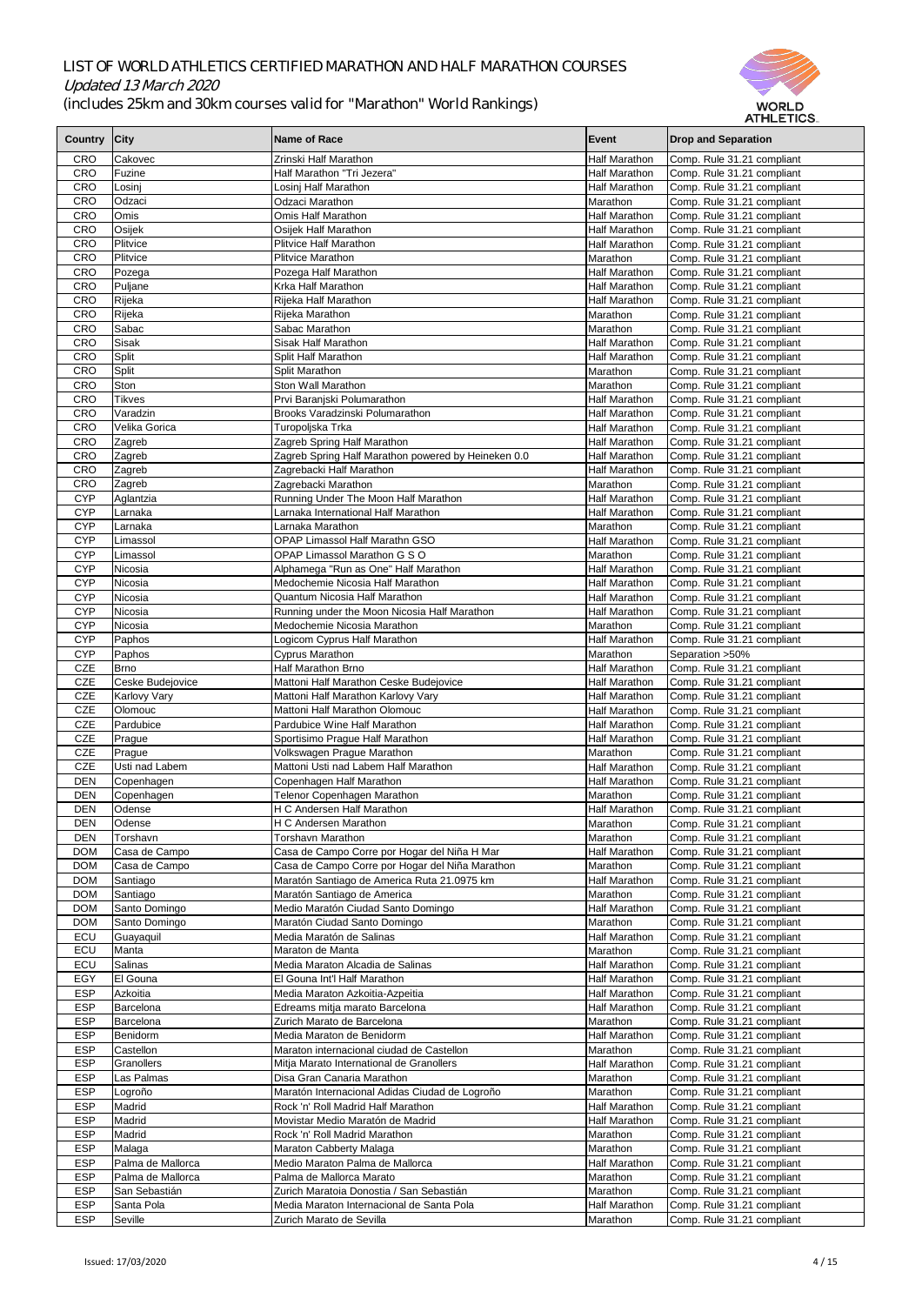

|                |                     |                                                     |                      | AI NLE I IVY.              |
|----------------|---------------------|-----------------------------------------------------|----------------------|----------------------------|
| <b>Country</b> | <b>City</b>         | Name of Race                                        | Event                | <b>Drop and Separation</b> |
|                |                     |                                                     |                      |                            |
| <b>CRO</b>     | Cakovec             | Zrinski Half Marathon                               | <b>Half Marathon</b> | Comp. Rule 31.21 compliant |
| <b>CRO</b>     | Fuzine              | Half Marathon "Tri Jezera"                          | Half Marathon        | Comp. Rule 31.21 compliant |
| <b>CRO</b>     | Losinj              | Losinj Half Marathon                                | <b>Half Marathon</b> | Comp. Rule 31.21 compliant |
| <b>CRO</b>     | Odzaci              | <b>Odzaci Marathon</b>                              | Marathon             | Comp. Rule 31.21 compliant |
| <b>CRO</b>     | <b>Omis</b>         | <b>Omis Half Marathon</b>                           | <b>Half Marathon</b> |                            |
|                |                     |                                                     |                      | Comp. Rule 31.21 compliant |
| <b>CRO</b>     | Osijek              | Osijek Half Marathon                                | Half Marathon        | Comp. Rule 31.21 compliant |
| <b>CRO</b>     | Plitvice            | <b>Plitvice Half Marathon</b>                       | <b>Half Marathon</b> | Comp. Rule 31.21 compliant |
| <b>CRO</b>     | Plitvice            | <b>Plitvice Marathon</b>                            | Marathon             | Comp. Rule 31.21 compliant |
| <b>CRO</b>     | Pozega              | Pozega Half Marathon                                | <b>Half Marathon</b> | Comp. Rule 31.21 compliant |
| <b>CRO</b>     | Puljane             | <b>Krka Half Marathon</b>                           | Half Marathon        | Comp. Rule 31.21 compliant |
| <b>CRO</b>     | Rijeka              | Rijeka Half Marathon                                | <b>Half Marathon</b> | Comp. Rule 31.21 compliant |
| <b>CRO</b>     | Rijeka              | Rijeka Marathon                                     | Marathon             | Comp. Rule 31.21 compliant |
|                |                     |                                                     |                      |                            |
| <b>CRO</b>     | <b>Sabac</b>        | Sabac Marathon                                      | <b>I</b> Marathon    | Comp. Rule 31.21 compliant |
| <b>CRO</b>     | Sisak               | <b>Sisak Half Marathon</b>                          | <b>Half Marathon</b> | Comp. Rule 31.21 compliant |
| <b>CRO</b>     | Split               | Split Half Marathon                                 | <b>Half Marathon</b> | Comp. Rule 31.21 compliant |
| <b>CRO</b>     | Split               | <b>Split Marathon</b>                               | Marathon             | Comp. Rule 31.21 compliant |
| <b>CRO</b>     | Ston                | Ston Wall Marathon                                  | Marathon             | Comp. Rule 31.21 compliant |
| <b>CRO</b>     | <b>Tikves</b>       | Prvi Baranjski Polumarathon                         | <b>Half Marathon</b> | Comp. Rule 31.21 compliant |
| <b>CRO</b>     | Varadzin            | Brooks Varadzinski Polumarathon                     | <b>Half Marathon</b> | Comp. Rule 31.21 compliant |
|                |                     |                                                     |                      |                            |
| <b>CRO</b>     | Velika Gorica       | Turopoljska Trka                                    | <b>Half Marathon</b> | Comp. Rule 31.21 compliant |
| <b>CRO</b>     | Zagreb              | Zagreb Spring Half Marathon                         | <b>Half Marathon</b> | Comp. Rule 31.21 compliant |
| <b>CRO</b>     | Zagreb              | Zagreb Spring Half Marathon powered by Heineken 0.0 | <b>Half Marathon</b> | Comp. Rule 31.21 compliant |
| <b>CRO</b>     | Zagreb              | Zagrebacki Half Marathon                            | <b>Half Marathon</b> | Comp. Rule 31.21 compliant |
| <b>CRO</b>     | Zagreb              | Zagrebacki Marathon                                 | Marathon             | Comp. Rule 31.21 compliant |
| <b>CYP</b>     | Aglantzia           | Running Under The Moon Half Marathon                | <b>Half Marathon</b> | Comp. Rule 31.21 compliant |
| <b>CYP</b>     | Larnaka             | Larnaka International Half Marathon                 |                      |                            |
|                |                     |                                                     | <b>Half Marathon</b> | Comp. Rule 31.21 compliant |
| <b>CYP</b>     | Larnaka             | Larnaka Marathon                                    | Marathon             | Comp. Rule 31.21 compliant |
| <b>CYP</b>     | Limassol            | <b>OPAP Limassol Half Marathn GSO</b>               | Half Marathon        | Comp. Rule 31.21 compliant |
| <b>CYP</b>     | Limassol            | OPAP Limassol Marathon G S O                        | Marathon             | Comp. Rule 31.21 compliant |
| <b>CYP</b>     | Nicosia             | Alphamega "Run as One" Half Marathon                | <b>Half Marathon</b> | Comp. Rule 31.21 compliant |
| <b>CYP</b>     | Nicosia             | Medochemie Nicosia Half Marathon                    | <b>Half Marathon</b> | Comp. Rule 31.21 compliant |
|                |                     | <b>Quantum Nicosia Half Marathon</b>                |                      |                            |
| <b>CYP</b>     | Nicosia             |                                                     | <b>Half Marathon</b> | Comp. Rule 31.21 compliant |
| <b>CYP</b>     | Nicosia             | Running under the Moon Nicosia Half Marathon        | <b>Half Marathon</b> | Comp. Rule 31.21 compliant |
| <b>CYP</b>     | Nicosia             | Medochemie Nicosia Marathon                         | Marathon             | Comp. Rule 31.21 compliant |
| <b>CYP</b>     | Paphos              | Logicom Cyprus Half Marathon                        | <b>Half Marathon</b> | Comp. Rule 31.21 compliant |
| <b>CYP</b>     | Paphos              | <b>Cyprus Marathon</b>                              | Marathon             | Separation > 50%           |
| <b>CZE</b>     | <b>Brno</b>         | Half Marathon Brno                                  | <b>Half Marathon</b> | Comp. Rule 31.21 compliant |
| <b>CZE</b>     | Ceske Budejovice    | Mattoni Half Marathon Ceske Budejovice              | <b>Half Marathon</b> | Comp. Rule 31.21 compliant |
| <b>CZE</b>     |                     |                                                     |                      |                            |
|                | <b>Karlovy Vary</b> | Mattoni Half Marathon Karlovy Vary                  | <b>Half Marathon</b> | Comp. Rule 31.21 compliant |
| <b>CZE</b>     | Olomouc             | Mattoni Half Marathon Olomouc                       | Half Marathon        | Comp. Rule 31.21 compliant |
| <b>CZE</b>     | Pardubice           | Pardubice Wine Half Marathon                        | Half Marathon        | Comp. Rule 31.21 compliant |
| <b>CZE</b>     | Prague              | Sportisimo Prague Half Marathon                     | <b>Half Marathon</b> | Comp. Rule 31.21 compliant |
| <b>CZE</b>     | Prague              | Volkswagen Prague Marathon                          | Marathon             | Comp. Rule 31.21 compliant |
| <b>CZE</b>     | Usti nad Labem      | Mattoni Usti nad Labem Half Marathon                | <b>Half Marathon</b> | Comp. Rule 31.21 compliant |
| <b>DEN</b>     | Copenhagen          | Copenhagen Half Marathon                            | <b>Half Marathon</b> | Comp. Rule 31.21 compliant |
| <b>DEN</b>     |                     |                                                     |                      |                            |
|                | Copenhagen          | Telenor Copenhagen Marathon                         | Marathon             | Comp. Rule 31.21 compliant |
| <b>DEN</b>     | Odense              | H C Andersen Half Marathon                          | <b>Half Marathon</b> | Comp. Rule 31.21 compliant |
| <b>DEN</b>     | Odense              | H C Andersen Marathon                               | Marathon             | Comp. Rule 31.21 compliant |
| <b>DEN</b>     | Torshavn            | Torshavn Marathon                                   | Marathon             | Comp. Rule 31.21 compliant |
| <b>DOM</b>     | Casa de Campo       | Casa de Campo Corre por Hogar del Niña H Mar        | <b>Half Marathon</b> | Comp. Rule 31.21 compliant |
| <b>DOM</b>     | Casa de Campo       | Casa de Campo Corre por Hogar del Niña Marathon     | Marathon             | Comp. Rule 31.21 compliant |
| <b>DOM</b>     | Santiago            | Maratón Santiago de America Ruta 21.0975 km         | <b>Half Marathon</b> | Comp. Rule 31.21 compliant |
| <b>DOM</b>     | Santiago            | Maratón Santiago de America                         | Marathon             | Comp. Rule 31.21 compliant |
|                |                     |                                                     |                      |                            |
| <b>DOM</b>     | Santo Domingo       | Medio Maratón Ciudad Santo Domingo                  | <b>Half Marathon</b> | Comp. Rule 31.21 compliant |
| <b>DOM</b>     | Santo Domingo       | Maratón Ciudad Santo Domingo                        | Marathon             | Comp. Rule 31.21 compliant |
| ECU            | Guayaquil           | Media Maratón de Salinas                            | <b>Half Marathon</b> | Comp. Rule 31.21 compliant |
| ECU            | Manta               | Maraton de Manta                                    | Marathon             | Comp. Rule 31.21 compliant |
| ECU            | <b>Salinas</b>      | Media Maraton Alcadia de Salinas                    | Half Marathon        | Comp. Rule 31.21 compliant |
| <b>EGY</b>     | El Gouna            | El Gouna Int'l Half Marathon                        | <b>Half Marathon</b> | Comp. Rule 31.21 compliant |
| <b>ESP</b>     | Azkoitia            | Media Maraton Azkoitia-Azpeitia                     | <b>Half Marathon</b> | Comp. Rule 31.21 compliant |
| <b>ESP</b>     | Barcelona           | Edreams mitja marato Barcelona                      | <b>Half Marathon</b> |                            |
|                |                     |                                                     |                      | Comp. Rule 31.21 compliant |
| <b>ESP</b>     | Barcelona           | Zurich Marato de Barcelona                          | Marathon             | Comp. Rule 31.21 compliant |
| <b>ESP</b>     | Benidorm            | Media Maraton de Benidorm                           | <b>Half Marathon</b> | Comp. Rule 31.21 compliant |
| <b>ESP</b>     | Castellon           | Maraton internacional ciudad de Castellon           | Marathon             | Comp. Rule 31.21 compliant |
| <b>ESP</b>     | <b>Granollers</b>   | Mitja Marato International de Granollers            | <b>Half Marathon</b> | Comp. Rule 31.21 compliant |
| <b>ESP</b>     | Las Palmas          | Disa Gran Canaria Marathon                          | Marathon             | Comp. Rule 31.21 compliant |
| <b>ESP</b>     | Logroño             | Maratón Internacional Adidas Ciudad de Logroño      | Marathon             | Comp. Rule 31.21 compliant |
|                |                     |                                                     |                      |                            |
| <b>ESP</b>     | Madrid              | Rock 'n' Roll Madrid Half Marathon                  | <b>Half Marathon</b> | Comp. Rule 31.21 compliant |
| <b>ESP</b>     | Madrid              | Movistar Medio Maratón de Madrid                    | <b>Half Marathon</b> | Comp. Rule 31.21 compliant |
| <b>ESP</b>     | Madrid              | Rock 'n' Roll Madrid Marathon                       | Marathon             | Comp. Rule 31.21 compliant |
| <b>ESP</b>     | Malaga              | Maraton Cabberty Malaga                             | Marathon             | Comp. Rule 31.21 compliant |
| <b>ESP</b>     | Palma de Mallorca   | Medio Maraton Palma de Mallorca                     | <b>Half Marathon</b> | Comp. Rule 31.21 compliant |
| <b>ESP</b>     | Palma de Mallorca   | Palma de Mallorca Marato                            | Marathon             | Comp. Rule 31.21 compliant |
| <b>ESP</b>     | San Sebastián       | Zurich Maratoia Donostia / San Sebastián            | Marathon             | Comp. Rule 31.21 compliant |
|                |                     |                                                     |                      |                            |
| <b>ESP</b>     | Santa Pola          | Media Maraton Internacional de Santa Pola           | Half Marathon        | Comp. Rule 31.21 compliant |
| <b>ESP</b>     | Seville             | Zurich Marato de Sevilla                            | Marathon             | Comp. Rule 31.21 compliant |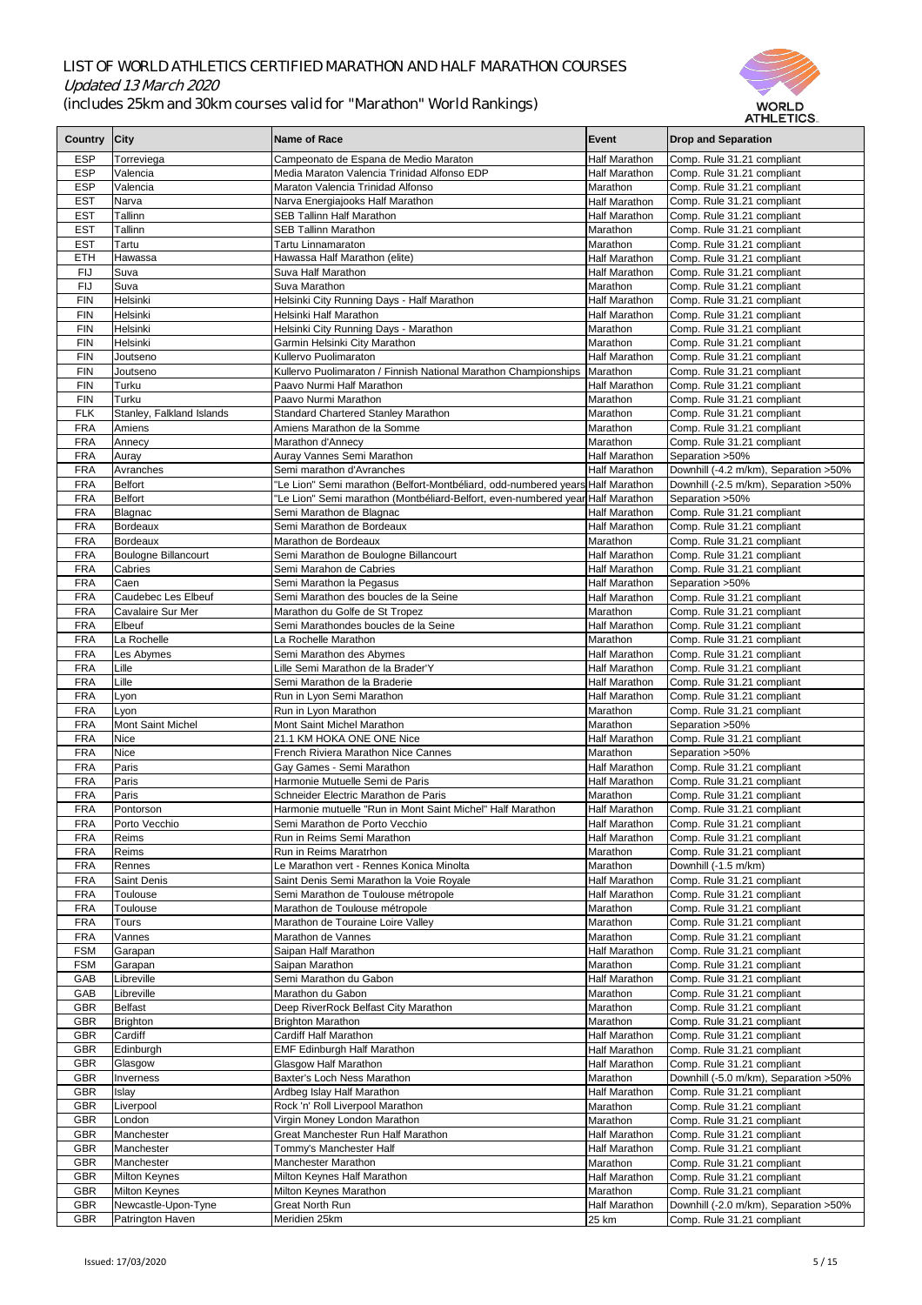

|                          |                            |                                                                                |                      | AI FILE I IVV.                         |
|--------------------------|----------------------------|--------------------------------------------------------------------------------|----------------------|----------------------------------------|
| <b>Country</b>           | <b>City</b>                | Name of Race                                                                   | Event                | <b>Drop and Separation</b>             |
|                          |                            |                                                                                |                      |                                        |
| <b>ESP</b>               | Torreviega                 | Campeonato de Espana de Medio Maraton                                          | <b>Half Marathon</b> | Comp. Rule 31.21 compliant             |
| <b>ESP</b>               | Valencia                   | Media Maraton Valencia Trinidad Alfonso EDP                                    | <b>Half Marathon</b> | Comp. Rule 31.21 compliant             |
| <b>ESP</b>               | Valencia                   | Maraton Valencia Trinidad Alfonso                                              | Marathon             | Comp. Rule 31.21 compliant             |
| <b>EST</b>               | Narva                      | Narva Energiajooks Half Marathon                                               | <b>Half Marathon</b> | Comp. Rule 31.21 compliant             |
| <b>EST</b>               | <b>Tallinn</b>             | <b>SEB Tallinn Half Marathon</b>                                               | <b>Half Marathon</b> | Comp. Rule 31.21 compliant             |
| <b>EST</b>               | <b>Tallinn</b>             | <b>SEB Tallinn Marathon</b>                                                    | Marathon             | Comp. Rule 31.21 compliant             |
| <b>EST</b>               | Tartu                      | Tartu Linnamaraton                                                             | Marathon             | Comp. Rule 31.21 compliant             |
| <b>ETH</b>               | Hawassa                    | Hawassa Half Marathon (elite)                                                  | <b>Half Marathon</b> | Comp. Rule 31.21 compliant             |
| <b>FIJ</b>               | Suva                       | Suva Half Marathon                                                             | <b>Half Marathon</b> | Comp. Rule 31.21 compliant             |
| <b>FIJ</b>               | Suva                       | Suva Marathon                                                                  | Marathon             | Comp. Rule 31.21 compliant             |
| <b>FIN</b>               | Helsinki                   | Helsinki City Running Days - Half Marathon                                     | <b>Half Marathon</b> | Comp. Rule 31.21 compliant             |
| <b>FIN</b>               | Helsinki                   | Helsinki Half Marathon                                                         | <b>Half Marathon</b> | Comp. Rule 31.21 compliant             |
| <b>FIN</b>               | Helsinki                   | Helsinki City Running Days - Marathon                                          | Marathon             | Comp. Rule 31.21 compliant             |
| <b>FIN</b>               | Helsinki                   | Garmin Helsinki City Marathon                                                  | Marathon             | Comp. Rule 31.21 compliant             |
| <b>FIN</b>               | Joutseno                   | <b>Kullervo Puolimaraton</b>                                                   | <b>Half Marathon</b> | Comp. Rule 31.21 compliant             |
| <b>FIN</b>               | Joutseno                   | Kullervo Puolimaraton / Finnish National Marathon Championships                | Marathon             | Comp. Rule 31.21 compliant             |
| <b>FIN</b>               | Turku                      | Paavo Nurmi Half Marathon                                                      | <b>Half Marathon</b> | Comp. Rule 31.21 compliant             |
| <b>FIN</b>               | Turku                      | Paavo Nurmi Marathon                                                           | Marathon             |                                        |
|                          |                            |                                                                                |                      | Comp. Rule 31.21 compliant             |
| <b>FLK</b>               | Stanley, Falkland Islands  | <b>Standard Chartered Stanley Marathon</b>                                     | Marathon             | Comp. Rule 31.21 compliant             |
| <b>FRA</b>               | Amiens                     | Amiens Marathon de la Somme                                                    | Marathon             | Comp. Rule 31.21 compliant             |
| <b>FRA</b>               | Annecy                     | Marathon d'Annecy                                                              | Marathon             | Comp. Rule 31.21 compliant             |
| <b>FRA</b>               | Auray                      | Auray Vannes Semi Marathon                                                     | <b>Half Marathon</b> | Separation > 50%                       |
| <b>FRA</b>               | Avranches                  | Semi marathon d'Avranches                                                      | <b>Half Marathon</b> | Downhill (-4.2 m/km), Separation > 50% |
| <b>FRA</b>               | <b>Belfort</b>             | 'Le Lion" Semi marathon (Belfort-Montbéliard, odd-numbered years Half Marathon |                      | Downhill (-2.5 m/km), Separation > 50% |
| <b>FRA</b>               | <b>Belfort</b>             | 'Le Lion" Semi marathon (Montbéliard-Belfort, even-numbered year Half Marathon |                      | Separation > 50%                       |
| <b>FRA</b>               | Blagnac                    | Semi Marathon de Blagnac                                                       | <b>Half Marathon</b> | Comp. Rule 31.21 compliant             |
| <b>FRA</b>               | Bordeaux                   | Semi Marathon de Bordeaux                                                      | <b>Half Marathon</b> | Comp. Rule 31.21 compliant             |
| <b>FRA</b>               | Bordeaux                   | Marathon de Bordeaux                                                           | Marathon             | Comp. Rule 31.21 compliant             |
| <b>FRA</b>               | Boulogne Billancourt       | Semi Marathon de Boulogne Billancourt                                          | Half Marathon        | Comp. Rule 31.21 compliant             |
| <b>FRA</b>               | Cabries                    | Semi Marahon de Cabries                                                        | Half Marathon        | Comp. Rule 31.21 compliant             |
| <b>FRA</b>               | Caen                       | Semi Marathon la Pegasus                                                       | Half Marathon        | Separation > 50%                       |
| <b>FRA</b>               | <b>Caudebec Les Elbeuf</b> | Semi Marathon des boucles de la Seine                                          | <b>Half Marathon</b> | Comp. Rule 31.21 compliant             |
| <b>FRA</b>               | <b>Cavalaire Sur Mer</b>   | Marathon du Golfe de St Tropez                                                 | Marathon             | Comp. Rule 31.21 compliant             |
| <b>FRA</b>               | Elbeuf                     | Semi Marathondes boucles de la Seine                                           | Half Marathon        | Comp. Rule 31.21 compliant             |
| <b>FRA</b>               | La Rochelle                | La Rochelle Marathon                                                           | Marathon             | Comp. Rule 31.21 compliant             |
| <b>FRA</b>               | Les Abymes                 | Semi Marathon des Abymes                                                       | Half Marathon        | Comp. Rule 31.21 compliant             |
| <b>FRA</b>               | Lille                      | Lille Semi Marathon de la Brader'Y                                             | <b>Half Marathon</b> | Comp. Rule 31.21 compliant             |
| <b>FRA</b>               | Lille                      | Semi Marathon de la Braderie                                                   | Half Marathon        | Comp. Rule 31.21 compliant             |
| <b>FRA</b>               | Lyon                       | Run in Lyon Semi Marathon                                                      | <b>Half Marathon</b> | Comp. Rule 31.21 compliant             |
| <b>FRA</b>               | Lyon                       | Run in Lyon Marathon                                                           | Marathon             | Comp. Rule 31.21 compliant             |
| <b>FRA</b>               | <b>Mont Saint Michel</b>   | <b>Mont Saint Michel Marathon</b>                                              | Marathon             | Separation > 50%                       |
|                          | <b>Nice</b>                | 21.1 KM HOKA ONE ONE Nice                                                      | Half Marathon        |                                        |
| <b>FRA</b><br><b>FRA</b> | <b>Nice</b>                | <b>French Riviera Marathon Nice Cannes</b>                                     | Marathon             | Comp. Rule 31.21 compliant             |
|                          | Paris                      |                                                                                |                      | Separation > 50%                       |
| <b>FRA</b>               |                            | Gay Games - Semi Marathon                                                      | Half Marathon        | Comp. Rule 31.21 compliant             |
| <b>FRA</b>               | Paris                      | Harmonie Mutuelle Semi de Paris                                                | <b>Half Marathon</b> | Comp. Rule 31.21 compliant             |
| <b>FRA</b>               | Paris                      | Schneider Electric Marathon de Paris                                           | Marathon             | Comp. Rule 31.21 compliant             |
| <b>FRA</b>               | Pontorson                  | Harmonie mutuelle "Run in Mont Saint Michel" Half Marathon                     | <b>Half Marathon</b> | Comp. Rule 31.21 compliant             |
| <b>FRA</b>               | Porto Vecchio              | Semi Marathon de Porto Vecchio                                                 | Half Marathon        | Comp. Rule 31.21 compliant             |
| <b>FRA</b>               | Reims                      | Run in Reims Semi Marathon                                                     | <b>Half Marathon</b> | Comp. Rule 31.21 compliant             |
| <b>FRA</b>               | Reims                      | Run in Reims Maratrhon                                                         | Marathon             | Comp. Rule 31.21 compliant             |
| <b>FRA</b>               | Rennes                     | Le Marathon vert - Rennes Konica Minolta                                       | Marathon             | Downhill (-1.5 m/km)                   |
| <b>FRA</b>               | <b>Saint Denis</b>         | Saint Denis Semi Marathon la Voie Royale                                       | Half Marathon        | Comp. Rule 31.21 compliant             |
| <b>FRA</b>               | Toulouse                   | Semi Marathon de Toulouse métropole                                            | <b>Half Marathon</b> | Comp. Rule 31.21 compliant             |
| <b>FRA</b>               | <b>Toulouse</b>            | Marathon de Toulouse métropole                                                 | Marathon             | Comp. Rule 31.21 compliant             |
| <b>FRA</b>               | <b>Tours</b>               | Marathon de Touraine Loire Valley                                              | Marathon             | Comp. Rule 31.21 compliant             |
| <b>FRA</b>               | Vannes                     | Marathon de Vannes                                                             | Marathon             | Comp. Rule 31.21 compliant             |
| <b>FSM</b>               | Garapan                    | Saipan Half Marathon                                                           | <b>Half Marathon</b> | Comp. Rule 31.21 compliant             |
| <b>FSM</b>               | Garapan                    | Saipan Marathon                                                                | Marathon             | Comp. Rule 31.21 compliant             |
| GAB                      | Libreville                 | Semi Marathon du Gabon                                                         | <b>Half Marathon</b> | Comp. Rule 31.21 compliant             |
| GAB                      | Libreville                 | Marathon du Gabon                                                              | Marathon             | Comp. Rule 31.21 compliant             |
| <b>GBR</b>               | <b>Belfast</b>             | Deep RiverRock Belfast City Marathon                                           | Marathon             | Comp. Rule 31.21 compliant             |
| <b>GBR</b>               | <b>Brighton</b>            | <b>Brighton Marathon</b>                                                       | Marathon             | Comp. Rule 31.21 compliant             |
| <b>GBR</b>               | Cardiff                    | <b>Cardiff Half Marathon</b>                                                   | <b>Half Marathon</b> | Comp. Rule 31.21 compliant             |
| <b>GBR</b>               | Edinburgh                  | <b>EMF Edinburgh Half Marathon</b>                                             | <b>Half Marathon</b> | Comp. Rule 31.21 compliant             |
| <b>GBR</b>               | Glasgow                    | <b>Glasgow Half Marathon</b>                                                   | <b>Half Marathon</b> | Comp. Rule 31.21 compliant             |
| <b>GBR</b>               | <b>Inverness</b>           | <b>Baxter's Loch Ness Marathon</b>                                             | Marathon             | Downhill (-5.0 m/km), Separation > 50% |
| <b>GBR</b>               | Islay                      | Ardbeg Islay Half Marathon                                                     | <b>Half Marathon</b> | Comp. Rule 31.21 compliant             |
| <b>GBR</b>               | Liverpool                  | Rock 'n' Roll Liverpool Marathon                                               | Marathon             | Comp. Rule 31.21 compliant             |
| <b>GBR</b>               | London                     | Virgin Money London Marathon                                                   | Marathon             | Comp. Rule 31.21 compliant             |
| <b>GBR</b>               | Manchester                 | <b>Great Manchester Run Half Marathon</b>                                      | <b>Half Marathon</b> |                                        |
| <b>GBR</b>               | Manchester                 |                                                                                |                      | Comp. Rule 31.21 compliant             |
|                          |                            | Tommy's Manchester Half                                                        | <b>Half Marathon</b> | Comp. Rule 31.21 compliant             |
| <b>GBR</b>               | Manchester                 | <b>Manchester Marathon</b>                                                     | Marathon             | Comp. Rule 31.21 compliant             |
| <b>GBR</b>               | <b>Milton Keynes</b>       | Milton Keynes Half Marathon                                                    | <b>Half Marathon</b> | Comp. Rule 31.21 compliant             |
| <b>GBR</b>               | <b>Milton Keynes</b>       | Milton Keynes Marathon                                                         | Marathon             | Comp. Rule 31.21 compliant             |
| <b>GBR</b>               | Newcastle-Upon-Tyne        | <b>Great North Run</b>                                                         | Half Marathon        | Downhill (-2.0 m/km), Separation >50%  |
| <b>GBR</b>               | Patrington Haven           | Meridien 25km                                                                  | 25 km                | Comp. Rule 31.21 compliant             |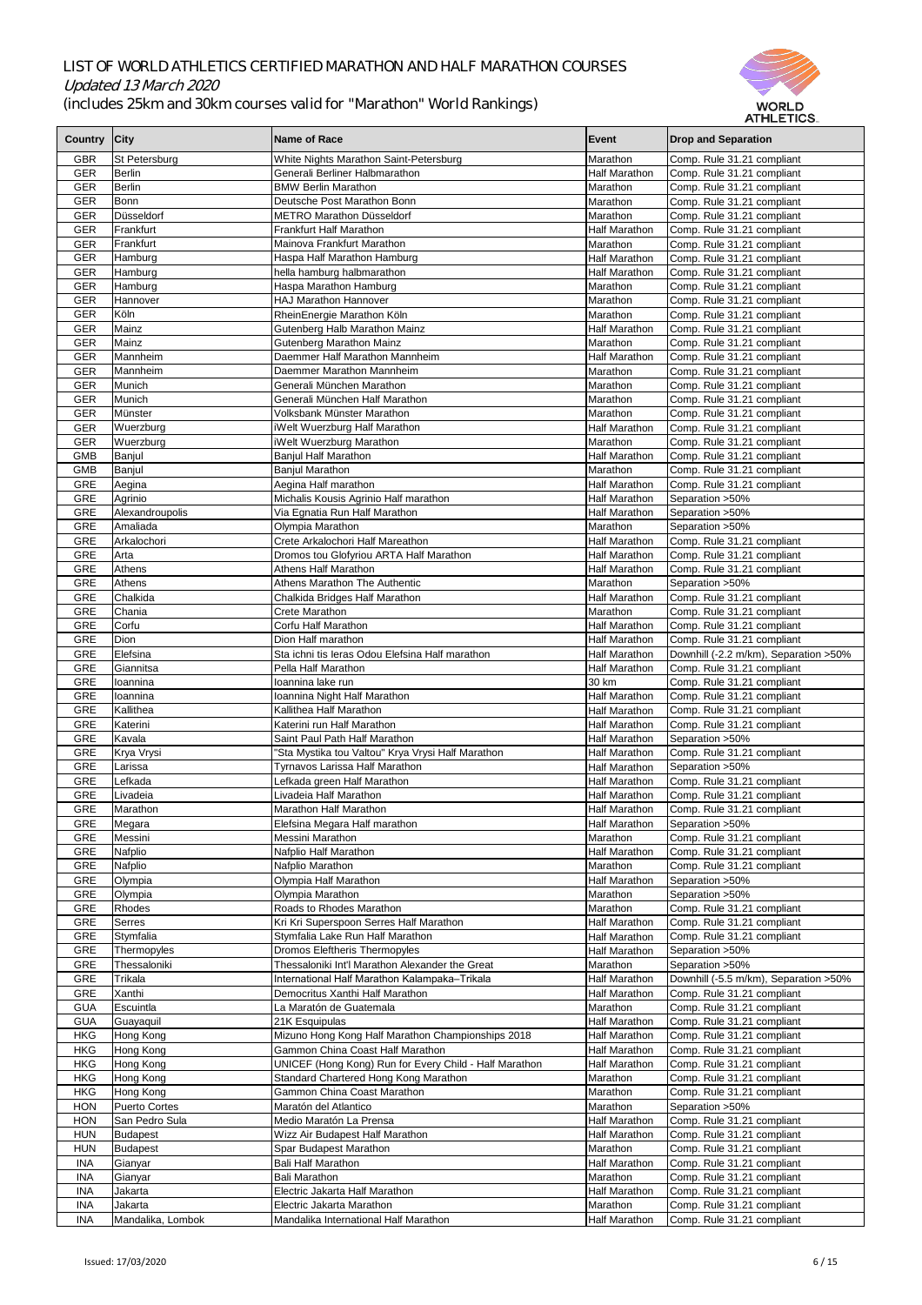

|                          |                          |                                                             |                                              | AITILLTIVV.                                              |
|--------------------------|--------------------------|-------------------------------------------------------------|----------------------------------------------|----------------------------------------------------------|
| <b>Country</b>           | <b>City</b>              | Name of Race                                                | Event                                        | <b>Drop and Separation</b>                               |
| <b>GBR</b>               | St Petersburg            | White Nights Marathon Saint-Petersburg                      | Marathon                                     | Comp. Rule 31.21 compliant                               |
| <b>GER</b>               | Berlin                   | Generali Berliner Halbmarathon                              | <b>Half Marathon</b>                         | Comp. Rule 31.21 compliant                               |
| <b>GER</b>               | Berlin                   | <b>BMW Berlin Marathon</b>                                  | Marathon                                     | Comp. Rule 31.21 compliant                               |
| <b>GER</b>               | Bonn                     | Deutsche Post Marathon Bonn                                 | Marathon                                     | Comp. Rule 31.21 compliant                               |
| <b>GER</b>               | Düsseldorf               | <b>METRO Marathon Düsseldorf</b>                            | Marathon                                     | Comp. Rule 31.21 compliant                               |
| <b>GER</b>               | Frankfurt                | <b>Frankfurt Half Marathon</b>                              | <b>Half Marathon</b>                         | Comp. Rule 31.21 compliant                               |
| <b>GER</b>               | Frankfurt                | Mainova Frankfurt Marathon                                  | Marathon                                     | Comp. Rule 31.21 compliant                               |
| <b>GER</b>               | <b>Hamburg</b>           | Haspa Half Marathon Hamburg                                 | <b>Half Marathon</b>                         | Comp. Rule 31.21 compliant                               |
| <b>GER</b>               | Hamburg                  | hella hamburg halbmarathon                                  | <b>Half Marathon</b>                         | Comp. Rule 31.21 compliant                               |
| <b>GER</b>               | Hamburg                  | Haspa Marathon Hamburg                                      | Marathon                                     | Comp. Rule 31.21 compliant                               |
| <b>GER</b>               | Hannover                 | <b>HAJ Marathon Hannover</b>                                | Marathon                                     | Comp. Rule 31.21 compliant                               |
| <b>GER</b>               | Köln                     | RheinEnergie Marathon Köln                                  | <b>Marathon</b>                              | Comp. Rule 31.21 compliant                               |
| <b>GER</b>               | Mainz                    | Gutenberg Halb Marathon Mainz                               | <b>Half Marathon</b>                         | Comp. Rule 31.21 compliant                               |
| <b>GER</b>               | Mainz<br><b>Mannheim</b> | <b>Gutenberg Marathon Mainz</b>                             | Marathon                                     | Comp. Rule 31.21 compliant                               |
| <b>GER</b>               | Mannheim                 | Daemmer Half Marathon Mannheim<br>Daemmer Marathon Mannheim | <b>Half Marathon</b><br>Marathon             | Comp. Rule 31.21 compliant                               |
| <b>GER</b><br><b>GER</b> | Munich                   | Generali München Marathon                                   | Marathon                                     | Comp. Rule 31.21 compliant<br>Comp. Rule 31.21 compliant |
| <b>GER</b>               | Munich                   | Generali München Half Marathon                              | Marathon                                     | Comp. Rule 31.21 compliant                               |
| <b>GER</b>               | Münster                  | Volksbank Münster Marathon                                  | Marathon                                     | Comp. Rule 31.21 compliant                               |
| <b>GER</b>               | Wuerzburg                | iWelt Wuerzburg Half Marathon                               | Half Marathon                                | Comp. Rule 31.21 compliant                               |
| <b>GER</b>               | Wuerzburg                | iWelt Wuerzburg Marathon                                    | Marathon                                     | Comp. Rule 31.21 compliant                               |
| <b>GMB</b>               | Banjul                   | <b>Banjul Half Marathon</b>                                 | <b>Half Marathon</b>                         | Comp. Rule 31.21 compliant                               |
| <b>GMB</b>               | Banjul                   | <b>Banjul Marathon</b>                                      | Marathon                                     | Comp. Rule 31.21 compliant                               |
| <b>GRE</b>               | Aegina                   | Aegina Half marathon                                        | <b>Half Marathon</b>                         | Comp. Rule 31.21 compliant                               |
| <b>GRE</b>               | Agrinio                  | Michalis Kousis Agrinio Half marathon                       | <b>Half Marathon</b>                         | Separation > 50%                                         |
| <b>GRE</b>               | Alexandroupolis          | Via Egnatia Run Half Marathon                               | <b>Half Marathon</b>                         | Separation > 50%                                         |
| <b>GRE</b>               | Amaliada                 | Olympia Marathon                                            | Marathon                                     | Separation > 50%                                         |
| <b>GRE</b>               | Arkalochori              | Crete Arkalochori Half Mareathon                            | Half Marathon                                | Comp. Rule 31.21 compliant                               |
| <b>GRE</b>               | <b>Arta</b>              | Dromos tou Glofyriou ARTA Half Marathon                     | Half Marathon                                | Comp. Rule 31.21 compliant                               |
| <b>GRE</b>               | Athens                   | <b>Athens Half Marathon</b>                                 | Half Marathon                                | Comp. Rule 31.21 compliant                               |
| <b>GRE</b>               | Athens                   | <b>Athens Marathon The Authentic</b>                        | Marathon                                     | Separation > 50%                                         |
| <b>GRE</b>               | Chalkida                 | Chalkida Bridges Half Marathon                              | Half Marathon                                | Comp. Rule 31.21 compliant                               |
| <b>GRE</b>               | Chania                   | <b>Crete Marathon</b>                                       | Marathon                                     | Comp. Rule 31.21 compliant                               |
| <b>GRE</b>               | Corfu                    | Corfu Half Marathon                                         | Half Marathon                                | Comp. Rule 31.21 compliant                               |
| <b>GRE</b>               | Dion                     | Dion Half marathon                                          | <b>Half Marathon</b>                         | Comp. Rule 31.21 compliant                               |
| <b>GRE</b>               | Elefsina                 | Sta ichni tis Ieras Odou Elefsina Half marathon             | Half Marathon                                | Downhill (-2.2 m/km), Separation > 50%                   |
| <b>GRE</b>               | Giannitsa                | Pella Half Marathon                                         | <b>Half Marathon</b>                         | Comp. Rule 31.21 compliant                               |
| <b>GRE</b>               | loannina                 | Ioannina lake run                                           | 30 km                                        | Comp. Rule 31.21 compliant                               |
| <b>GRE</b>               | loannina                 | Ioannina Night Half Marathon                                | Half Marathon                                | Comp. Rule 31.21 compliant                               |
| <b>GRE</b>               | Kallithea                | Kallithea Half Marathon                                     | <b>Half Marathon</b>                         | Comp. Rule 31.21 compliant                               |
| <b>GRE</b>               | Katerini                 | Katerini run Half Marathon                                  | <b>Half Marathon</b>                         | Comp. Rule 31.21 compliant                               |
| <b>GRE</b>               | Kavala                   | Saint Paul Path Half Marathon                               | <b>Half Marathon</b>                         | Separation > 50%                                         |
| <b>GRE</b>               | Krya Vrysi               | 'Sta Mystika tou Valtou" Krya Vrysi Half Marathon           | Half Marathon                                | Comp. Rule 31.21 compliant                               |
| <b>GRE</b>               | Larissa                  | <b>Tyrnavos Larissa Half Marathon</b>                       | <b>Half Marathon</b>                         | Separation > 50%                                         |
| <b>GRE</b>               | Lefkada                  | Lefkada green Half Marathon<br>Livadeia Half Marathon       | <b>Half Marathon</b>                         | Comp. Rule 31.21 compliant                               |
| <b>GRE</b><br><b>GRE</b> | Livadeia<br>Marathon     | Marathon Half Marathon                                      | <b>Half Marathon</b><br><b>Half Marathon</b> | Comp. Rule 31.21 compliant<br>Comp. Rule 31.21 compliant |
| <b>GRE</b>               | Megara                   | Elefsina Megara Half marathon                               | Half Marathon                                | Separation > 50%                                         |
| <b>GRE</b>               | Messini                  | Messini Marathon                                            | Marathon                                     | Comp. Rule 31.21 compliant                               |
| <b>GRE</b>               | Nafplio                  | Nafplio Half Marathon                                       | <b>Half Marathon</b>                         | Comp. Rule 31.21 compliant                               |
| <b>GRE</b>               | Nafplio                  | Nafplio Marathon                                            | Marathon                                     | Comp. Rule 31.21 compliant                               |
| <b>GRE</b>               | Olympia                  | Olympia Half Marathon                                       | Half Marathon                                | Separation > 50%                                         |
| <b>GRE</b>               | Olympia                  | Olympia Marathon                                            | Marathon                                     | Separation > 50%                                         |
| <b>GRE</b>               | <b>Rhodes</b>            | Roads to Rhodes Marathon                                    | Marathon                                     | Comp. Rule 31.21 compliant                               |
| <b>GRE</b>               | <b>Serres</b>            | Kri Kri Superspoon Serres Half Marathon                     | Half Marathon                                | Comp. Rule 31.21 compliant                               |
| <b>GRE</b>               | Stymfalia                | Stymfalia Lake Run Half Marathon                            | <b>Half Marathon</b>                         | Comp. Rule 31.21 compliant                               |
| <b>GRE</b>               | Thermopyles              | <b>Dromos Eleftheris Thermopyles</b>                        | <b>Half Marathon</b>                         | Separation > 50%                                         |
| <b>GRE</b>               | Thessaloniki             | Thessaloniki Int'l Marathon Alexander the Great             | Marathon                                     | Separation > 50%                                         |
| <b>GRE</b>               | Trikala                  | International Half Marathon Kalampaka-Trikala               | <b>Half Marathon</b>                         | Downhill (-5.5 m/km), Separation > 50%                   |
| <b>GRE</b>               | Xanthi                   | Democritus Xanthi Half Marathon                             | <b>Half Marathon</b>                         | Comp. Rule 31.21 compliant                               |
| <b>GUA</b>               | Escuintla                | La Maratón de Guatemala                                     | Marathon                                     | Comp. Rule 31.21 compliant                               |
| <b>GUA</b>               | Guayaquil                | 21K Esquipulas                                              | Half Marathon                                | Comp. Rule 31.21 compliant                               |
| <b>HKG</b>               | Hong Kong                | Mizuno Hong Kong Half Marathon Championships 2018           | <b>Half Marathon</b>                         | Comp. Rule 31.21 compliant                               |
| <b>HKG</b>               | Hong Kong                | <b>Gammon China Coast Half Marathon</b>                     | <b>Half Marathon</b>                         | Comp. Rule 31.21 compliant                               |
| <b>HKG</b>               | Hong Kong                | UNICEF (Hong Kong) Run for Every Child - Half Marathon      | <b>Half Marathon</b>                         | Comp. Rule 31.21 compliant                               |
| <b>HKG</b>               | Hong Kong                | Standard Chartered Hong Kong Marathon                       | Marathon                                     | Comp. Rule 31.21 compliant                               |
| <b>HKG</b>               | Hong Kong                | <b>Gammon China Coast Marathon</b>                          | Marathon                                     | Comp. Rule 31.21 compliant                               |
| <b>HON</b>               | <b>Puerto Cortes</b>     | Maratón del Atlantico                                       | Marathon                                     | Separation > 50%                                         |
| <b>HON</b>               | San Pedro Sula           | Medio Maratón La Prensa                                     | <b>Half Marathon</b>                         | Comp. Rule 31.21 compliant                               |
| <b>HUN</b>               | Budapest                 | Wizz Air Budapest Half Marathon                             | <b>Half Marathon</b>                         | Comp. Rule 31.21 compliant                               |
| <b>HUN</b>               | Budapest                 | Spar Budapest Marathon<br><b>Bali Half Marathon</b>         | Marathon                                     | Comp. Rule 31.21 compliant                               |
| <b>INA</b>               | Gianyar                  | <b>Bali Marathon</b>                                        | <b>Half Marathon</b><br>Marathon             | Comp. Rule 31.21 compliant                               |
| <b>INA</b><br><b>INA</b> | Gianyar<br>Jakarta       | Electric Jakarta Half Marathon                              | <b>Half Marathon</b>                         | Comp. Rule 31.21 compliant<br>Comp. Rule 31.21 compliant |
| <b>INA</b>               | Jakarta                  | Electric Jakarta Marathon                                   | Marathon                                     | Comp. Rule 31.21 compliant                               |
| <b>INA</b>               | Mandalika, Lombok        | Mandalika International Half Marathon                       | <b>Half Marathon</b>                         | Comp. Rule 31.21 compliant                               |
|                          |                          |                                                             |                                              |                                                          |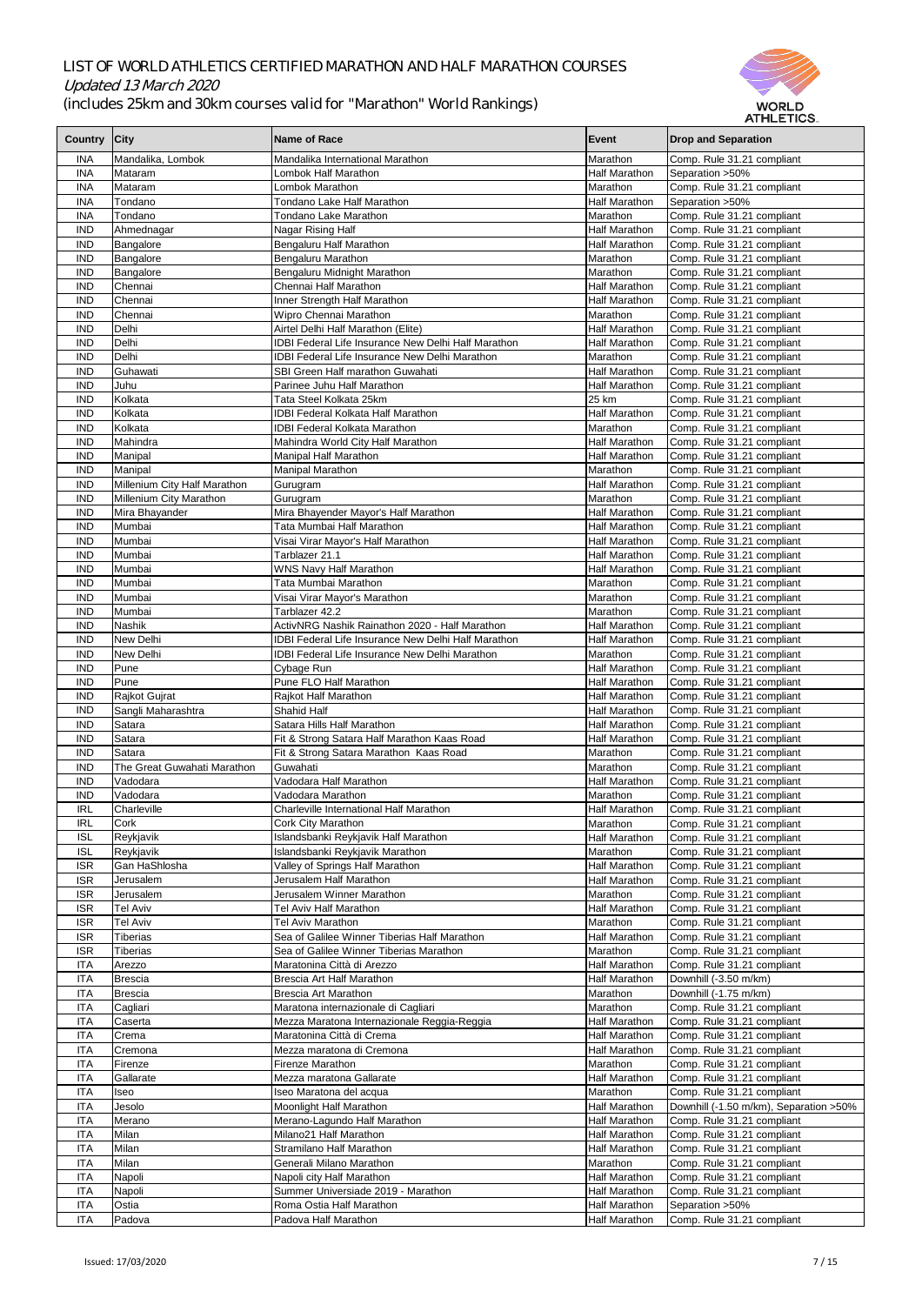

|              |                              |                                                            |                      | ALTLE HUS.                              |
|--------------|------------------------------|------------------------------------------------------------|----------------------|-----------------------------------------|
| Country City |                              | <b>Name of Race</b>                                        | <b>Event</b>         | <b>Drop and Separation</b>              |
|              |                              |                                                            |                      |                                         |
| <b>INA</b>   | Mandalika, Lombok            | Mandalika International Marathon                           | Marathon             | Comp. Rule 31.21 compliant              |
| <b>INA</b>   | Mataram                      | Lombok Half Marathon                                       | <b>Half Marathon</b> | Separation > 50%                        |
| <b>INA</b>   | Mataram                      | Lombok Marathon                                            | Marathon             | Comp. Rule 31.21 compliant              |
| <b>INA</b>   | Tondano                      | Tondano Lake Half Marathon                                 | <b>Half Marathon</b> | Separation > 50%                        |
| <b>INA</b>   | Tondano                      | <b>Tondano Lake Marathon</b>                               | Marathon             | Comp. Rule 31.21 compliant              |
| <b>IND</b>   | Ahmednagar                   | Nagar Rising Half                                          | Half Marathon        | Comp. Rule 31.21 compliant              |
| <b>IND</b>   | Bangalore                    | Bengaluru Half Marathon                                    | <b>Half Marathon</b> | Comp. Rule 31.21 compliant              |
| <b>IND</b>   | Bangalore                    | Bengaluru Marathon                                         | Marathon             | Comp. Rule 31.21 compliant              |
|              |                              |                                                            |                      |                                         |
| <b>IND</b>   | Bangalore                    | Bengaluru Midnight Marathon                                | Marathon             | Comp. Rule 31.21 compliant              |
| <b>IND</b>   | Chennai                      | Chennai Half Marathon                                      | <b>Half Marathon</b> | Comp. Rule 31.21 compliant              |
| <b>IND</b>   | Chennai                      | Inner Strength Half Marathon                               | <b>Half Marathon</b> | Comp. Rule 31.21 compliant              |
| <b>IND</b>   | Chennai                      | Wipro Chennai Marathon                                     | Marathon             | Comp. Rule 31.21 compliant              |
| <b>IND</b>   | Delhi                        | Airtel Delhi Half Marathon (Elite)                         | <b>Half Marathon</b> | Comp. Rule 31.21 compliant              |
| <b>IND</b>   | Delhi                        | IDBI Federal Life Insurance New Delhi Half Marathon        | <b>Half Marathon</b> | Comp. Rule 31.21 compliant              |
| <b>IND</b>   | Delhi                        | <b>IDBI Federal Life Insurance New Delhi Marathon</b>      | Marathon             | Comp. Rule 31.21 compliant              |
| <b>IND</b>   | Guhawati                     | SBI Green Half marathon Guwahati                           | <b>Half Marathon</b> | Comp. Rule 31.21 compliant              |
| <b>IND</b>   | Juhu                         | Parinee Juhu Half Marathon                                 | <b>Half Marathon</b> | Comp. Rule 31.21 compliant              |
| <b>IND</b>   | Kolkata                      | Tata Steel Kolkata 25km                                    | 25 km                | Comp. Rule 31.21 compliant              |
| <b>IND</b>   | Kolkata                      | <b>IDBI Federal Kolkata Half Marathon</b>                  | <b>Half Marathon</b> | Comp. Rule 31.21 compliant              |
|              |                              |                                                            | Marathon             |                                         |
| <b>IND</b>   | Kolkata                      | <b>IDBI Federal Kolkata Marathon</b>                       |                      | Comp. Rule 31.21 compliant              |
| <b>IND</b>   | Mahindra                     | Mahindra World City Half Marathon                          | <b>Half Marathon</b> | Comp. Rule 31.21 compliant              |
| <b>IND</b>   | Manipal                      | Manipal Half Marathon                                      | <b>Half Marathon</b> | Comp. Rule 31.21 compliant              |
| <b>IND</b>   | Manipal                      | <b>Manipal Marathon</b>                                    | Marathon             | Comp. Rule 31.21 compliant              |
| <b>IND</b>   | Millenium City Half Marathon | Gurugram                                                   | <b>Half Marathon</b> | Comp. Rule 31.21 compliant              |
| <b>IND</b>   | Millenium City Marathon      | Gurugram                                                   | Marathon             | Comp. Rule 31.21 compliant              |
| <b>IND</b>   | Mira Bhayander               | Mira Bhayender Mayor's Half Marathon                       | <b>Half Marathon</b> | Comp. Rule 31.21 compliant              |
| <b>IND</b>   | Mumbai                       | Tata Mumbai Half Marathon                                  | <b>Half Marathon</b> | Comp. Rule 31.21 compliant              |
| <b>IND</b>   | Mumbai                       | Visai Virar Mayor's Half Marathon                          | Half Marathon        | Comp. Rule 31.21 compliant              |
| <b>IND</b>   | Mumbai                       | Tarblazer 21.1                                             | <b>Half Marathon</b> | Comp. Rule 31.21 compliant              |
| <b>IND</b>   | Mumbai                       | <b>WNS Navy Half Marathon</b>                              | <b>Half Marathon</b> | Comp. Rule 31.21 compliant              |
|              |                              |                                                            |                      |                                         |
| <b>IND</b>   | Mumbai                       | Tata Mumbai Marathon                                       | Marathon             | Comp. Rule 31.21 compliant              |
| <b>IND</b>   | Mumbai                       | Visai Virar Mayor's Marathon                               | Marathon             | Comp. Rule 31.21 compliant              |
| <b>IND</b>   | Mumbai                       | Tarblazer 42.2                                             | Marathon             | Comp. Rule 31.21 compliant              |
| <b>IND</b>   | <b>Nashik</b>                | ActivNRG Nashik Rainathon 2020 - Half Marathon             | <b>Half Marathon</b> | Comp. Rule 31.21 compliant              |
| <b>IND</b>   | <b>New Delhi</b>             | <b>IDBI Federal Life Insurance New Delhi Half Marathon</b> | <b>Half Marathon</b> | Comp. Rule 31.21 compliant              |
| <b>IND</b>   | <b>New Delhi</b>             | <b>IDBI Federal Life Insurance New Delhi Marathon</b>      | Marathon             | Comp. Rule 31.21 compliant              |
| <b>IND</b>   | Pune                         | Cybage Run                                                 | <b>Half Marathon</b> | Comp. Rule 31.21 compliant              |
| <b>IND</b>   | Pune                         | Pune FLO Half Marathon                                     | <b>Half Marathon</b> | Comp. Rule 31.21 compliant              |
| <b>IND</b>   | Rajkot Gujrat                | Rajkot Half Marathon                                       | <b>Half Marathon</b> | Comp. Rule 31.21 compliant              |
| <b>IND</b>   | Sangli Maharashtra           | Shahid Half                                                | <b>Half Marathon</b> | Comp. Rule 31.21 compliant              |
| <b>IND</b>   | Satara                       | Satara Hills Half Marathon                                 | <b>Half Marathon</b> | Comp. Rule 31.21 compliant              |
| <b>IND</b>   | Satara                       |                                                            |                      |                                         |
|              |                              | Fit & Strong Satara Half Marathon Kaas Road                | <b>Half Marathon</b> | Comp. Rule 31.21 compliant              |
| <b>IND</b>   | Satara                       | Fit & Strong Satara Marathon Kaas Road                     | Marathon             | Comp. Rule 31.21 compliant              |
| <b>IND</b>   | The Great Guwahati Marathon  | Guwahati                                                   | Marathon             | Comp. Rule 31.21 compliant              |
| <b>IND</b>   | Vadodara                     | Vadodara Half Marathon                                     | <b>Half Marathon</b> | Comp. Rule 31.21 compliant              |
| <b>IND</b>   | Vadodara                     | Vadodara Marathon                                          | Marathon             | Comp. Rule 31.21 compliant              |
| <b>IRL</b>   | Charleville                  | <b>Charleville International Half Marathon</b>             | Half Marathon        | Comp. Rule 31.21 compliant              |
| <b>IRL</b>   | Cork                         | <b>Cork City Marathon</b>                                  | Marathon             | Comp. Rule 31.21 compliant              |
| <b>ISL</b>   | Reykjavik                    | Islandsbanki Reykjavik Half Marathon                       | <b>Half Marathon</b> | Comp. Rule 31.21 compliant              |
| <b>ISL</b>   | Reykjavik                    | Islandsbanki Reykjavik Marathon                            | Marathon             | Comp. Rule 31.21 compliant              |
| <b>ISR</b>   | Gan HaShlosha                | Valley of Springs Half Marathon                            | Half Marathon        | Comp. Rule 31.21 compliant              |
| <b>ISR</b>   | Jerusalem                    | Jerusalem Half Marathon                                    | <b>Half Marathon</b> | Comp. Rule 31.21 compliant              |
| <b>ISR</b>   | Jerusalem                    | Jerusalem Winner Marathon                                  | Marathon             | Comp. Rule 31.21 compliant              |
| <b>ISR</b>   | Tel Aviv                     | Tel Aviv Half Marathon                                     | <b>Half Marathon</b> | Comp. Rule 31.21 compliant              |
|              | <b>Tel Aviv</b>              | Tel Aviv Marathon                                          |                      |                                         |
| <b>ISR</b>   |                              |                                                            | Marathon             | Comp. Rule 31.21 compliant              |
| <b>ISR</b>   | Tiberias                     | Sea of Galilee Winner Tiberias Half Marathon               | <b>Half Marathon</b> | Comp. Rule 31.21 compliant              |
| <b>ISR</b>   | <b>Tiberias</b>              | Sea of Galilee Winner Tiberias Marathon                    | Marathon             | Comp. Rule 31.21 compliant              |
| <b>ITA</b>   | Arezzo                       | Maratonina Città di Arezzo                                 | Half Marathon        | Comp. Rule 31.21 compliant              |
| <b>ITA</b>   | <b>Brescia</b>               | Brescia Art Half Marathon                                  | <b>Half Marathon</b> | Downhill (-3.50 m/km)                   |
| <b>ITA</b>   | <b>Brescia</b>               | <b>Brescia Art Marathon</b>                                | Marathon             | Downhill (-1.75 m/km)                   |
| <b>ITA</b>   | Cagliari                     | Maratona internazionale di Cagliari                        | Marathon             | Comp. Rule 31.21 compliant              |
| <b>ITA</b>   | Caserta                      | Mezza Maratona Internazionale Reggia-Reggia                | <b>Half Marathon</b> | Comp. Rule 31.21 compliant              |
| <b>ITA</b>   | Crema                        | Maratonina Città di Crema                                  | <b>Half Marathon</b> | Comp. Rule 31.21 compliant              |
| <b>ITA</b>   | Cremona                      | Mezza maratona di Cremona                                  | <b>Half Marathon</b> | Comp. Rule 31.21 compliant              |
| <b>ITA</b>   | Firenze                      | <b>Firenze Marathon</b>                                    | Marathon             | Comp. Rule 31.21 compliant              |
| <b>ITA</b>   | Gallarate                    | Mezza maratona Gallarate                                   | <b>Half Marathon</b> | Comp. Rule 31.21 compliant              |
| <b>ITA</b>   | Iseo                         | Iseo Maratona del acqua                                    | Marathon             | Comp. Rule 31.21 compliant              |
| <b>ITA</b>   |                              | Moonlight Half Marathon                                    | <b>Half Marathon</b> | Downhill (-1.50 m/km), Separation > 50% |
|              | Jesolo                       |                                                            |                      |                                         |
| <b>ITA</b>   | Merano                       | Merano-Lagundo Half Marathon                               | <b>Half Marathon</b> | Comp. Rule 31.21 compliant              |
| <b>ITA</b>   | Milan                        | Milano21 Half Marathon                                     | <b>Half Marathon</b> | Comp. Rule 31.21 compliant              |
| <b>ITA</b>   | Milan                        | Stramilano Half Marathon                                   | <b>Half Marathon</b> | Comp. Rule 31.21 compliant              |
| <b>ITA</b>   | Milan                        | Generali Milano Marathon                                   | Marathon             | Comp. Rule 31.21 compliant              |
| <b>ITA</b>   | Napoli                       | Napoli city Half Marathon                                  | <b>Half Marathon</b> | Comp. Rule 31.21 compliant              |
| <b>ITA</b>   | Napoli                       | Summer Universiade 2019 - Marathon                         | Half Marathon        | Comp. Rule 31.21 compliant              |
| <b>ITA</b>   | Ostia                        | Roma Ostia Half Marathon                                   | <b>Half Marathon</b> | Separation > 50%                        |
| <b>ITA</b>   | Padova                       | Padova Half Marathon                                       | Half Marathon        | Comp. Rule 31.21 compliant              |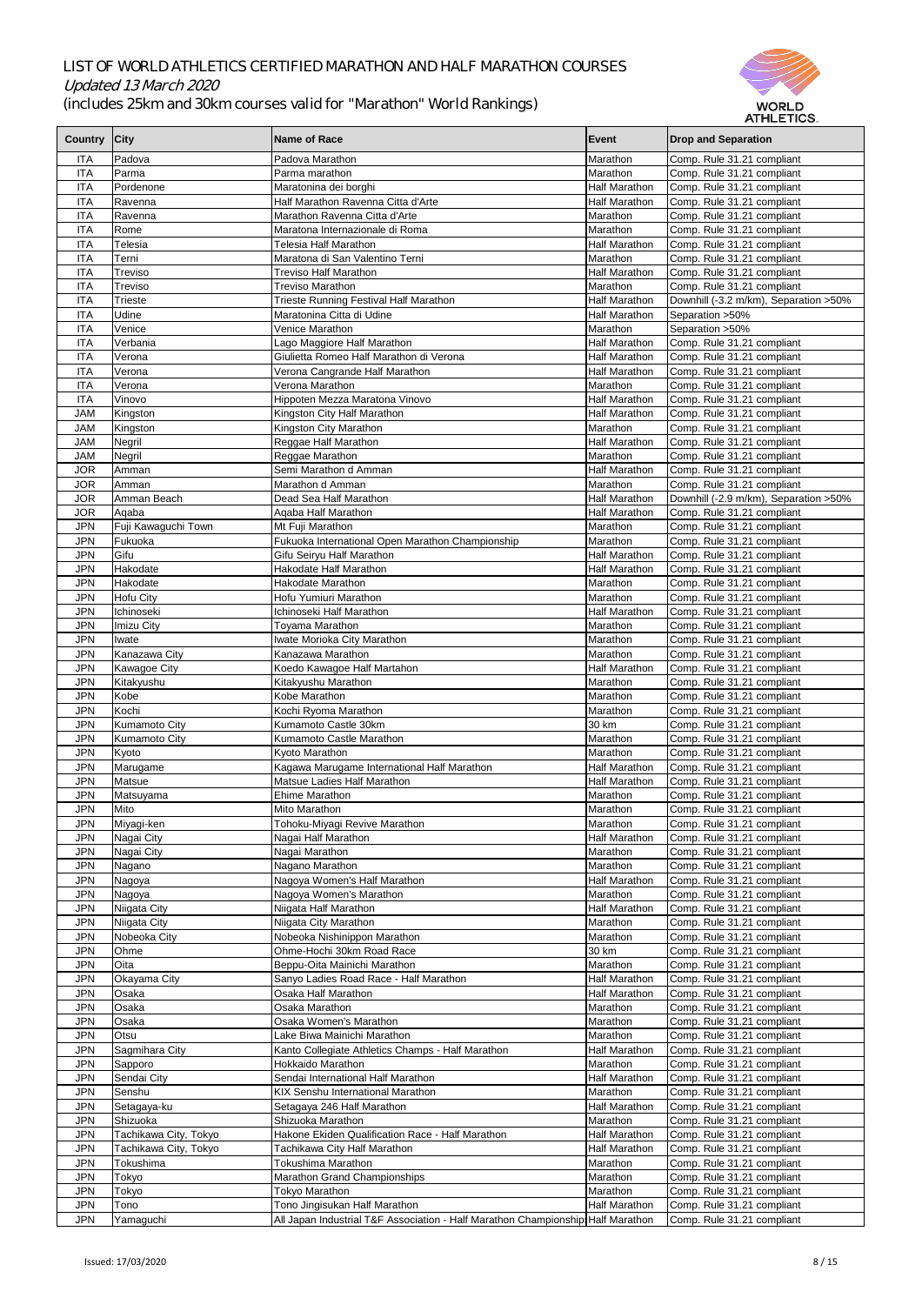

|                |                       |                                                                                 |                      | AI NLE I IVO.                          |
|----------------|-----------------------|---------------------------------------------------------------------------------|----------------------|----------------------------------------|
| <b>Country</b> | City                  | Name of Race                                                                    | Event                | <b>Drop and Separation</b>             |
|                |                       |                                                                                 |                      |                                        |
| <b>ITA</b>     | Padova                | Padova Marathon                                                                 | Marathon             | Comp. Rule 31.21 compliant             |
| <b>ITA</b>     | Parma                 | Parma marathon                                                                  | Marathon             | Comp. Rule 31.21 compliant             |
| <b>ITA</b>     | Pordenone             | Maratonina dei borghi                                                           | <b>Half Marathon</b> | Comp. Rule 31.21 compliant             |
| <b>ITA</b>     | Ravenna               | Half Marathon Ravenna Citta d'Arte                                              | <b>Half Marathon</b> | Comp. Rule 31.21 compliant             |
|                |                       |                                                                                 |                      |                                        |
| <b>ITA</b>     | Ravenna               | Marathon Ravenna Citta d'Arte                                                   | Marathon             | Comp. Rule 31.21 compliant             |
| <b>ITA</b>     | Rome                  | Maratona Internazionale di Roma                                                 | Marathon             | Comp. Rule 31.21 compliant             |
| <b>ITA</b>     | Telesia               | Telesia Half Marathon                                                           | <b>Half Marathon</b> | Comp. Rule 31.21 compliant             |
| <b>ITA</b>     | Terni                 | Maratona di San Valentino Terni                                                 | Marathon             | Comp. Rule 31.21 compliant             |
| <b>ITA</b>     | Treviso               | <b>Treviso Half Marathon</b>                                                    | Half Marathon        | Comp. Rule 31.21 compliant             |
| <b>ITA</b>     | Treviso               | <b>Treviso Marathon</b>                                                         | Marathon             | Comp. Rule 31.21 compliant             |
| <b>ITA</b>     | <b>Trieste</b>        | Trieste Running Festival Half Marathon                                          | <b>Half Marathon</b> | Downhill (-3.2 m/km), Separation > 50% |
| <b>ITA</b>     | Udine                 | Maratonina Citta di Udine                                                       | <b>Half Marathon</b> | Separation > 50%                       |
|                |                       |                                                                                 |                      |                                        |
| <b>ITA</b>     | Venice                | Venice Marathon                                                                 | Marathon             | Separation > 50%                       |
| <b>ITA</b>     | Verbania              | Lago Maggiore Half Marathon                                                     | <b>Half Marathon</b> | Comp. Rule 31.21 compliant             |
| <b>ITA</b>     | Verona                | Giulietta Romeo Half Marathon di Verona                                         | <b>Half Marathon</b> | Comp. Rule 31.21 compliant             |
| <b>ITA</b>     | Verona                | Verona Cangrande Half Marathon                                                  | <b>Half Marathon</b> | Comp. Rule 31.21 compliant             |
| <b>ITA</b>     | Verona                | Verona Marathon                                                                 | Marathon             | Comp. Rule 31.21 compliant             |
| <b>ITA</b>     | Vinovo                | Hippoten Mezza Maratona Vinovo                                                  | <b>Half Marathon</b> | Comp. Rule 31.21 compliant             |
| <b>JAM</b>     | Kingston              | Kingston City Half Marathon                                                     | <b>Half Marathon</b> | Comp. Rule 31.21 compliant             |
|                |                       |                                                                                 |                      |                                        |
| <b>JAM</b>     | Kingston              | Kingston City Marathon                                                          | Marathon             | Comp. Rule 31.21 compliant             |
| <b>JAM</b>     | Negril                | Reggae Half Marathon                                                            | Half Marathon        | Comp. Rule 31.21 compliant             |
| <b>JAM</b>     | Negril                | Reggae Marathon                                                                 | Marathon             | Comp. Rule 31.21 compliant             |
| <b>JOR</b>     | Amman                 | Semi Marathon d Amman                                                           | <b>Half Marathon</b> | Comp. Rule 31.21 compliant             |
| <b>JOR</b>     | Amman                 | Marathon d Amman                                                                | Marathon             | Comp. Rule 31.21 compliant             |
| <b>JOR</b>     | Amman Beach           | Dead Sea Half Marathon                                                          | <b>Half Marathon</b> | Downhill (-2.9 m/km), Separation > 50% |
| <b>JOR</b>     | Aqaba                 |                                                                                 | <b>Half Marathon</b> |                                        |
|                |                       | Aqaba Half Marathon                                                             |                      | Comp. Rule 31.21 compliant             |
| <b>JPN</b>     | Fuji Kawaguchi Town   | Mt Fuji Marathon                                                                | Marathon             | Comp. Rule 31.21 compliant             |
| <b>JPN</b>     | Fukuoka               | Fukuoka International Open Marathon Championship                                | Marathon             | Comp. Rule 31.21 compliant             |
| <b>JPN</b>     | Gifu                  | Gifu Seiryu Half Marathon                                                       | <b>Half Marathon</b> | Comp. Rule 31.21 compliant             |
| <b>JPN</b>     | <b>Hakodate</b>       | <b>Hakodate Half Marathon</b>                                                   | <b>Half Marathon</b> | Comp. Rule 31.21 compliant             |
| <b>JPN</b>     | Hakodate              | Hakodate Marathon                                                               | Marathon             | Comp. Rule 31.21 compliant             |
| <b>JPN</b>     | Hofu City             | Hofu Yumiuri Marathon                                                           | Marathon             | Comp. Rule 31.21 compliant             |
|                |                       |                                                                                 |                      |                                        |
| <b>JPN</b>     | Ichinoseki            | Ichinoseki Half Marathon                                                        | <b>Half Marathon</b> | Comp. Rule 31.21 compliant             |
| <b>JPN</b>     | Imizu City            | <b>Toyama Marathon</b>                                                          | Marathon             | Comp. Rule 31.21 compliant             |
| <b>JPN</b>     | Iwate                 | Iwate Morioka City Marathon                                                     | Marathon             | Comp. Rule 31.21 compliant             |
| <b>JPN</b>     | Kanazawa City         | Kanazawa Marathon                                                               | Marathon             | Comp. Rule 31.21 compliant             |
| <b>JPN</b>     | Kawagoe City          | Koedo Kawagoe Half Martahon                                                     | <b>Half Marathon</b> | Comp. Rule 31.21 compliant             |
| <b>JPN</b>     | Kitakyushu            | Kitakyushu Marathon                                                             | Marathon             | Comp. Rule 31.21 compliant             |
| <b>JPN</b>     | Kobe                  | Kobe Marathon                                                                   | Marathon             | Comp. Rule 31.21 compliant             |
|                |                       |                                                                                 |                      |                                        |
| <b>JPN</b>     | Kochi                 | Kochi Ryoma Marathon                                                            | Marathon             | Comp. Rule 31.21 compliant             |
| <b>JPN</b>     | Kumamoto City         | Kumamoto Castle 30km                                                            | 30 km                | Comp. Rule 31.21 compliant             |
| <b>JPN</b>     | <b>Kumamoto City</b>  | Kumamoto Castle Marathon                                                        | Marathon             | Comp. Rule 31.21 compliant             |
| <b>JPN</b>     | Kyoto                 | Kyoto Marathon                                                                  | Marathon             | Comp. Rule 31.21 compliant             |
| <b>JPN</b>     | Marugame              | Kagawa Marugame International Half Marathon                                     | <b>Half Marathon</b> | Comp. Rule 31.21 compliant             |
| <b>JPN</b>     | Matsue                | <b>Matsue Ladies Half Marathon</b>                                              | Half Marathon        | Comp. Rule 31.21 compliant             |
| <b>JPN</b>     | Matsuyama             | <b>Ehime Marathon</b>                                                           | Marathon             | Comp. Rule 31.21 compliant             |
|                | Mito                  | <b>Mito Marathon</b>                                                            |                      |                                        |
| <b>JPN</b>     |                       |                                                                                 | Marathon             | Comp. Rule 31.21 compliant             |
| <b>JPN</b>     | Miyagi-ken            | Tohoku-Miyagi Revive Marathon                                                   | Marathon             | Comp. Rule 31.21 compliant             |
| <b>JPN</b>     | Nagai City            | Nagai Half Marathon                                                             | <b>Half Marathon</b> | Comp. Rule 31.21 compliant             |
| <b>JPN</b>     | Nagai City            | Nagai Marathon                                                                  | Marathon             | Comp. Rule 31.21 compliant             |
| <b>JPN</b>     | Nagano                | Nagano Marathon                                                                 | Marathon             | Comp. Rule 31.21 compliant             |
| <b>JPN</b>     | Nagoya                | Nagoya Women's Half Marathon                                                    | <b>Half Marathon</b> | Comp. Rule 31.21 compliant             |
| <b>JPN</b>     | Nagoya                | Nagoya Women's Marathon                                                         | Marathon             | Comp. Rule 31.21 compliant             |
| <b>JPN</b>     | Niigata City          | Niigata Half Marathon                                                           | Half Marathon        | Comp. Rule 31.21 compliant             |
|                |                       |                                                                                 |                      |                                        |
| <b>JPN</b>     | Niigata City          | Niigata City Marathon                                                           | Marathon             | Comp. Rule 31.21 compliant             |
| <b>JPN</b>     | Nobeoka City          | Nobeoka Nishinippon Marathon                                                    | Marathon             | Comp. Rule 31.21 compliant             |
| <b>JPN</b>     | <b>Ohme</b>           | Ohme-Hochi 30km Road Race                                                       | 30 km                | Comp. Rule 31.21 compliant             |
| JPN            | Oita                  | Beppu-Oita Mainichi Marathon                                                    | Marathon             | Comp. Rule 31.21 compliant             |
| <b>JPN</b>     | <b>Okayama City</b>   | Sanyo Ladies Road Race - Half Marathon                                          | <b>Half Marathon</b> | Comp. Rule 31.21 compliant             |
| <b>JPN</b>     | Osaka                 | <b>Osaka Half Marathon</b>                                                      | <b>Half Marathon</b> | Comp. Rule 31.21 compliant             |
| <b>JPN</b>     | Osaka                 | Osaka Marathon                                                                  | Marathon             | Comp. Rule 31.21 compliant             |
|                |                       |                                                                                 |                      |                                        |
| <b>JPN</b>     | Osaka                 | Osaka Women's Marathon                                                          | Marathon             | Comp. Rule 31.21 compliant             |
| <b>JPN</b>     | <b>Otsu</b>           | Lake Biwa Mainichi Marathon                                                     | Marathon             | Comp. Rule 31.21 compliant             |
| <b>JPN</b>     | Sagmihara City        | Kanto Collegiate Athletics Champs - Half Marathon                               | <b>Half Marathon</b> | Comp. Rule 31.21 compliant             |
| <b>JPN</b>     | Sapporo               | <b>Hokkaido Marathon</b>                                                        | Marathon             | Comp. Rule 31.21 compliant             |
| <b>JPN</b>     | Sendai City           | Sendai International Half Marathon                                              | <b>Half Marathon</b> | Comp. Rule 31.21 compliant             |
| <b>JPN</b>     | Senshu                | <b>KIX Senshu International Marathon</b>                                        | Marathon             | Comp. Rule 31.21 compliant             |
| <b>JPN</b>     | Setagaya-ku           | Setagaya 246 Half Marathon                                                      | <b>Half Marathon</b> | Comp. Rule 31.21 compliant             |
|                |                       |                                                                                 |                      |                                        |
| <b>JPN</b>     | Shizuoka              | Shizuoka Marathon                                                               | Marathon             | Comp. Rule 31.21 compliant             |
| <b>JPN</b>     | Tachikawa City, Tokyo | Hakone Ekiden Qualification Race - Half Marathon                                | <b>Half Marathon</b> | Comp. Rule 31.21 compliant             |
| <b>JPN</b>     | Tachikawa City, Tokyo | Tachikawa City Half Marathon                                                    | <b>Half Marathon</b> | Comp. Rule 31.21 compliant             |
| <b>JPN</b>     | Tokushima             | <b>Tokushima Marathon</b>                                                       | Marathon             | Comp. Rule 31.21 compliant             |
| <b>JPN</b>     | Tokyo                 | <b>Marathon Grand Championships</b>                                             | Marathon             | Comp. Rule 31.21 compliant             |
| <b>JPN</b>     | Tokyo                 | <b>Tokyo Marathon</b>                                                           | Marathon             | Comp. Rule 31.21 compliant             |
| <b>JPN</b>     | Tono                  | Tono Jingisukan Half Marathon                                                   | <b>Half Marathon</b> | Comp. Rule 31.21 compliant             |
|                |                       |                                                                                 |                      |                                        |
| <b>JPN</b>     | Yamaguchi             | All Japan Industrial T&F Association - Half Marathon Championship Half Marathon |                      | Comp. Rule 31.21 compliant             |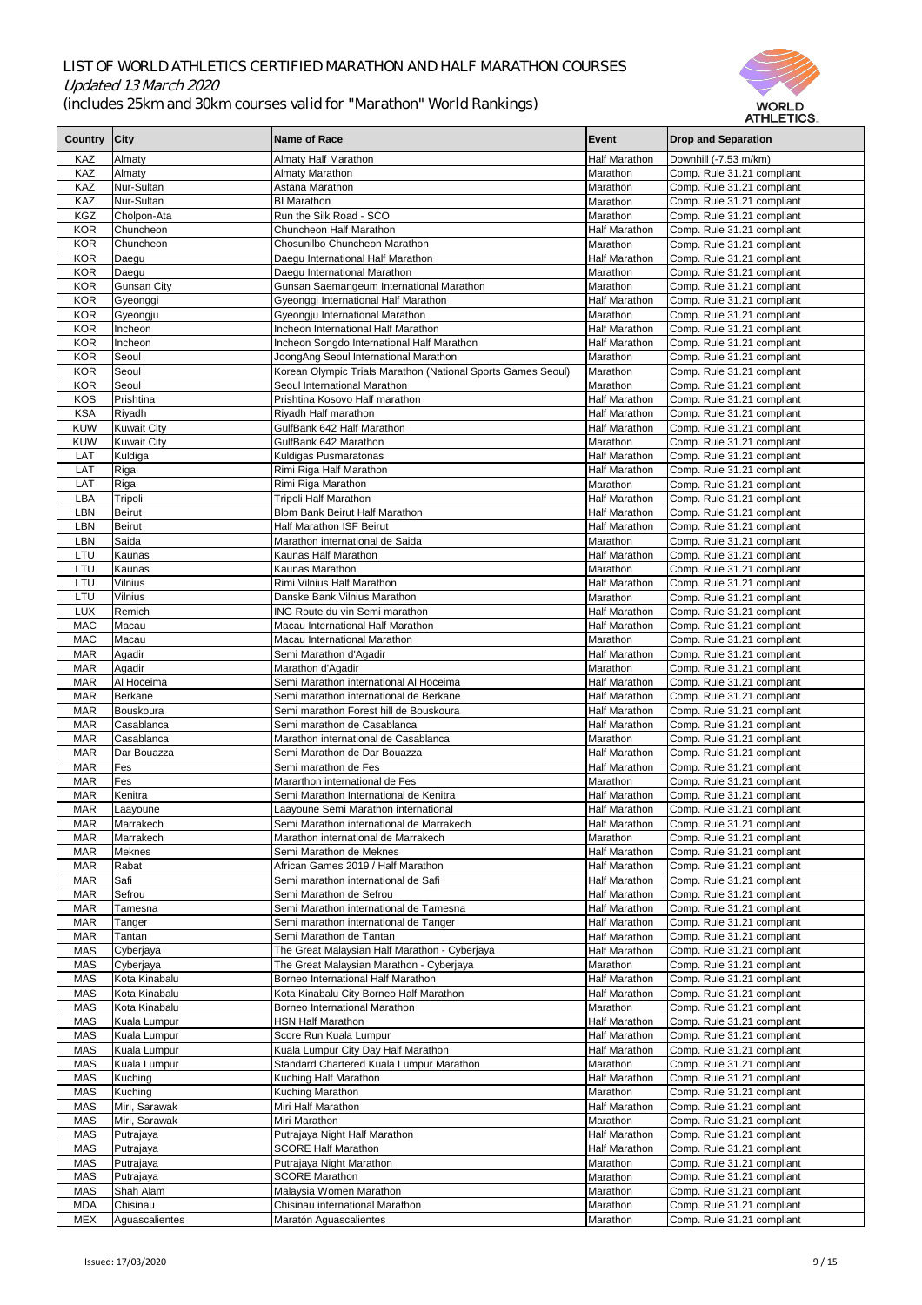

|                |                    |                                                              |                      | AI FILL I IVY.             |
|----------------|--------------------|--------------------------------------------------------------|----------------------|----------------------------|
| <b>Country</b> | <b>City</b>        | Name of Race                                                 | Event                | <b>Drop and Separation</b> |
|                |                    |                                                              |                      |                            |
| KAZ            | Almaty             | <b>Almaty Half Marathon</b>                                  | <b>Half Marathon</b> | Downhill (-7.53 m/km)      |
| KAZ            | Almaty             | Almaty Marathon                                              | Marathon             | Comp. Rule 31.21 compliant |
| <b>KAZ</b>     | Nur-Sultan         | Astana Marathon                                              | Marathon             | Comp. Rule 31.21 compliant |
| KAZ            | Nur-Sultan         | <b>BI</b> Marathon                                           | Marathon             | Comp. Rule 31.21 compliant |
| <b>KGZ</b>     | Cholpon-Ata        | Run the Silk Road - SCO                                      | Marathon             | Comp. Rule 31.21 compliant |
|                | Chuncheon          |                                                              |                      |                            |
| <b>KOR</b>     |                    | Chuncheon Half Marathon                                      | <b>Half Marathon</b> | Comp. Rule 31.21 compliant |
| <b>KOR</b>     | Chuncheon          | Chosunilbo Chuncheon Marathon                                | Marathon             | Comp. Rule 31.21 compliant |
| <b>KOR</b>     | Daegu              | Daegu International Half Marathon                            | <b>Half Marathon</b> | Comp. Rule 31.21 compliant |
| <b>KOR</b>     | Daegu              | Daegu International Marathon                                 | Marathon             | Comp. Rule 31.21 compliant |
| <b>KOR</b>     | <b>Gunsan City</b> | Gunsan Saemangeum International Marathon                     | Marathon             | Comp. Rule 31.21 compliant |
| <b>KOR</b>     | Gyeonggi           | Gyeonggi International Half Marathon                         | <b>Half Marathon</b> | Comp. Rule 31.21 compliant |
| <b>KOR</b>     | Gyeongju           | Gyeongju International Marathon                              | Marathon             | Comp. Rule 31.21 compliant |
| <b>KOR</b>     | Incheon            | Incheon International Half Marathon                          | <b>Half Marathon</b> | Comp. Rule 31.21 compliant |
|                |                    |                                                              |                      |                            |
| <b>KOR</b>     | Incheon            | Incheon Songdo International Half Marathon                   | <b>Half Marathon</b> | Comp. Rule 31.21 compliant |
| <b>KOR</b>     | Seoul              | JoongAng Seoul International Marathon                        | Marathon             | Comp. Rule 31.21 compliant |
| <b>KOR</b>     | Seoul              | Korean Olympic Trials Marathon (National Sports Games Seoul) | Marathon             | Comp. Rule 31.21 compliant |
| <b>KOR</b>     | Seoul              | Seoul International Marathon                                 | Marathon             | Comp. Rule 31.21 compliant |
| <b>KOS</b>     | Prishtina          | Prishtina Kosovo Half marathon                               | <b>Half Marathon</b> | Comp. Rule 31.21 compliant |
| <b>KSA</b>     | Riyadh             | Riyadh Half marathon                                         | <b>Half Marathon</b> | Comp. Rule 31.21 compliant |
| <b>KUW</b>     | <b>Kuwait City</b> | GulfBank 642 Half Marathon                                   | <b>Half Marathon</b> | Comp. Rule 31.21 compliant |
|                |                    |                                                              |                      |                            |
| <b>KUW</b>     | <b>Kuwait City</b> | GulfBank 642 Marathon                                        | Marathon             | Comp. Rule 31.21 compliant |
| LAT            | Kuldiga            | Kuldigas Pusmaratonas                                        | <b>Half Marathon</b> | Comp. Rule 31.21 compliant |
| LAT            | Riga               | Rimi Riga Half Marathon                                      | <b>Half Marathon</b> | Comp. Rule 31.21 compliant |
| LAT            | Riga               | Rimi Riga Marathon                                           | Marathon             | Comp. Rule 31.21 compliant |
| <b>LBA</b>     | Tripoli            | <b>Tripoli Half Marathon</b>                                 | <b>Half Marathon</b> | Comp. Rule 31.21 compliant |
| <b>LBN</b>     | <b>Beirut</b>      | <b>Blom Bank Beirut Half Marathon</b>                        | <b>Half Marathon</b> | Comp. Rule 31.21 compliant |
| <b>LBN</b>     | <b>Beirut</b>      | <b>Half Marathon ISF Beirut</b>                              | <b>Half Marathon</b> | Comp. Rule 31.21 compliant |
| LBN            | Saida              | Marathon international de Saida                              | Marathon             | Comp. Rule 31.21 compliant |
|                |                    |                                                              |                      |                            |
| LTU            | Kaunas             | Kaunas Half Marathon                                         | Half Marathon        | Comp. Rule 31.21 compliant |
| LTU            | Kaunas             | Kaunas Marathon                                              | <b>Marathon</b>      | Comp. Rule 31.21 compliant |
| LTU            | <b>Vilnius</b>     | Rimi Vilnius Half Marathon                                   | Half Marathon        | Comp. Rule 31.21 compliant |
| LTU            | <b>Vilnius</b>     | Danske Bank Vilnius Marathon                                 | Marathon             | Comp. Rule 31.21 compliant |
| <b>LUX</b>     | Remich             | <b>ING Route du vin Semi marathon</b>                        | <b>Half Marathon</b> | Comp. Rule 31.21 compliant |
| <b>MAC</b>     | Macau              | Macau International Half Marathon                            | <b>Half Marathon</b> | Comp. Rule 31.21 compliant |
| <b>MAC</b>     | Macau              | Macau International Marathon                                 | Marathon             | Comp. Rule 31.21 compliant |
| <b>MAR</b>     | Agadir             |                                                              | Half Marathon        | Comp. Rule 31.21 compliant |
|                |                    | Semi Marathon d'Agadir                                       |                      |                            |
| <b>MAR</b>     | Agadir             | Marathon d'Agadir                                            | Marathon             | Comp. Rule 31.21 compliant |
| <b>MAR</b>     | Al Hoceima         | Semi Marathon international Al Hoceima                       | Half Marathon        | Comp. Rule 31.21 compliant |
| <b>MAR</b>     | Berkane            | Semi marathon international de Berkane                       | <b>Half Marathon</b> | Comp. Rule 31.21 compliant |
| <b>MAR</b>     | Bouskoura          | Semi marathon Forest hill de Bouskoura                       | <b>Half Marathon</b> | Comp. Rule 31.21 compliant |
| <b>MAR</b>     | Casablanca         | Semi marathon de Casablanca                                  | <b>Half Marathon</b> | Comp. Rule 31.21 compliant |
| <b>MAR</b>     | Casablanca         | Marathon international de Casablanca                         | Marathon             | Comp. Rule 31.21 compliant |
| <b>MAR</b>     | Dar Bouazza        | Semi Marathon de Dar Bouazza                                 | Half Marathon        | Comp. Rule 31.21 compliant |
| <b>MAR</b>     | Fes                | Semi marathon de Fes                                         | Half Marathon        | Comp. Rule 31.21 compliant |
|                |                    |                                                              |                      |                            |
| <b>MAR</b>     | Fes                | Mararthon international de Fes                               | Marathon             | Comp. Rule 31.21 compliant |
| <b>MAR</b>     | Kenitra            | Semi Marathon International de Kenitra                       | Half Marathon        | Comp. Rule 31.21 compliant |
| <b>MAR</b>     | Laayoune           | Laayoune Semi Marathon international                         | <b>Half Marathon</b> | Comp. Rule 31.21 compliant |
| <b>MAR</b>     | Marrakech          | Semi Marathon international de Marrakech                     | Half Marathon        | Comp. Rule 31.21 compliant |
| <b>MAR</b>     | Marrakech          | Marathon international de Marrakech                          | Marathon             | Comp. Rule 31.21 compliant |
| <b>MAR</b>     | Meknes             | Semi Marathon de Meknes                                      | Half Marathon        | Comp. Rule 31.21 compliant |
| <b>MAR</b>     | Rabat              | African Games 2019 / Half Marathon                           | <b>Half Marathon</b> | Comp. Rule 31.21 compliant |
| <b>MAR</b>     | Safi               | Semi marathon international de Safi                          | Half Marathon        | Comp. Rule 31.21 compliant |
|                | Sefrou             | Semi Marathon de Sefrou                                      | <b>Half Marathon</b> |                            |
| <b>MAR</b>     |                    |                                                              |                      | Comp. Rule 31.21 compliant |
| <b>MAR</b>     | Tamesna            | Semi Marathon international de Tamesna                       | Half Marathon        | Comp. Rule 31.21 compliant |
| <b>MAR</b>     | Tanger             | Semi marathon international de Tanger                        | <b>Half Marathon</b> | Comp. Rule 31.21 compliant |
| <b>MAR</b>     | Tantan             | Semi Marathon de Tantan                                      | <b>Half Marathon</b> | Comp. Rule 31.21 compliant |
| <b>MAS</b>     | Cyberjaya          | The Great Malaysian Half Marathon - Cyberjaya                | <b>Half Marathon</b> | Comp. Rule 31.21 compliant |
| <b>MAS</b>     | Cyberjaya          | The Great Malaysian Marathon - Cyberjaya                     | Marathon             | Comp. Rule 31.21 compliant |
| <b>MAS</b>     | Kota Kinabalu      | Borneo International Half Marathon                           | <b>Half Marathon</b> | Comp. Rule 31.21 compliant |
| <b>MAS</b>     | Kota Kinabalu      | Kota Kinabalu City Borneo Half Marathon                      | <b>Half Marathon</b> | Comp. Rule 31.21 compliant |
| <b>MAS</b>     | Kota Kinabalu      | <b>Borneo International Marathon</b>                         | Marathon             | Comp. Rule 31.21 compliant |
|                | Kuala Lumpur       |                                                              |                      |                            |
| <b>MAS</b>     |                    | <b>HSN Half Marathon</b>                                     | <b>Half Marathon</b> | Comp. Rule 31.21 compliant |
| <b>MAS</b>     | Kuala Lumpur       | Score Run Kuala Lumpur                                       | <b>Half Marathon</b> | Comp. Rule 31.21 compliant |
| <b>MAS</b>     | Kuala Lumpur       | Kuala Lumpur City Day Half Marathon                          | <b>Half Marathon</b> | Comp. Rule 31.21 compliant |
| <b>MAS</b>     | Kuala Lumpur       | Standard Chartered Kuala Lumpur Marathon                     | Marathon             | Comp. Rule 31.21 compliant |
| <b>MAS</b>     | Kuching            | Kuching Half Marathon                                        | <b>Half Marathon</b> | Comp. Rule 31.21 compliant |
| <b>MAS</b>     | Kuching            | Kuching Marathon                                             | Marathon             | Comp. Rule 31.21 compliant |
| <b>MAS</b>     | Miri, Sarawak      | Miri Half Marathon                                           | Half Marathon        | Comp. Rule 31.21 compliant |
| <b>MAS</b>     | Miri, Sarawak      | Miri Marathon                                                | Marathon             | Comp. Rule 31.21 compliant |
| <b>MAS</b>     | Putrajaya          | Putrajaya Night Half Marathon                                | <b>Half Marathon</b> | Comp. Rule 31.21 compliant |
|                |                    | <b>SCORE Half Marathon</b>                                   |                      |                            |
| <b>MAS</b>     | Putrajaya          |                                                              | <b>Half Marathon</b> | Comp. Rule 31.21 compliant |
| <b>MAS</b>     | Putrajaya          | Putrajaya Night Marathon                                     | Marathon             | Comp. Rule 31.21 compliant |
| <b>MAS</b>     | Putrajaya          | <b>SCORE Marathon</b>                                        | Marathon             | Comp. Rule 31.21 compliant |
| <b>MAS</b>     | Shah Alam          | Malaysia Women Marathon                                      | Marathon             | Comp. Rule 31.21 compliant |
| <b>MDA</b>     | Chisinau           | Chisinau international Marathon                              | Marathon             | Comp. Rule 31.21 compliant |
| <b>MEX</b>     | Aguascalientes     | Maratón Aguascalientes                                       | Marathon             | Comp. Rule 31.21 compliant |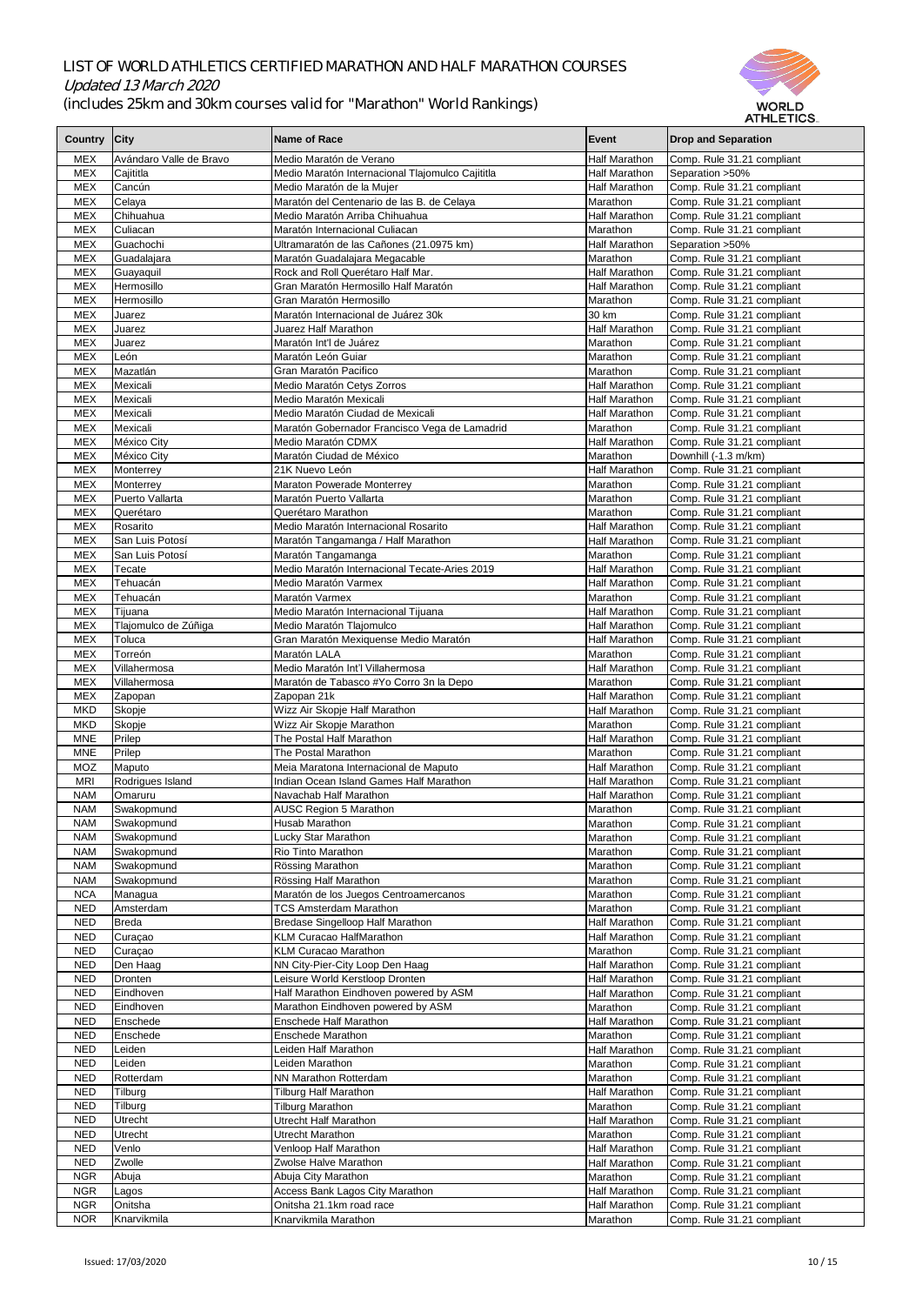

| <b>Country</b>           | <b>City</b>                  | Name of Race                                                                     | Event                                        | <b>Drop and Separation</b>                               |
|--------------------------|------------------------------|----------------------------------------------------------------------------------|----------------------------------------------|----------------------------------------------------------|
| <b>MEX</b>               | Avándaro Valle de Bravo      | Medio Maratón de Verano                                                          | <b>Half Marathon</b>                         | Comp. Rule 31.21 compliant                               |
| <b>MEX</b>               | Cajititla                    | Medio Maratón Internacional Tlajomulco Cajititla                                 | <b>Half Marathon</b>                         | Separation > 50%                                         |
| <b>MEX</b>               | Cancún                       | Medio Maratón de la Mujer                                                        | <b>Half Marathon</b>                         | Comp. Rule 31.21 compliant                               |
| <b>MEX</b>               | Celaya                       | Maratón del Centenario de las B. de Celaya                                       | Marathon                                     | Comp. Rule 31.21 compliant                               |
| <b>MEX</b><br><b>MEX</b> | Chihuahua<br>Culiacan        | Medio Maratón Arriba Chihuahua<br>Maratón Internacional Culiacan                 | <b>Half Marathon</b><br>Marathon             | Comp. Rule 31.21 compliant                               |
| <b>MEX</b>               | Guachochi                    | Ultramaratón de las Cañones (21.0975 km)                                         | <b>Half Marathon</b>                         | Comp. Rule 31.21 compliant<br>Separation > 50%           |
| <b>MEX</b>               | Guadalajara                  | Maratón Guadalajara Megacable                                                    | Marathon                                     | Comp. Rule 31.21 compliant                               |
| <b>MEX</b>               | Guayaquil                    | Rock and Roll Querétaro Half Mar.                                                | Half Marathon                                | Comp. Rule 31.21 compliant                               |
| <b>MEX</b>               | Hermosillo                   | Gran Maratón Hermosillo Half Maratón                                             | <b>Half Marathon</b>                         | Comp. Rule 31.21 compliant                               |
| <b>MEX</b>               | <b>Hermosillo</b>            | Gran Maratón Hermosillo                                                          | Marathon                                     | Comp. Rule 31.21 compliant                               |
| <b>MEX</b>               | Juarez                       | Maratón Internacional de Juárez 30k                                              | 30 km                                        | Comp. Rule 31.21 compliant                               |
| <b>MEX</b><br><b>MEX</b> | Juarez<br>Juarez             | Juarez Half Marathon<br>Maratón Int'l de Juárez                                  | <b>Half Marathon</b><br>Marathon             | Comp. Rule 31.21 compliant<br>Comp. Rule 31.21 compliant |
| <b>MEX</b>               | León                         | Maratón León Guiar                                                               | Marathon                                     | Comp. Rule 31.21 compliant                               |
| <b>MEX</b>               | Mazatlán                     | Gran Maratón Pacifico                                                            | Marathon                                     | Comp. Rule 31.21 compliant                               |
| <b>MEX</b>               | Mexicali                     | Medio Maratón Cetys Zorros                                                       | <b>Half Marathon</b>                         | Comp. Rule 31.21 compliant                               |
| <b>MEX</b>               | Mexicali                     | Medio Maratón Mexicali                                                           | <b>Half Marathon</b>                         | Comp. Rule 31.21 compliant                               |
| <b>MEX</b>               | Mexicali                     | Medio Maratón Ciudad de Mexicali                                                 | <b>Half Marathon</b>                         | Comp. Rule 31.21 compliant                               |
| <b>MEX</b>               | Mexicali                     | Maratón Gobernador Francisco Vega de Lamadrid                                    | Marathon                                     | Comp. Rule 31.21 compliant                               |
| <b>MEX</b><br><b>MEX</b> | México City<br>México City   | Medio Maratón CDMX<br>Maratón Ciudad de México                                   | <b>Half Marathon</b><br>Marathon             | Comp. Rule 31.21 compliant<br>Downhill (-1.3 m/km)       |
| <b>MEX</b>               | Monterrey                    | 21K Nuevo León                                                                   | <b>Half Marathon</b>                         | Comp. Rule 31.21 compliant                               |
| <b>MEX</b>               | Monterrey                    | <b>Maraton Powerade Monterrey</b>                                                | Marathon                                     | Comp. Rule 31.21 compliant                               |
| <b>MEX</b>               | Puerto Vallarta              | Maratón Puerto Vallarta                                                          | Marathon                                     | Comp. Rule 31.21 compliant                               |
| <b>MEX</b>               | Querétaro                    | Querétaro Marathon                                                               | Marathon                                     | Comp. Rule 31.21 compliant                               |
| <b>MEX</b>               | Rosarito                     | Medio Maratón Internacional Rosarito                                             | Half Marathon                                | Comp. Rule 31.21 compliant                               |
| <b>MEX</b>               | San Luis Potosí              | Maratón Tangamanga / Half Marathon                                               | Half Marathon                                | Comp. Rule 31.21 compliant                               |
| <b>MEX</b><br><b>MEX</b> | San Luis Potosí<br>Tecate    | Maratón Tangamanga<br>Medio Maratón Internacional Tecate-Aries 2019              | Marathon<br><b>Half Marathon</b>             | Comp. Rule 31.21 compliant<br>Comp. Rule 31.21 compliant |
| <b>MEX</b>               | Tehuacán                     | Medio Maratón Varmex                                                             | <b>Half Marathon</b>                         | Comp. Rule 31.21 compliant                               |
| <b>MEX</b>               | Tehuacán                     | Maratón Varmex                                                                   | Marathon                                     | Comp. Rule 31.21 compliant                               |
| <b>MEX</b>               | Tijuana                      | Medio Maratón Internacional Tijuana                                              | <b>Half Marathon</b>                         | Comp. Rule 31.21 compliant                               |
| <b>MEX</b>               | Tlajomulco de Zúñiga         | Medio Maratón Tlajomulco                                                         | <b>Half Marathon</b>                         | Comp. Rule 31.21 compliant                               |
| <b>MEX</b>               | Toluca                       | Gran Maratón Mexiquense Medio Maratón                                            | <b>Half Marathon</b>                         | Comp. Rule 31.21 compliant                               |
| <b>MEX</b>               | Torreón                      | Maratón LALA<br>Medio Maratón Int'l Villahermosa                                 | Marathon                                     | Comp. Rule 31.21 compliant                               |
| <b>MEX</b><br><b>MEX</b> | Villahermosa<br>Villahermosa | Maratón de Tabasco #Yo Corro 3n la Depo                                          | <b>Half Marathon</b><br>Marathon             | Comp. Rule 31.21 compliant<br>Comp. Rule 31.21 compliant |
| <b>MEX</b>               | Zapopan                      | Zapopan 21k                                                                      | <b>Half Marathon</b>                         | Comp. Rule 31.21 compliant                               |
| <b>MKD</b>               | Skopje                       | Wizz Air Skopje Half Marathon                                                    | <b>Half Marathon</b>                         | Comp. Rule 31.21 compliant                               |
| <b>MKD</b>               | Skopje                       | Wizz Air Skopje Marathon                                                         | Marathon                                     | Comp. Rule 31.21 compliant                               |
| <b>MNE</b>               | Prilep                       | The Postal Half Marathon                                                         | <b>Half Marathon</b>                         | Comp. Rule 31.21 compliant                               |
| <b>MNE</b>               | Prilep                       | The Postal Marathon                                                              | Marathon                                     | Comp. Rule 31.21 compliant                               |
| <b>MOZ</b><br><b>MRI</b> | Maputo<br>Rodrigues Island   | Meia Maratona Internacional de Maputo<br>Indian Ocean Island Games Half Marathon | <b>Half Marathon</b><br><b>Half Marathon</b> | Comp. Rule 31.21 compliant<br>Comp. Rule 31.21 compliant |
| <b>NAM</b>               | Omaruru                      | Navachab Half Marathon                                                           | <b>Half Marathon</b>                         | Comp. Rule 31.21 compliant                               |
| <b>NAM</b>               | Swakopmund                   | <b>AUSC Region 5 Marathon</b>                                                    | Marathon                                     | Comp. Rule 31.21 compliant                               |
| <b>NAM</b>               | Swakopmund                   | <b>Husab Marathon</b>                                                            | Marathon                                     | Comp. Rule 31.21 compliant                               |
| <b>NAM</b>               | Swakopmund                   | <b>Lucky Star Marathon</b>                                                       | Marathon                                     | Comp. Rule 31.21 compliant                               |
| <b>NAM</b>               | Swakopmund                   | <b>Rio Tinto Marathon</b>                                                        | Marathon                                     | Comp. Rule 31.21 compliant                               |
| <b>NAM</b>               | Swakopmund                   | Rössing Marathon                                                                 | Marathon                                     | Comp. Rule 31.21 compliant                               |
| <b>NAM</b><br><b>NCA</b> | Swakopmund<br>Managua        | Rössing Half Marathon<br>Maratón de los Juegos Centroamercanos                   | Marathon<br>Marathon                         | Comp. Rule 31.21 compliant<br>Comp. Rule 31.21 compliant |
| <b>NED</b>               | Amsterdam                    | <b>TCS Amsterdam Marathon</b>                                                    | Marathon                                     | Comp. Rule 31.21 compliant                               |
| <b>NED</b>               | <b>Breda</b>                 | Bredase Singelloop Half Marathon                                                 | <b>Half Marathon</b>                         | Comp. Rule 31.21 compliant                               |
| <b>NED</b>               | Curaçao                      | <b>KLM Curacao HalfMarathon</b>                                                  | <b>Half Marathon</b>                         | Comp. Rule 31.21 compliant                               |
| <b>NED</b>               | Curaçao                      | <b>KLM Curacao Marathon</b>                                                      | Marathon                                     | Comp. Rule 31.21 compliant                               |
| <b>NED</b><br><b>NED</b> | Den Haag                     | NN City-Pier-City Loop Den Haag                                                  | <b>Half Marathon</b>                         | Comp. Rule 31.21 compliant                               |
| <b>NED</b>               | Dronten<br>Eindhoven         | Leisure World Kerstloop Dronten<br>Half Marathon Eindhoven powered by ASM        | <b>Half Marathon</b><br><b>Half Marathon</b> | Comp. Rule 31.21 compliant<br>Comp. Rule 31.21 compliant |
| <b>NED</b>               | Eindhoven                    | Marathon Eindhoven powered by ASM                                                | Marathon                                     | Comp. Rule 31.21 compliant                               |
| <b>NED</b>               | Enschede                     | <b>Enschede Half Marathon</b>                                                    | <b>Half Marathon</b>                         | Comp. Rule 31.21 compliant                               |
| <b>NED</b>               | Enschede                     | <b>Enschede Marathon</b>                                                         | Marathon                                     | Comp. Rule 31.21 compliant                               |
| <b>NED</b>               | Leiden                       | Leiden Half Marathon                                                             | <b>Half Marathon</b>                         | Comp. Rule 31.21 compliant                               |
| <b>NED</b>               | Leiden                       | Leiden Marathon                                                                  | Marathon                                     | Comp. Rule 31.21 compliant                               |
| <b>NED</b>               | Rotterdam                    | <b>NN Marathon Rotterdam</b>                                                     | Marathon                                     | Comp. Rule 31.21 compliant                               |
| <b>NED</b><br><b>NED</b> | Tilburg<br>Tilburg           | <b>Tilburg Half Marathon</b><br><b>Tilburg Marathon</b>                          | <b>Half Marathon</b><br>Marathon             | Comp. Rule 31.21 compliant<br>Comp. Rule 31.21 compliant |
| <b>NED</b>               | Utrecht                      | <b>Utrecht Half Marathon</b>                                                     | <b>Half Marathon</b>                         | Comp. Rule 31.21 compliant                               |
| <b>NED</b>               | Utrecht                      | <b>Utrecht Marathon</b>                                                          | Marathon                                     | Comp. Rule 31.21 compliant                               |
| <b>NED</b>               | Venlo                        | Venloop Half Marathon                                                            | <b>Half Marathon</b>                         | Comp. Rule 31.21 compliant                               |
| <b>NED</b>               | Zwolle                       | Zwolse Halve Marathon                                                            | <b>Half Marathon</b>                         | Comp. Rule 31.21 compliant                               |
| <b>NGR</b>               | Abuja                        | Abuja City Marathon                                                              | Marathon                                     | Comp. Rule 31.21 compliant                               |
| <b>NGR</b>               | Lagos                        | <b>Access Bank Lagos City Marathon</b>                                           | <b>Half Marathon</b>                         | Comp. Rule 31.21 compliant                               |
| <b>NGR</b><br><b>NOR</b> | Onitsha<br>Knarvikmila       | Onitsha 21.1km road race                                                         | <b>Half Marathon</b>                         | Comp. Rule 31.21 compliant                               |
|                          |                              | Knarvikmila Marathon                                                             | Marathon                                     | Comp. Rule 31.21 compliant                               |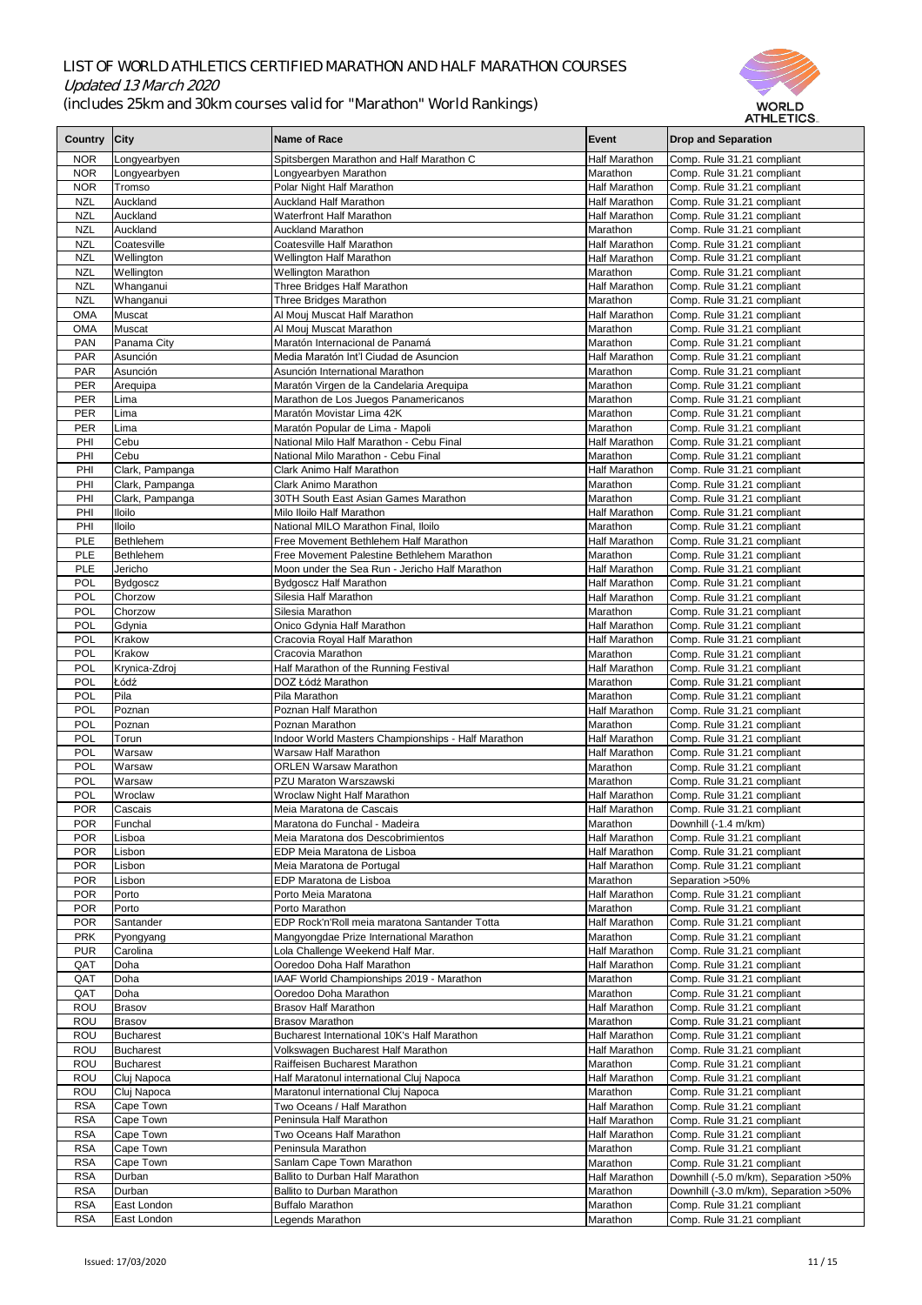

|                |                  |                                                    |                      | AI HLE I IUS.                          |
|----------------|------------------|----------------------------------------------------|----------------------|----------------------------------------|
| <b>Country</b> | City             | Name of Race                                       | Event                | <b>Drop and Separation</b>             |
|                |                  |                                                    |                      |                                        |
| <b>NOR</b>     | Longyearbyen     | Spitsbergen Marathon and Half Marathon C           | Half Marathon        | Comp. Rule 31.21 compliant             |
| <b>NOR</b>     | Longyearbyen     | Longyearbyen Marathon                              | Marathon             | Comp. Rule 31.21 compliant             |
| <b>NOR</b>     | Tromso           | Polar Night Half Marathon                          | <b>Half Marathon</b> | Comp. Rule 31.21 compliant             |
| <b>NZL</b>     | Auckland         | <b>Auckland Half Marathon</b>                      | <b>Half Marathon</b> | Comp. Rule 31.21 compliant             |
| <b>NZL</b>     | Auckland         | <b>Waterfront Half Marathon</b>                    | <b>Half Marathon</b> | Comp. Rule 31.21 compliant             |
| <b>NZL</b>     | Auckland         | <b>Auckland Marathon</b>                           | Marathon             | Comp. Rule 31.21 compliant             |
| <b>NZL</b>     | Coatesville      | <b>Coatesville Half Marathon</b>                   | <b>Half Marathon</b> | Comp. Rule 31.21 compliant             |
| <b>NZL</b>     | Wellington       | <b>Wellington Half Marathon</b>                    | <b>Half Marathon</b> | Comp. Rule 31.21 compliant             |
| <b>NZL</b>     | Wellington       | <b>Wellington Marathon</b>                         | Marathon             | Comp. Rule 31.21 compliant             |
| <b>NZL</b>     | Whanganui        | Three Bridges Half Marathon                        | <b>Half Marathon</b> | Comp. Rule 31.21 compliant             |
| <b>NZL</b>     | Whanganui        | <b>Three Bridges Marathon</b>                      | Marathon             | Comp. Rule 31.21 compliant             |
| <b>OMA</b>     | Muscat           | Al Mouj Muscat Half Marathon                       | <b>Half Marathon</b> | Comp. Rule 31.21 compliant             |
| <b>OMA</b>     | Muscat           | Al Mouj Muscat Marathon                            | Marathon             | Comp. Rule 31.21 compliant             |
| <b>PAN</b>     | Panama City      | Maratón Internacional de Panamá                    | Marathon             | Comp. Rule 31.21 compliant             |
| <b>PAR</b>     | Asunción         | Media Maratón Int'l Ciudad de Asuncion             | <b>Half Marathon</b> | Comp. Rule 31.21 compliant             |
| <b>PAR</b>     | Asunción         | Asunción International Marathon                    | Marathon             |                                        |
|                |                  |                                                    |                      | Comp. Rule 31.21 compliant             |
| <b>PER</b>     | Arequipa         | Maratón Virgen de la Candelaria Arequipa           | Marathon             | Comp. Rule 31.21 compliant             |
| <b>PER</b>     | Lima             | Marathon de Los Juegos Panamericanos               | Marathon             | Comp. Rule 31.21 compliant             |
| <b>PER</b>     | Lima             | Maratón Movistar Lima 42K                          | Marathon             | Comp. Rule 31.21 compliant             |
| <b>PER</b>     | Lima             | Maratón Popular de Lima - Mapoli                   | Marathon             | Comp. Rule 31.21 compliant             |
| PHI            | Cebu             | National Milo Half Marathon - Cebu Final           | Half Marathon        | Comp. Rule 31.21 compliant             |
| PHI            | Cebu             | National Milo Marathon - Cebu Final                | Marathon             | Comp. Rule 31.21 compliant             |
| PHI            | Clark, Pampanga  | <b>Clark Animo Half Marathon</b>                   | Half Marathon        | Comp. Rule 31.21 compliant             |
| PHI            | Clark, Pampanga  | <b>Clark Animo Marathon</b>                        | Marathon             | Comp. Rule 31.21 compliant             |
| PHI            | Clark, Pampanga  | 30TH South East Asian Games Marathon               | Marathon             | Comp. Rule 31.21 compliant             |
| PHI            | <b>Iloilo</b>    | Milo Iloilo Half Marathon                          | <b>Half Marathon</b> | Comp. Rule 31.21 compliant             |
| PHI            | <b>Iloilo</b>    | National MILO Marathon Final, Iloilo               | Marathon             | Comp. Rule 31.21 compliant             |
| <b>PLE</b>     | Bethlehem        | Free Movement Bethlehem Half Marathon              | Half Marathon        | Comp. Rule 31.21 compliant             |
| <b>PLE</b>     | <b>Bethlehem</b> | Free Movement Palestine Bethlehem Marathon         | <b>Marathon</b>      | Comp. Rule 31.21 compliant             |
| <b>PLE</b>     | Jericho          | Moon under the Sea Run - Jericho Half Marathon     | <b>Half Marathon</b> | Comp. Rule 31.21 compliant             |
| <b>POL</b>     | <b>Bydgoscz</b>  | <b>Bydgoscz Half Marathon</b>                      | <b>Half Marathon</b> | Comp. Rule 31.21 compliant             |
| <b>POL</b>     | Chorzow          | Silesia Half Marathon                              | <b>Half Marathon</b> | Comp. Rule 31.21 compliant             |
| <b>POL</b>     | Chorzow          | Silesia Marathon                                   | Marathon             | Comp. Rule 31.21 compliant             |
| <b>POL</b>     | Gdynia           | Onico Gdynia Half Marathon                         | Half Marathon        | Comp. Rule 31.21 compliant             |
| <b>POL</b>     | Krakow           | Cracovia Royal Half Marathon                       | Half Marathon        |                                        |
|                | Krakow           | Cracovia Marathon                                  |                      | Comp. Rule 31.21 compliant             |
| <b>POL</b>     |                  |                                                    | Marathon             | Comp. Rule 31.21 compliant             |
| <b>POL</b>     | Krynica-Zdroj    | Half Marathon of the Running Festival              | Half Marathon        | Comp. Rule 31.21 compliant             |
| <b>POL</b>     | Łódź             | DOZ Łódź Marathon                                  | Marathon             | Comp. Rule 31.21 compliant             |
| <b>POL</b>     | Pila             | Pila Marathon                                      | Marathon             | Comp. Rule 31.21 compliant             |
| <b>POL</b>     | Poznan           | Poznan Half Marathon                               | <b>Half Marathon</b> | Comp. Rule 31.21 compliant             |
| <b>POL</b>     | Poznan           | Poznan Marathon                                    | Marathon             | Comp. Rule 31.21 compliant             |
| <b>POL</b>     | Torun            | Indoor World Masters Championships - Half Marathon | Half Marathon        | Comp. Rule 31.21 compliant             |
| <b>POL</b>     | Warsaw           | <b>Warsaw Half Marathon</b>                        | Half Marathon        | Comp. Rule 31.21 compliant             |
| <b>POL</b>     | Warsaw           | <b>ORLEN Warsaw Marathon</b>                       | Marathon             | Comp. Rule 31.21 compliant             |
| <b>POL</b>     | Warsaw           | PZU Maraton Warszawski                             | Marathon             | Comp. Rule 31.21 compliant             |
| <b>POL</b>     | Wroclaw          | <b>Wroclaw Night Half Marathon</b>                 | Half Marathon        | Comp. Rule 31.21 compliant             |
| <b>POR</b>     | Cascais          | Meia Maratona de Cascais                           | Half Marathon        | Comp. Rule 31.21 compliant             |
| <b>POR</b>     | Funchal          | Maratona do Funchal - Madeira                      | Marathon             | Downhill (-1.4 m/km)                   |
| <b>POR</b>     | Lisboa           | Meia Maratona dos Descobrimientos                  | <b>Half Marathon</b> | Comp. Rule 31.21 compliant             |
| <b>POR</b>     | Lisbon           | EDP Meia Maratona de Lisboa                        | <b>Half Marathon</b> | Comp. Rule 31.21 compliant             |
| <b>POR</b>     | Lisbon           | Meia Maratona de Portugal                          | <b>Half Marathon</b> | Comp. Rule 31.21 compliant             |
| <b>POR</b>     | Lisbon           | EDP Maratona de Lisboa                             | Marathon             | Separation > 50%                       |
| <b>POR</b>     | Porto            | Porto Meia Maratona                                | Half Marathon        | Comp. Rule 31.21 compliant             |
| <b>POR</b>     | Porto            | Porto Marathon                                     | Marathon             | Comp. Rule 31.21 compliant             |
| <b>POR</b>     | Santander        | EDP Rock'n'Roll meia maratona Santander Totta      | <b>Half Marathon</b> | Comp. Rule 31.21 compliant             |
| <b>PRK</b>     | Pyongyang        | Mangyongdae Prize International Marathon           | Marathon             | Comp. Rule 31.21 compliant             |
| <b>PUR</b>     | Carolina         | Lola Challenge Weekend Half Mar.                   | <b>Half Marathon</b> | Comp. Rule 31.21 compliant             |
| QAT            | Doha             | Ooredoo Doha Half Marathon                         | <b>Half Marathon</b> | Comp. Rule 31.21 compliant             |
| QAT            | Doha             | IAAF World Championships 2019 - Marathon           | Marathon             | Comp. Rule 31.21 compliant             |
|                | Doha             | Ooredoo Doha Marathon                              | Marathon             | Comp. Rule 31.21 compliant             |
| QAT            |                  | <b>Brasov Half Marathon</b>                        |                      |                                        |
| <b>ROU</b>     | <b>Brasov</b>    |                                                    | Half Marathon        | Comp. Rule 31.21 compliant             |
| <b>ROU</b>     | <b>Brasov</b>    | <b>Brasov Marathon</b>                             | Marathon             | Comp. Rule 31.21 compliant             |
| <b>ROU</b>     | <b>Bucharest</b> | Bucharest International 10K's Half Marathon        | <b>Half Marathon</b> | Comp. Rule 31.21 compliant             |
| <b>ROU</b>     | <b>Bucharest</b> | Volkswagen Bucharest Half Marathon                 | <b>Half Marathon</b> | Comp. Rule 31.21 compliant             |
| <b>ROU</b>     | <b>Bucharest</b> | Raiffeisen Bucharest Marathon                      | Marathon             | Comp. Rule 31.21 compliant             |
| <b>ROU</b>     | Cluj Napoca      | Half Maratonul international Cluj Napoca           | <b>Half Marathon</b> | Comp. Rule 31.21 compliant             |
| <b>ROU</b>     | Cluj Napoca      | Maratonul international Cluj Napoca                | Marathon             | Comp. Rule 31.21 compliant             |
| <b>RSA</b>     | Cape Town        | Two Oceans / Half Marathon                         | Half Marathon        | Comp. Rule 31.21 compliant             |
| <b>RSA</b>     | Cape Town        | Peninsula Half Marathon                            | Half Marathon        | Comp. Rule 31.21 compliant             |
| <b>RSA</b>     | Cape Town        | Two Oceans Half Marathon                           | Half Marathon        | Comp. Rule 31.21 compliant             |
| <b>RSA</b>     | Cape Town        | Peninsula Marathon                                 | Marathon             | Comp. Rule 31.21 compliant             |
| <b>RSA</b>     | Cape Town        | Sanlam Cape Town Marathon                          | Marathon             | Comp. Rule 31.21 compliant             |
| <b>RSA</b>     | Durban           | Ballito to Durban Half Marathon                    | <b>Half Marathon</b> | Downhill (-5.0 m/km), Separation > 50% |
| <b>RSA</b>     | Durban           | <b>Ballito to Durban Marathon</b>                  | Marathon             | Downhill (-3.0 m/km), Separation > 50% |
| <b>RSA</b>     | East London      | <b>Buffalo Marathon</b>                            | Marathon             | Comp. Rule 31.21 compliant             |
| <b>RSA</b>     | East London      | Legends Marathon                                   | Marathon             | Comp. Rule 31.21 compliant             |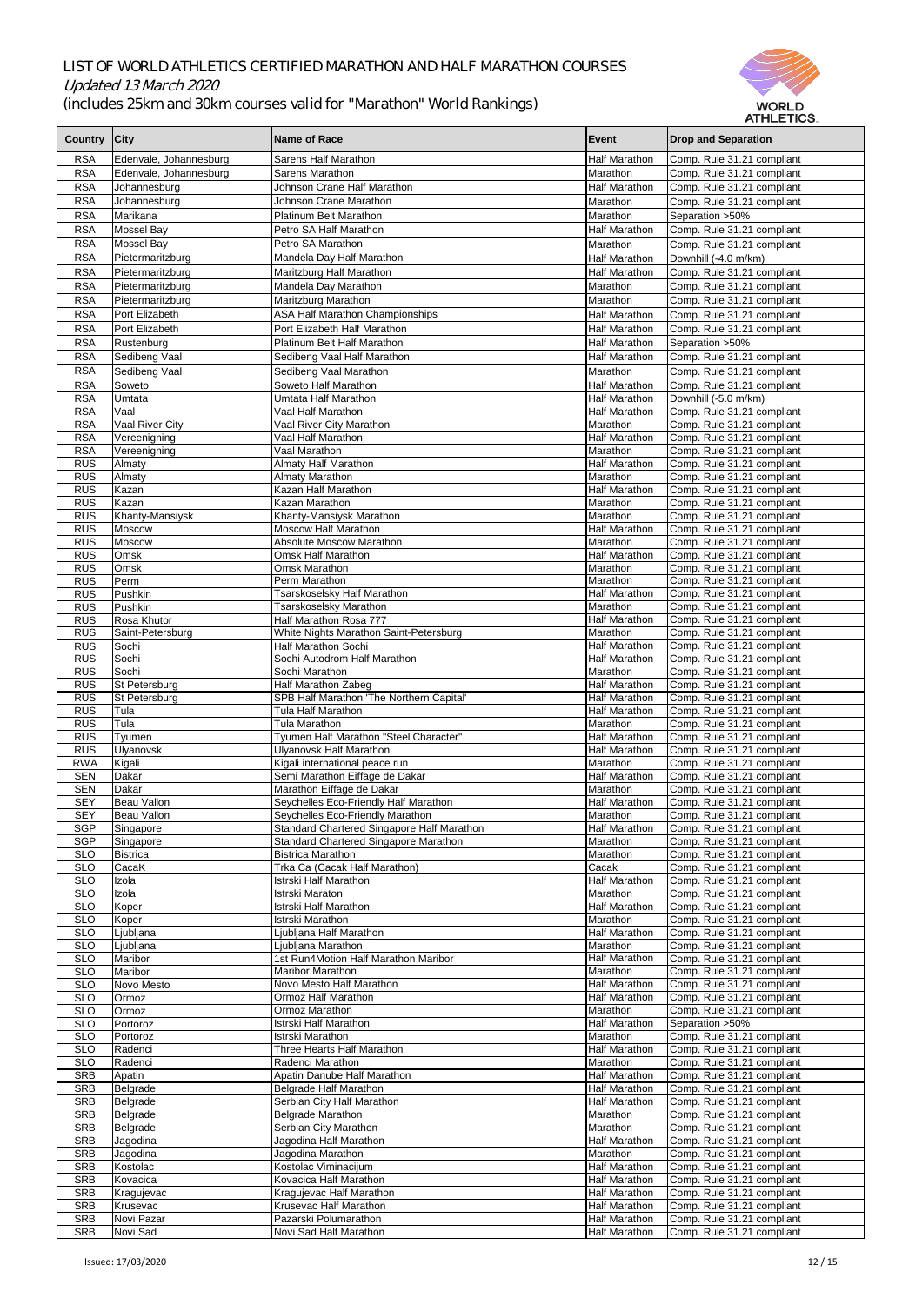

|              |                           |                                            |                      | AI HLE HUS.                |
|--------------|---------------------------|--------------------------------------------|----------------------|----------------------------|
| Country City |                           | <b>Name of Race</b>                        | Event                | <b>Drop and Separation</b> |
|              |                           |                                            |                      |                            |
| <b>RSA</b>   | Edenvale, Johannesburg    | <b>Sarens Half Marathon</b>                | <b>Half Marathon</b> | Comp. Rule 31.21 compliant |
| <b>RSA</b>   | Edenvale, Johannesburg    | Sarens Marathon                            | <b>Marathon</b>      | Comp. Rule 31.21 compliant |
| <b>RSA</b>   | Johannesburg              | Johnson Crane Half Marathon                | <b>Half Marathon</b> | Comp. Rule 31.21 compliant |
| <b>RSA</b>   | Johannesburg              | Johnson Crane Marathon                     | Marathon             | Comp. Rule 31.21 compliant |
| <b>RSA</b>   | Marikana                  | <b>Platinum Belt Marathon</b>              | Marathon             | Separation > 50%           |
|              |                           |                                            |                      |                            |
| <b>RSA</b>   | Mossel Bay                | Petro SA Half Marathon                     | <b>Half Marathon</b> | Comp. Rule 31.21 compliant |
| <b>RSA</b>   | <b>Mossel Bay</b>         | Petro SA Marathon                          | Marathon             | Comp. Rule 31.21 compliant |
| <b>RSA</b>   | Pietermaritzburg          | Mandela Day Half Marathon                  | Half Marathon        | Downhill (-4.0 m/km)       |
| <b>RSA</b>   | Pietermaritzburg          | Maritzburg Half Marathon                   | <b>Half Marathon</b> | Comp. Rule 31.21 compliant |
| <b>RSA</b>   | Pietermaritzburg          | Mandela Day Marathon                       | Marathon             | Comp. Rule 31.21 compliant |
| <b>RSA</b>   | Pietermaritzburg          | Maritzburg Marathon                        | Marathon             | Comp. Rule 31.21 compliant |
| <b>RSA</b>   | Port Elizabeth            | <b>ASA Half Marathon Championships</b>     | <b>Half Marathon</b> | Comp. Rule 31.21 compliant |
| <b>RSA</b>   | Port Elizabeth            | Port Elizabeth Half Marathon               |                      |                            |
|              |                           |                                            | <b>Half Marathon</b> | Comp. Rule 31.21 compliant |
| <b>RSA</b>   | Rustenburg                | <b>Platinum Belt Half Marathon</b>         | <b>Half Marathon</b> | Separation > 50%           |
| <b>RSA</b>   | Sedibeng Vaal             | Sedibeng Vaal Half Marathon                | <b>Half Marathon</b> | Comp. Rule 31.21 compliant |
| <b>RSA</b>   | Sedibeng Vaal             | Sedibeng Vaal Marathon                     | Marathon             | Comp. Rule 31.21 compliant |
| <b>RSA</b>   | Soweto                    | Soweto Half Marathon                       | <b>Half Marathon</b> | Comp. Rule 31.21 compliant |
| <b>RSA</b>   | Umtata                    | Umtata Half Marathon                       | Half Marathon        | Downhill (-5.0 m/km)       |
| <b>RSA</b>   | $\overline{\text{V}}$ aal | Vaal Half Marathon                         | <b>Half Marathon</b> | Comp. Rule 31.21 compliant |
| <b>RSA</b>   | Vaal River City           | Vaal River City Marathon                   | Marathon             | Comp. Rule 31.21 compliant |
| <b>RSA</b>   | Vereenigning              | Vaal Half Marathon                         | <b>Half Marathon</b> | Comp. Rule 31.21 compliant |
| <b>RSA</b>   | Vereenigning              | Vaal Marathon                              | Marathon             | Comp. Rule 31.21 compliant |
| <b>RUS</b>   | Almaty                    | <b>Almaty Half Marathon</b>                | <b>Half Marathon</b> | Comp. Rule 31.21 compliant |
| <b>RUS</b>   | Almaty                    | <b>Almaty Marathon</b>                     | Marathon             | Comp. Rule 31.21 compliant |
| <b>RUS</b>   | Kazan                     | Kazan Half Marathon                        | Half Marathon        | Comp. Rule 31.21 compliant |
|              | Kazan                     | Kazan Marathon                             | Marathon             | Comp. Rule 31.21 compliant |
| <b>RUS</b>   |                           |                                            |                      |                            |
| <b>RUS</b>   | Khanty-Mansiysk           | Khanty-Mansiysk Marathon                   | Marathon             | Comp. Rule 31.21 compliant |
| <b>RUS</b>   | Moscow                    | <b>Moscow Half Marathon</b>                | Half Marathon        | Comp. Rule 31.21 compliant |
| <b>RUS</b>   | Moscow                    | <b>Absolute Moscow Marathon</b>            | Marathon             | Comp. Rule 31.21 compliant |
| <b>RUS</b>   | <b>Omsk</b>               | <b>Omsk Half Marathon</b>                  | <b>Half Marathon</b> | Comp. Rule 31.21 compliant |
| <b>RUS</b>   | Omsk                      | <b>Omsk Marathon</b>                       | Marathon             | Comp. Rule 31.21 compliant |
| <b>RUS</b>   | Perm                      | Perm Marathon                              | Marathon             | Comp. Rule 31.21 compliant |
| <b>RUS</b>   | Pushkin                   | Tsarskoselsky Half Marathon                | <b>Half Marathon</b> | Comp. Rule 31.21 compliant |
| <b>RUS</b>   | Pushkin                   | Tsarskoselsky Marathon                     | Marathon             | Comp. Rule 31.21 compliant |
| <b>RUS</b>   | Rosa Khutor               | Half Marathon Rosa 777                     | Half Marathon        | Comp. Rule 31.21 compliant |
| <b>RUS</b>   | Saint-Petersburg          | White Nights Marathon Saint-Petersburg     | Marathon             | Comp. Rule 31.21 compliant |
| <b>RUS</b>   | Sochi                     | <b>Half Marathon Sochi</b>                 | Half Marathon        | Comp. Rule 31.21 compliant |
| <b>RUS</b>   | Sochi                     | Sochi Autodrom Half Marathon               | <b>Half Marathon</b> | Comp. Rule 31.21 compliant |
| <b>RUS</b>   | Sochi                     | Sochi Marathon                             | Marathon             | Comp. Rule 31.21 compliant |
| <b>RUS</b>   | St Petersburg             | <b>Half Marathon Zabeg</b>                 | <b>Half Marathon</b> | Comp. Rule 31.21 compliant |
| <b>RUS</b>   | St Petersburg             | SPB Half Marathon 'The Northern Capital'   | <b>Half Marathon</b> | Comp. Rule 31.21 compliant |
| <b>RUS</b>   | Tula                      | <b>Tula Half Marathon</b>                  | Half Marathon        | Comp. Rule 31.21 compliant |
| <b>RUS</b>   | Tula                      | Tula Marathon                              | Marathon             | Comp. Rule 31.21 compliant |
| <b>RUS</b>   | Tyumen                    | Tyumen Half Marathon "Steel Character"     | Half Marathon        | Comp. Rule 31.21 compliant |
| <b>RUS</b>   | <b>Ulyanovsk</b>          | <b>Ulyanovsk Half Marathon</b>             | <b>Half Marathon</b> | Comp. Rule 31.21 compliant |
| <b>RWA</b>   | Kigali                    | Kigali international peace run             | Marathon             | Comp. Rule 31.21 compliant |
| <b>SEN</b>   | <b>Dakar</b>              | Semi Marathon Eiffage de Dakar             | <b>Half Marathon</b> | Comp. Rule 31.21 compliant |
| <b>SEN</b>   | <b>Dakar</b>              | Marathon Eiffage de Dakar                  | Marathon             | Comp. Rule 31.21 compliant |
| <b>SEY</b>   | Beau Vallon               | Seychelles Eco-Friendly Half Marathon      | <b>Half Marathon</b> | Comp. Rule 31.21 compliant |
|              |                           |                                            |                      |                            |
| <b>SEY</b>   | Beau Vallon               | Seychelles Eco-Friendly Marathon           | Marathon             | Comp. Rule 31.21 compliant |
| <b>SGP</b>   | Singapore                 | Standard Chartered Singapore Half Marathon | <b>Half Marathon</b> | Comp. Rule 31.21 compliant |
| <b>SGP</b>   | Singapore                 | Standard Chartered Singapore Marathon      | Marathon             | Comp. Rule 31.21 compliant |
| <b>SLO</b>   | <b>Bistrica</b>           | <b>Bistrica Marathon</b>                   | Marathon             | Comp. Rule 31.21 compliant |
| <b>SLO</b>   | CacaK                     | Trka Ca (Cacak Half Marathon)              | Cacak                | Comp. Rule 31.21 compliant |
| <b>SLO</b>   | Izola                     | Istrski Half Marathon                      | <b>Half Marathon</b> | Comp. Rule 31.21 compliant |
| <b>SLO</b>   | Izola                     | <b>Istrski Maraton</b>                     | Marathon             | Comp. Rule 31.21 compliant |
| <b>SLO</b>   | Koper                     | Istrski Half Marathon                      | Half Marathon        | Comp. Rule 31.21 compliant |
| <b>SLO</b>   | Koper                     | Istrski Marathon                           | Marathon             | Comp. Rule 31.21 compliant |
| <b>SLO</b>   | Ljubljana                 | iubliana Half Marathon                     | <b>Half Marathon</b> | Comp. Rule 31.21 compliant |
| <b>SLO</b>   | Ljubljana                 | jubljana Marathon                          | Marathon             | Comp. Rule 31.21 compliant |
| <b>SLO</b>   | Maribor                   | 1st Run4Motion Half Marathon Maribor       | Half Marathon        | Comp. Rule 31.21 compliant |
| <b>SLO</b>   | Maribor                   | <b>Maribor Marathon</b>                    | Marathon             | Comp. Rule 31.21 compliant |
| <b>SLO</b>   | Novo Mesto                | Novo Mesto Half Marathon                   | <b>Half Marathon</b> | Comp. Rule 31.21 compliant |
| <b>SLO</b>   | Ormoz                     | Ormoz Half Marathon                        | <b>Half Marathon</b> | Comp. Rule 31.21 compliant |
| <b>SLO</b>   | Ormoz                     | Ormoz Marathon                             | Marathon             | Comp. Rule 31.21 compliant |
| <b>SLO</b>   | Portoroz                  | Istrski Half Marathon                      | <b>Half Marathon</b> | Separation > 50%           |
| <b>SLO</b>   | Portoroz                  | Istrski Marathon                           | Marathon             | Comp. Rule 31.21 compliant |
| <b>SLO</b>   | Radenci                   | Three Hearts Half Marathon                 | Half Marathon        | Comp. Rule 31.21 compliant |
| <b>SLO</b>   | Radenci                   | Radenci Marathon                           | Marathon             | Comp. Rule 31.21 compliant |
| <b>SRB</b>   | Apatin                    | <b>Apatin Danube Half Marathon</b>         | <b>Half Marathon</b> | Comp. Rule 31.21 compliant |
| <b>SRB</b>   | Belgrade                  | <b>Belgrade Half Marathon</b>              | <b>Half Marathon</b> | Comp. Rule 31.21 compliant |
| <b>SRB</b>   | Belgrade                  | Serbian City Half Marathon                 | Half Marathon        | Comp. Rule 31.21 compliant |
| <b>SRB</b>   | Belgrade                  | <b>Belgrade Marathon</b>                   | Marathon             | Comp. Rule 31.21 compliant |
| <b>SRB</b>   | Belgrade                  | Serbian City Marathon                      | Marathon             | Comp. Rule 31.21 compliant |
| <b>SRB</b>   | Jagodina                  | Jagodina Half Marathon                     | <b>Half Marathon</b> | Comp. Rule 31.21 compliant |
| <b>SRB</b>   | Jagodina                  | Jagodina Marathon                          | Marathon             | Comp. Rule 31.21 compliant |
|              |                           |                                            | <b>Half Marathon</b> |                            |
| <b>SRB</b>   | Kostolac                  | Kostolac Viminacijum                       |                      | Comp. Rule 31.21 compliant |
| <b>SRB</b>   | Kovacica                  | Kovacica Half Marathon                     | Half Marathon        | Comp. Rule 31.21 compliant |
| <b>SRB</b>   | Kragujevac                | Kragujevac Half Marathon                   | Half Marathon        | Comp. Rule 31.21 compliant |
| <b>SRB</b>   | Krusevac                  | <b>Krusevac Half Marathon</b>              | Half Marathon        | Comp. Rule 31.21 compliant |
| <b>SRB</b>   | Novi Pazar                | Pazarski Polumarathon                      | Half Marathon        | Comp. Rule 31.21 compliant |
| <b>SRB</b>   | Novi Sad                  | Novi Sad Half Marathon                     | Half Marathon        | Comp. Rule 31.21 compliant |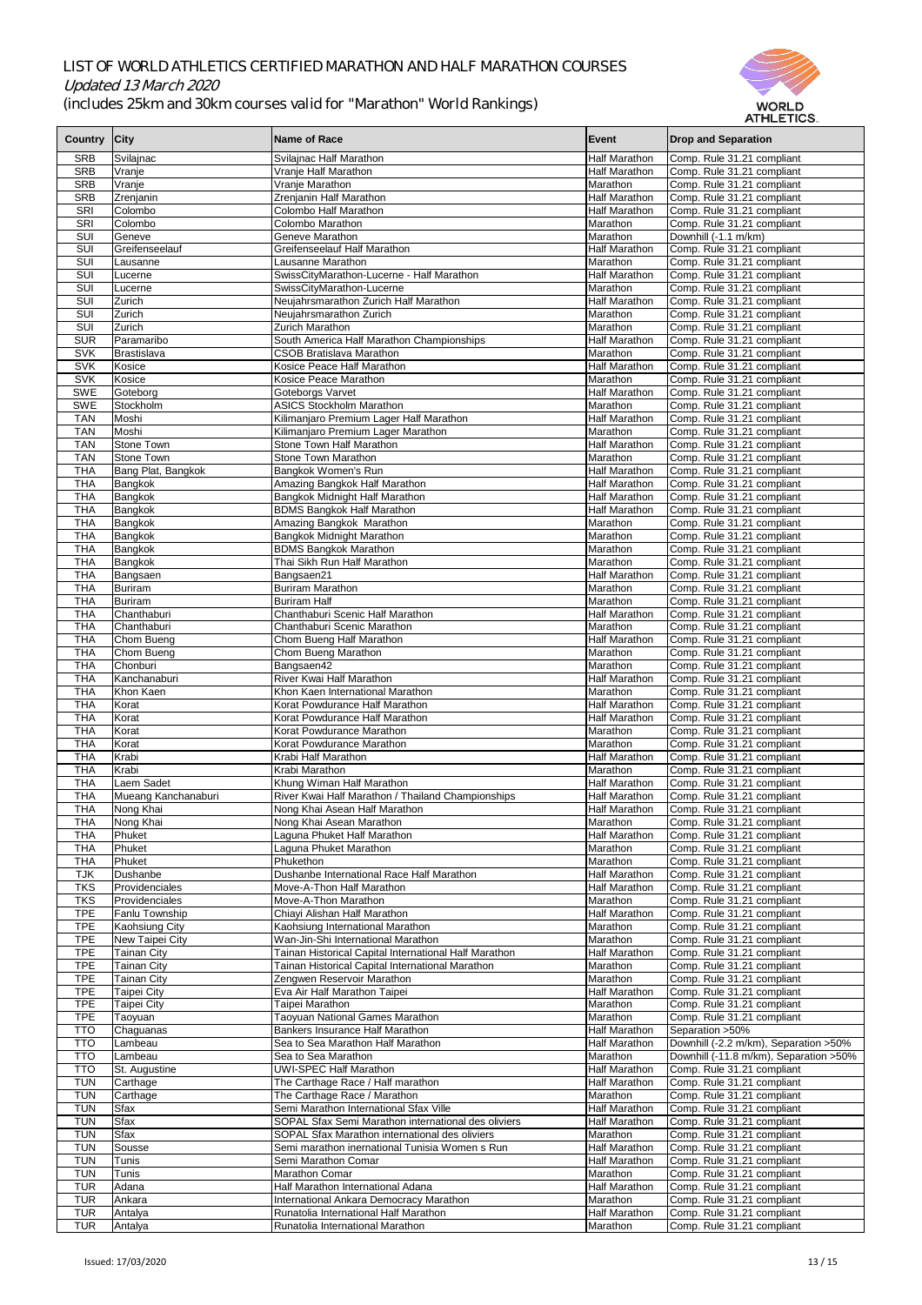



| Country City             |                                  | <b>Name of Race</b>                                                         | Event                                        | <b>Drop and Separation</b>                                |
|--------------------------|----------------------------------|-----------------------------------------------------------------------------|----------------------------------------------|-----------------------------------------------------------|
| <b>SRB</b>               | Svilajnac                        | Svilajnac Half Marathon                                                     | <b>Half Marathon</b>                         | Comp. Rule 31.21 compliant                                |
| <b>SRB</b>               | Vranje                           | Vranje Half Marathon                                                        | <b>Half Marathon</b>                         | Comp. Rule 31.21 compliant                                |
| <b>SRB</b>               | Vranje                           | Vranje Marathon                                                             | Marathon<br><b>Half Marathon</b>             | Comp. Rule 31.21 compliant                                |
| <b>SRB</b><br>SRI        | Zrenjanin<br>Colombo             | Zrenjanin Half Marathon<br>Colombo Half Marathon                            | <b>Half Marathon</b>                         | Comp. Rule 31.21 compliant<br>Comp. Rule 31.21 compliant  |
| SRI                      | Colombo                          | Colombo Marathon                                                            | Marathon                                     | Comp. Rule 31.21 compliant                                |
| <b>SUI</b>               | Geneve                           | <b>Geneve Marathon</b>                                                      | Marathon                                     | Downhill (-1.1 m/km)                                      |
| SUI                      | Greifenseelauf                   | Greifenseelauf Half Marathon                                                | <b>Half Marathon</b>                         | Comp. Rule 31.21 compliant                                |
| SUI                      | Lausanne                         | Lausanne Marathon                                                           | Marathon                                     | Comp. Rule 31.21 compliant                                |
| SUI                      | Lucerne                          | SwissCityMarathon-Lucerne - Half Marathon                                   | <b>Half Marathon</b>                         | Comp. Rule 31.21 compliant                                |
| SUI                      | Lucerne                          | SwissCityMarathon-Lucerne                                                   | Marathon                                     | Comp. Rule 31.21 compliant                                |
| <b>SUI</b>               | Zurich                           | Neujahrsmarathon Zurich Half Marathon                                       | <b>Half Marathon</b>                         | Comp. Rule 31.21 compliant                                |
| SUI                      | Zurich                           | Neujahrsmarathon Zurich<br><b>Zurich Marathon</b>                           | Marathon                                     | Comp. Rule 31.21 compliant                                |
| <b>SUI</b><br><b>SUR</b> | Zurich<br>Paramaribo             | South America Half Marathon Championships                                   | Marathon<br><b>Half Marathon</b>             | Comp. Rule 31.21 compliant<br>Comp. Rule 31.21 compliant  |
| <b>SVK</b>               | Brastislava                      | <b>CSOB Bratislava Marathon</b>                                             | <b>Marathon</b>                              | Comp. Rule 31.21 compliant                                |
| <b>SVK</b>               | Kosice                           | Kosice Peace Half Marathon                                                  | <b>Half Marathon</b>                         | Comp. Rule 31.21 compliant                                |
| <b>SVK</b>               | Kosice                           | Kosice Peace Marathon                                                       | Marathon                                     | Comp. Rule 31.21 compliant                                |
| <b>SWE</b>               | Goteborg                         | Goteborgs Varvet                                                            | <b>Half Marathon</b>                         | Comp. Rule 31.21 compliant                                |
| <b>SWE</b>               | Stockholm                        | <b>ASICS Stockholm Marathon</b>                                             | Marathon                                     | Comp. Rule 31.21 compliant                                |
| <b>TAN</b>               | Moshi                            | Kilimanjaro Premium Lager Half Marathon                                     | <b>Half Marathon</b>                         | Comp. Rule 31.21 compliant                                |
| <b>TAN</b>               | Moshi                            | Kilimanjaro Premium Lager Marathon                                          | Marathon                                     | Comp. Rule 31.21 compliant                                |
| <b>TAN</b>               | <b>Stone Town</b>                | <b>Stone Town Half Marathon</b>                                             | <b>Half Marathon</b>                         | Comp. Rule 31.21 compliant                                |
| <b>TAN</b>               | Stone Town                       | <b>Stone Town Marathon</b>                                                  | Marathon                                     | Comp. Rule 31.21 compliant                                |
| <b>THA</b><br><b>THA</b> | Bang Plat, Bangkok<br>Bangkok    | Bangkok Women's Run<br>Amazing Bangkok Half Marathon                        | <b>Half Marathon</b><br><b>Half Marathon</b> | Comp. Rule 31.21 compliant<br>Comp. Rule 31.21 compliant  |
| <b>THA</b>               | Bangkok                          | Bangkok Midnight Half Marathon                                              | <b>Half Marathon</b>                         | Comp. Rule 31.21 compliant                                |
| <b>THA</b>               | Bangkok                          | <b>BDMS Bangkok Half Marathon</b>                                           | <b>Half Marathon</b>                         | Comp. Rule 31.21 compliant                                |
| <b>THA</b>               | Bangkok                          | Amazing Bangkok Marathon                                                    | Marathon                                     | Comp. Rule 31.21 compliant                                |
| <b>THA</b>               | Bangkok                          | Bangkok Midnight Marathon                                                   | Marathon                                     | Comp. Rule 31.21 compliant                                |
| <b>THA</b>               | Bangkok                          | <b>BDMS Bangkok Marathon</b>                                                | Marathon                                     | Comp. Rule 31.21 compliant                                |
| <b>THA</b>               | Bangkok                          | Thai Sikh Run Half Marathon                                                 | Marathon                                     | Comp. Rule 31.21 compliant                                |
| <b>THA</b>               | Bangsaen                         | Bangsaen21                                                                  | <b>Half Marathon</b>                         | Comp. Rule 31.21 compliant                                |
| <b>THA</b>               | Buriram                          | <b>Buriram Marathon</b>                                                     | Marathon                                     | Comp. Rule 31.21 compliant                                |
| <b>THA</b>               | Buriram                          | <b>Buriram Half</b>                                                         | Marathon                                     | Comp. Rule 31.21 compliant                                |
| <b>THA</b><br><b>THA</b> | Chanthaburi<br>Chanthaburi       | Chanthaburi Scenic Half Marathon<br>Chanthaburi Scenic Marathon             | <b>Half Marathon</b><br>Marathon             | Comp. Rule 31.21 compliant<br>Comp. Rule 31.21 compliant  |
| <b>THA</b>               | Chom Bueng                       | Chom Bueng Half Marathon                                                    | <b>Half Marathon</b>                         | Comp. Rule 31.21 compliant                                |
| <b>THA</b>               | Chom Bueng                       | Chom Bueng Marathon                                                         | Marathon                                     | Comp. Rule 31.21 compliant                                |
| <b>THA</b>               | Chonburi                         | Bangsaen42                                                                  | Marathon                                     | Comp. Rule 31.21 compliant                                |
| <b>THA</b>               | Kanchanaburi                     | River Kwai Half Marathon                                                    | <b>Half Marathon</b>                         | Comp. Rule 31.21 compliant                                |
| <b>THA</b>               | Khon Kaen                        | Khon Kaen International Marathon                                            | Marathon                                     | Comp. Rule 31.21 compliant                                |
| <b>THA</b>               | Korat                            | Korat Powdurance Half Marathon                                              | <b>Half Marathon</b>                         | Comp. Rule 31.21 compliant                                |
| <b>THA</b>               | Korat                            | Korat Powdurance Half Marathon                                              | <b>Half Marathon</b>                         | Comp. Rule 31.21 compliant                                |
| <b>THA</b>               | Korat                            | Korat Powdurance Marathon                                                   | Marathon                                     | Comp. Rule 31.21 compliant                                |
| <b>THA</b>               | Korat                            | Korat Powdurance Marathon                                                   | Marathon                                     | Comp. Rule 31.21 compliant                                |
| <b>THA</b><br><b>THA</b> | Krabi<br>Krabi                   | Krabi Half Marathon<br>Krabi Marathon                                       | <b>Half Marathon</b><br>Marathon             | Comp. Rule 31.21 compliant<br>Comp. Rule 31.21 compliant  |
| <b>THA</b>               | Laem Sadet                       | Khung Wiman Half Marathon                                                   | Half Marathon                                | Comp. Rule 31.21 compliant                                |
| <b>THA</b>               | Mueang Kanchanaburi              | River Kwai Half Marathon / Thailand Championships                           | <b>Half Marathon</b>                         | Comp. Rule 31.21 compliant                                |
| <b>THA</b>               | Nong Khai                        | Nong Khai Asean Half Marathon                                               | <b>Half Marathon</b>                         | Comp. Rule 31.21 compliant                                |
| <b>THA</b>               | Nong Khai                        | Nong Khai Asean Marathon                                                    | Marathon                                     | Comp. Rule 31.21 compliant                                |
| <b>THA</b>               | Phuket                           | Laguna Phuket Half Marathon                                                 | <b>Half Marathon</b>                         | Comp. Rule 31.21 compliant                                |
| <b>THA</b>               | Phuket                           | Laguna Phuket Marathon                                                      | Marathon                                     | Comp. Rule 31.21 compliant                                |
| <b>THA</b>               | Phuket                           | Phukethon                                                                   | Marathon                                     | Comp. Rule 31.21 compliant                                |
| <b>TJK</b>               | Dushanbe                         | Dushanbe International Race Half Marathon                                   | <b>Half Marathon</b>                         | Comp. Rule 31.21 compliant                                |
| <b>TKS</b><br><b>TKS</b> | Providenciales<br>Providenciales | Move-A-Thon Half Marathon<br>Move-A-Thon Marathon                           | <b>Half Marathon</b><br>Marathon             | Comp. Rule 31.21 compliant<br>Comp. Rule 31.21 compliant  |
| <b>TPE</b>               | Fanlu Township                   | Chiayi Alishan Half Marathon                                                | <b>Half Marathon</b>                         | Comp. Rule 31.21 compliant                                |
| <b>TPE</b>               | <b>Kaohsiung City</b>            | Kaohsiung International Marathon                                            | Marathon                                     | Comp. Rule 31.21 compliant                                |
| <b>TPE</b>               | New Taipei City                  | Wan-Jin-Shi International Marathon                                          | Marathon                                     | Comp. Rule 31.21 compliant                                |
| <b>TPE</b>               | <b>Tainan City</b>               | Tainan Historical Capital International Half Marathon                       | <b>Half Marathon</b>                         | Comp. Rule 31.21 compliant                                |
| <b>TPE</b>               | <b>Tainan City</b>               | Tainan Historical Capital International Marathon                            | Marathon                                     | Comp. Rule 31.21 compliant                                |
| <b>TPE</b>               | Tainan City                      | Zengwen Reservoir Marathon                                                  | Marathon                                     | Comp. Rule 31.21 compliant                                |
| <b>TPE</b>               | <b>Taipei City</b>               | Eva Air Half Marathon Taipei                                                | Half Marathon                                | Comp. Rule 31.21 compliant                                |
| <b>TPE</b>               | Taipei City                      | Taipei Marathon                                                             | <b>Marathon</b>                              | Comp. Rule 31.21 compliant                                |
| <b>TPE</b>               | Taoyuan                          | <b>Taoyuan National Games Marathon</b>                                      | Marathon                                     | Comp. Rule 31.21 compliant                                |
| <b>TTO</b><br><b>TTO</b> | Chaguanas<br>Lambeau             | <b>Bankers Insurance Half Marathon</b><br>Sea to Sea Marathon Half Marathon | <b>Half Marathon</b><br><b>Half Marathon</b> | Separation > 50%<br>Downhill (-2.2 m/km), Separation >50% |
| <b>TTO</b>               | Lambeau                          | Sea to Sea Marathon                                                         | Marathon                                     | Downhill (-11.8 m/km), Separation > 50%                   |
| <b>TTO</b>               | St. Augustine                    | <b>UWI-SPEC Half Marathon</b>                                               | <b>Half Marathon</b>                         | Comp. Rule 31.21 compliant                                |
| <b>TUN</b>               | Carthage                         | The Carthage Race / Half marathon                                           | <b>Half Marathon</b>                         | Comp. Rule 31.21 compliant                                |
| <b>TUN</b>               | Carthage                         | The Carthage Race / Marathon                                                | Marathon                                     | Comp. Rule 31.21 compliant                                |
| <b>TUN</b>               | Sfax                             | Semi Marathon International Sfax Ville                                      | <b>Half Marathon</b>                         | Comp. Rule 31.21 compliant                                |
| <b>TUN</b>               | <b>Sfax</b>                      | SOPAL Sfax Semi Marathon international des oliviers                         | <b>Half Marathon</b>                         | Comp. Rule 31.21 compliant                                |
| <b>TUN</b>               | <b>Sfax</b>                      | SOPAL Sfax Marathon international des oliviers                              | Marathon                                     | Comp. Rule 31.21 compliant                                |
| <b>TUN</b>               | Sousse                           | Semi marathon inernational Tunisia Women s Run                              | <b>Half Marathon</b>                         | Comp. Rule 31.21 compliant                                |
| <b>TUN</b>               | Tunis                            | Semi Marathon Comar                                                         | <b>Half Marathon</b>                         | Comp. Rule 31.21 compliant                                |
| <b>TUN</b>               | Tunis                            | <b>Marathon Comar</b><br>Half Marathon International Adana                  | Marathon<br><b>Half Marathon</b>             | Comp. Rule 31.21 compliant                                |
| <b>TUR</b><br><b>TUR</b> | Adana<br>Ankara                  | International Ankara Democracy Marathon                                     | Marathon                                     | Comp. Rule 31.21 compliant<br>Comp. Rule 31.21 compliant  |
| <b>TUR</b>               | Antalya                          | Runatolia International Half Marathon                                       | <b>Half Marathon</b>                         | Comp. Rule 31.21 compliant                                |
| <b>TUR</b>               | Antalya                          | Runatolia International Marathon                                            | Marathon                                     | Comp. Rule 31.21 compliant                                |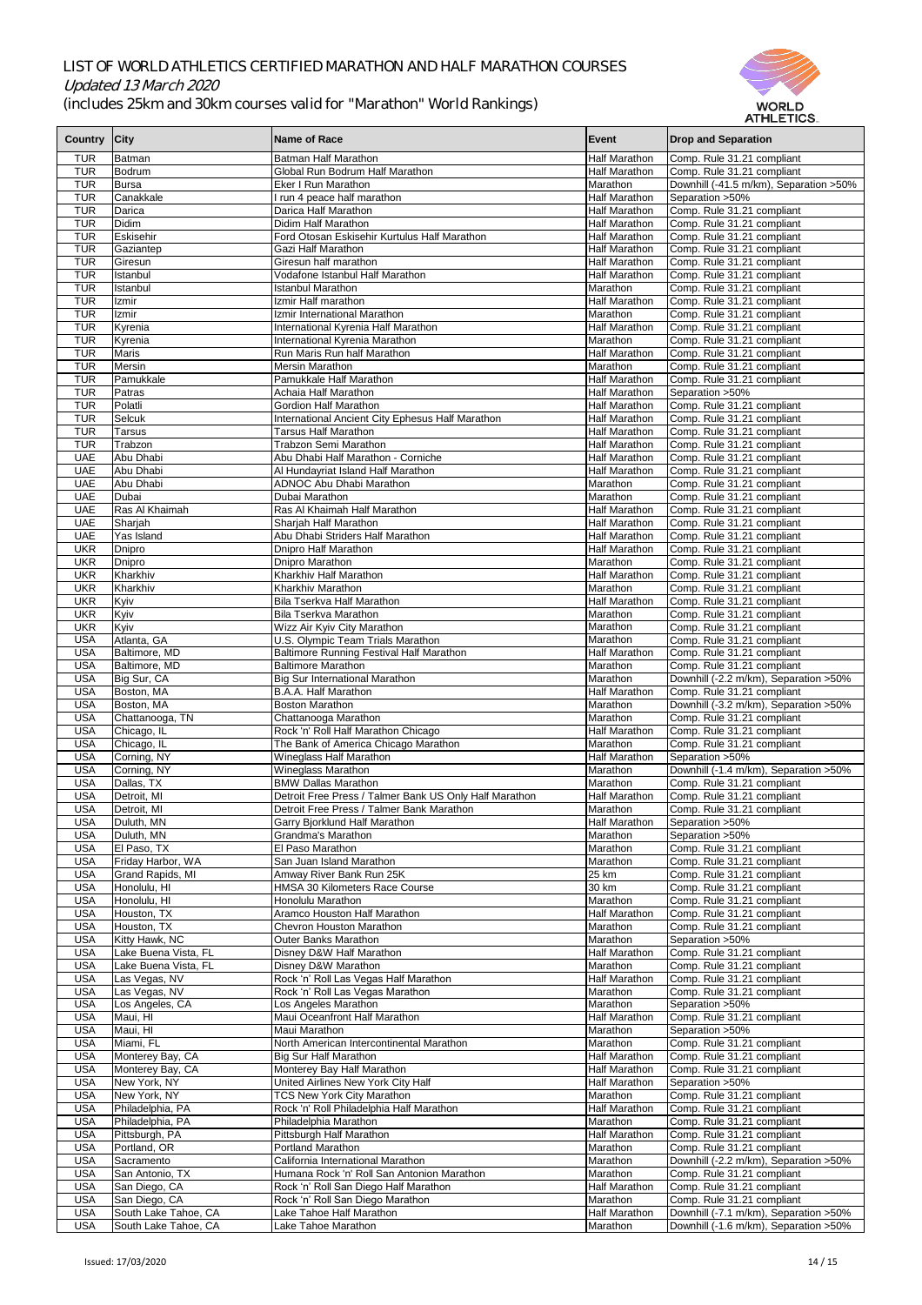

|              |                      |                                                        |                      | AI HLE HUS.                             |
|--------------|----------------------|--------------------------------------------------------|----------------------|-----------------------------------------|
| Country City |                      | <b>Name of Race</b>                                    | Event                | <b>Drop and Separation</b>              |
|              |                      |                                                        |                      |                                         |
| <b>TUR</b>   | Batman               | <b>Batman Half Marathon</b>                            | <b>Half Marathon</b> | Comp. Rule 31.21 compliant              |
| <b>TUR</b>   | Bodrum               | Global Run Bodrum Half Marathon                        | <b>Half Marathon</b> | Comp. Rule 31.21 compliant              |
| <b>TUR</b>   | Bursa                | <b>Eker I Run Marathon</b>                             | Marathon             | Downhill (-41.5 m/km), Separation > 50% |
| <b>TUR</b>   | Canakkale            | I run 4 peace half marathon                            | <b>Half Marathon</b> | Separation > 50%                        |
| <b>TUR</b>   | Darica               | Darica Half Marathon                                   | <b>Half Marathon</b> | Comp. Rule 31.21 compliant              |
| <b>TUR</b>   | Didim                | <b>Didim Half Marathon</b>                             | <b>Half Marathon</b> | Comp. Rule 31.21 compliant              |
| <b>TUR</b>   | Eskisehir            | Ford Otosan Eskisehir Kurtulus Half Marathon           | <b>Half Marathon</b> | Comp. Rule 31.21 compliant              |
| <b>TUR</b>   | Gaziantep            | Gazi Half Marathon                                     | <b>Half Marathon</b> |                                         |
|              |                      |                                                        |                      | Comp. Rule 31.21 compliant              |
| <b>TUR</b>   | Giresun              | Giresun half marathon                                  | <b>Half Marathon</b> | Comp. Rule 31.21 compliant              |
| <b>TUR</b>   | Istanbul             | Vodafone Istanbul Half Marathon                        | <b>Half Marathon</b> | Comp. Rule 31.21 compliant              |
| <b>TUR</b>   | Istanbul             | <b>Istanbul Marathon</b>                               | Marathon             | Comp. Rule 31.21 compliant              |
| <b>TUR</b>   | Izmir                | Izmir Half marathon                                    | <b>Half Marathon</b> | Comp. Rule 31.21 compliant              |
| <b>TUR</b>   | Izmir                | Izmir International Marathon                           | <b>Marathon</b>      | Comp. Rule 31.21 compliant              |
| <b>TUR</b>   | Kyrenia              | International Kyrenia Half Marathon                    | <b>Half Marathon</b> | Comp. Rule 31.21 compliant              |
| <b>TUR</b>   | Kyrenia              | International Kyrenia Marathon                         | Marathon             | Comp. Rule 31.21 compliant              |
| <b>TUR</b>   | Maris                | Run Maris Run half Marathon                            | <b>Half Marathon</b> | Comp. Rule 31.21 compliant              |
|              |                      |                                                        |                      |                                         |
| <b>TUR</b>   | Mersin               | <b>Mersin Marathon</b>                                 | Marathon             | Comp. Rule 31.21 compliant              |
| <b>TUR</b>   | Pamukkale            | Pamukkale Half Marathon                                | <b>Half Marathon</b> | Comp. Rule 31.21 compliant              |
| <b>TUR</b>   | Patras               | Achaia Half Marathon                                   | <b>Half Marathon</b> | Separation > 50%                        |
| <b>TUR</b>   | Polatli              | <b>Gordion Half Marathon</b>                           | <b>Half Marathon</b> | Comp. Rule 31.21 compliant              |
| <b>TUR</b>   | <b>Selcuk</b>        | International Ancient City Ephesus Half Marathon       | <b>Half Marathon</b> | Comp. Rule 31.21 compliant              |
| <b>TUR</b>   | <b>Tarsus</b>        | <b>Tarsus Half Marathon</b>                            | <b>Half Marathon</b> | Comp. Rule 31.21 compliant              |
| <b>TUR</b>   | Trabzon              | <b>Trabzon Semi Marathon</b>                           | <b>Half Marathon</b> | Comp. Rule 31.21 compliant              |
| <b>UAE</b>   | Abu Dhabi            | Abu Dhabi Half Marathon - Corniche                     | <b>Half Marathon</b> | Comp. Rule 31.21 compliant              |
|              |                      |                                                        |                      |                                         |
| <b>UAE</b>   | Abu Dhabi            | Al Hundayriat Island Half Marathon                     | <b>Half Marathon</b> | Comp. Rule 31.21 compliant              |
| <b>UAE</b>   | Abu Dhabi            | <b>ADNOC Abu Dhabi Marathon</b>                        | Marathon             | Comp. Rule 31.21 compliant              |
| <b>UAE</b>   | Dubai                | Dubai Marathon                                         | <b>I</b> Marathon    | Comp. Rule 31.21 compliant              |
| <b>UAE</b>   | Ras Al Khaimah       | Ras Al Khaimah Half Marathon                           | <b>Half Marathon</b> | Comp. Rule 31.21 compliant              |
| <b>UAE</b>   | Sharjah              | Sharjah Half Marathon                                  | <b>Half Marathon</b> | Comp. Rule 31.21 compliant              |
| <b>UAE</b>   | Yas Island           | Abu Dhabi Striders Half Marathon                       | Half Marathon        | Comp. Rule 31.21 compliant              |
| <b>UKR</b>   | Dnipro               | Dnipro Half Marathon                                   | <b>Half Marathon</b> | Comp. Rule 31.21 compliant              |
|              |                      |                                                        | Marathon             |                                         |
| <b>UKR</b>   | Dnipro               | Dnipro Marathon                                        |                      | Comp. Rule 31.21 compliant              |
| <b>UKR</b>   | Kharkhiv             | Kharkhiv Half Marathon                                 | <b>Half Marathon</b> | Comp. Rule 31.21 compliant              |
| <b>UKR</b>   | Kharkhiv             | Kharkhiv Marathon                                      | Marathon             | Comp. Rule 31.21 compliant              |
| <b>UKR</b>   | Kyiv                 | <b>Bila Tserkva Half Marathon</b>                      | <b>Half Marathon</b> | Comp. Rule 31.21 compliant              |
| <b>UKR</b>   | Kyiv                 | <b>Bila Tserkva Marathon</b>                           | Marathon             | Comp. Rule 31.21 compliant              |
| <b>UKR</b>   | Kyiv                 | Wizz Air Kyiv City Marathon                            | Marathon             | Comp. Rule 31.21 compliant              |
| <b>USA</b>   | Atlanta, GA          | U.S. Olympic Team Trials Marathon                      | Marathon             | Comp. Rule 31.21 compliant              |
| <b>USA</b>   | Baltimore, MD        | <b>Baltimore Running Festival Half Marathon</b>        | <b>Half Marathon</b> | Comp. Rule 31.21 compliant              |
|              |                      |                                                        |                      |                                         |
| <b>USA</b>   | Baltimore, MD        | <b>Baltimore Marathon</b>                              | Marathon             | Comp. Rule 31.21 compliant              |
| <b>USA</b>   | Big Sur, CA          | <b>Big Sur International Marathon</b>                  | Marathon             | Downhill (-2.2 m/km), Separation > 50%  |
| <b>USA</b>   | Boston, MA           | <b>B.A.A. Half Marathon</b>                            | Half Marathon        | Comp. Rule 31.21 compliant              |
| <b>USA</b>   | Boston, MA           | <b>Boston Marathon</b>                                 | Marathon             | Downhill (-3.2 m/km), Separation > 50%  |
| <b>USA</b>   | Chattanooga, TN      | Chattanooga Marathon                                   | Marathon             | Comp. Rule 31.21 compliant              |
| <b>USA</b>   | Chicago, IL          | Rock 'n' Roll Half Marathon Chicago                    | <b>Half Marathon</b> | Comp. Rule 31.21 compliant              |
| <b>USA</b>   | Chicago, IL          | The Bank of America Chicago Marathon                   | Marathon             | Comp. Rule 31.21 compliant              |
| <b>USA</b>   | Corning, NY          | Wineglass Half Marathon                                | <b>Half Marathon</b> | Separation > 50%                        |
| <b>USA</b>   |                      | <b>Wineglass Marathon</b>                              | Marathon             | Downhill (-1.4 m/km), Separation > 50%  |
|              | Corning, NY          |                                                        |                      |                                         |
| <b>USA</b>   | Dallas, TX           | <b>BMW Dallas Marathon</b>                             | Marathon             | Comp. Rule 31.21 compliant              |
| <b>USA</b>   | Detroit, MI          | Detroit Free Press / Talmer Bank US Only Half Marathon | <b>Half Marathon</b> | Comp. Rule 31.21 compliant              |
| <b>USA</b>   | Detroit, MI          | Detroit Free Press / Talmer Bank Marathon              | Marathon             | Comp. Rule 31.21 compliant              |
| <b>USA</b>   | Duluth, MN           | Garry Bjorklund Half Marathon                          | <b>Half Marathon</b> | Separation > 50%                        |
| <b>USA</b>   | Duluth, MN           | <b>Grandma's Marathon</b>                              | Marathon             | Separation > 50%                        |
| <b>USA</b>   | El Paso, TX          | El Paso Marathon                                       | Marathon             | Comp. Rule 31.21 compliant              |
| <b>USA</b>   | Friday Harbor, WA    | San Juan Island Marathon                               | Marathon             | Comp. Rule 31.21 compliant              |
| <b>USA</b>   | Grand Rapids, MI     | Amway River Bank Run 25K                               | 25 km                | Comp. Rule 31.21 compliant              |
| <b>USA</b>   | Honolulu, HI         | HMSA 30 Kilometers Race Course                         | 30 km                | Comp. Rule 31.21 compliant              |
|              |                      |                                                        |                      |                                         |
| <b>USA</b>   | Honolulu, HI         | Honolulu Marathon                                      | Marathon             | Comp. Rule 31.21 compliant              |
| <b>USA</b>   | Houston, TX          | Aramco Houston Half Marathon                           | <b>Half Marathon</b> | Comp. Rule 31.21 compliant              |
| <b>USA</b>   | Houston, TX          | <b>Chevron Houston Marathon</b>                        | Marathon             | Comp. Rule 31.21 compliant              |
| <b>USA</b>   | Kitty Hawk, NC       | <b>Outer Banks Marathon</b>                            | Marathon             | Separation > 50%                        |
| <b>USA</b>   | Lake Buena Vista, FL | Disney D&W Half Marathon                               | Half Marathon        | Comp. Rule 31.21 compliant              |
| <b>USA</b>   | Lake Buena Vista, FL | Disney D&W Marathon                                    | Marathon             | Comp. Rule 31.21 compliant              |
| <b>USA</b>   | Las Vegas, NV        | Rock 'n' Roll Las Vegas Half Marathon                  | <b>Half Marathon</b> | Comp. Rule 31.21 compliant              |
| <b>USA</b>   | Las Vegas, NV        | Rock 'n' Roll Las Vegas Marathon                       | Marathon             | Comp. Rule 31.21 compliant              |
| <b>USA</b>   | Los Angeles, CA      | Los Angeles Marathon                                   | Marathon             | Separation > 50%                        |
|              |                      |                                                        |                      |                                         |
| <b>USA</b>   | Maui, HI             | Maui Oceanfront Half Marathon                          | <b>Half Marathon</b> | Comp. Rule 31.21 compliant              |
| <b>USA</b>   | Maui, HI             | Maui Marathon                                          | Marathon             | Separation > 50%                        |
| <b>USA</b>   | Miami, FL            | North American Intercontinental Marathon               | Marathon             | Comp. Rule 31.21 compliant              |
| <b>USA</b>   | Monterey Bay, CA     | <b>Big Sur Half Marathon</b>                           | <b>Half Marathon</b> | Comp. Rule 31.21 compliant              |
| <b>USA</b>   | Monterey Bay, CA     | Monterey Bay Half Marathon                             | <b>Half Marathon</b> | Comp. Rule 31.21 compliant              |
| <b>USA</b>   | New York, NY         | United Airlines New York City Half                     | <b>Half Marathon</b> | Separation > 50%                        |
| <b>USA</b>   | New York, NY         | <b>TCS New York City Marathon</b>                      | Marathon             | Comp. Rule 31.21 compliant              |
| <b>USA</b>   | Philadelphia, PA     | Rock 'n' Roll Philadelphia Half Marathon               | <b>Half Marathon</b> | Comp. Rule 31.21 compliant              |
|              | Philadelphia, PA     | Philadelphia Marathon                                  | Marathon             |                                         |
| <b>USA</b>   |                      |                                                        |                      | Comp. Rule 31.21 compliant              |
| <b>USA</b>   | Pittsburgh, PA       | Pittsburgh Half Marathon                               | <b>Half Marathon</b> | Comp. Rule 31.21 compliant              |
| <b>USA</b>   | Portland, OR         | <b>Portland Marathon</b>                               | Marathon             | Comp. Rule 31.21 compliant              |
| <b>USA</b>   | Sacramento           | California International Marathon                      | Marathon             | Downhill (-2.2 m/km), Separation > 50%  |
| <b>USA</b>   | San Antonio, TX      | Humana Rock 'n' Roll San Antonion Marathon             | Marathon             | Comp. Rule 31.21 compliant              |
| <b>USA</b>   | San Diego, CA        | Rock 'n' Roll San Diego Half Marathon                  | <b>Half Marathon</b> | Comp. Rule 31.21 compliant              |
| <b>USA</b>   | San Diego, CA        | Rock 'n' Roll San Diego Marathon                       | Marathon             | Comp. Rule 31.21 compliant              |
| <b>USA</b>   | South Lake Tahoe, CA | Lake Tahoe Half Marathon                               | <b>Half Marathon</b> | Downhill (-7.1 m/km), Separation >50%   |
| <b>USA</b>   | South Lake Tahoe, CA | Lake Tahoe Marathon                                    | Marathon             | Downhill (-1.6 m/km), Separation > 50%  |
|              |                      |                                                        |                      |                                         |